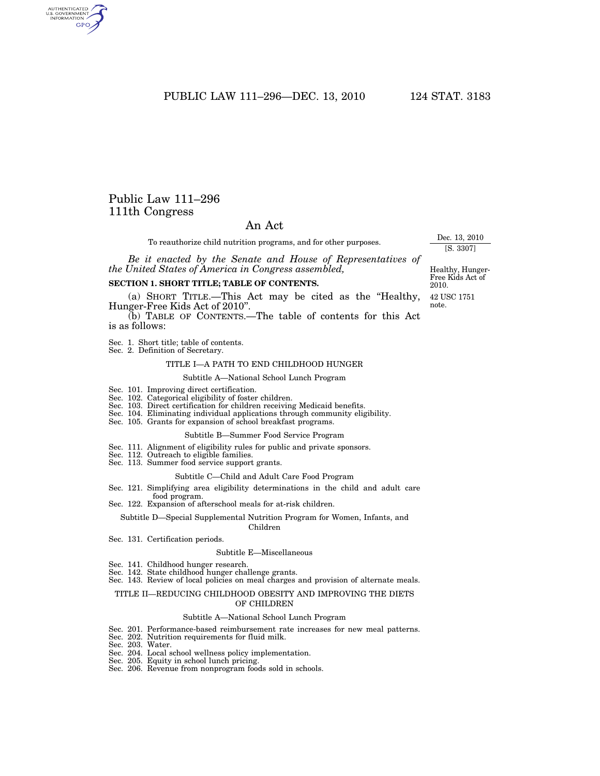PUBLIC LAW 111–296—DEC. 13, 2010 124 STAT. 3183

# Public Law 111–296 111th Congress

# An Act

To reauthorize child nutrition programs, and for other purposes.

*Be it enacted by the Senate and House of Representatives of the United States of America in Congress assembled,* 

#### **SECTION 1. SHORT TITLE; TABLE OF CONTENTS.**

(a) SHORT TITLE.—This Act may be cited as the ''Healthy, Hunger-Free Kids Act of 2010''.

(b) TABLE OF CONTENTS.—The table of contents for this Act is as follows:

Sec. 1. Short title; table of contents.

Sec. 2. Definition of Secretary.

#### TITLE I—A PATH TO END CHILDHOOD HUNGER

#### Subtitle A—National School Lunch Program

- Sec. 101. Improving direct certification.
- Sec. 102. Categorical eligibility of foster children.
- Sec. 103. Direct certification for children receiving Medicaid benefits.
- Sec. 104. Eliminating individual applications through community eligibility.
- Sec. 105. Grants for expansion of school breakfast programs.

### Subtitle B—Summer Food Service Program

- Sec. 111. Alignment of eligibility rules for public and private sponsors.
- Sec. 112. Outreach to eligible families.
- Sec. 113. Summer food service support grants.

#### Subtitle C—Child and Adult Care Food Program

- Sec. 121. Simplifying area eligibility determinations in the child and adult care food program.
- Sec. 122. Expansion of afterschool meals for at-risk children.

#### Subtitle D—Special Supplemental Nutrition Program for Women, Infants, and Children

Sec. 131. Certification periods.

#### Subtitle E—Miscellaneous

- Sec. 141. Childhood hunger research.
- Sec. 142. State childhood hunger challenge grants.
- Sec. 143. Review of local policies on meal charges and provision of alternate meals.

#### TITLE II—REDUCING CHILDHOOD OBESITY AND IMPROVING THE DIETS OF CHILDREN

#### Subtitle A—National School Lunch Program

- Sec. 201. Performance-based reimbursement rate increases for new meal patterns.
- Sec. 202. Nutrition requirements for fluid milk.
- Sec. 203. Water.
- Sec. 204. Local school wellness policy implementation.
- Sec. 205. Equity in school lunch pricing.
- Sec. 206. Revenue from nonprogram foods sold in schools.

Healthy, Hunger-Free Kids Act of 2010.

Dec. 13, 2010 [S. 3307]

42 USC 1751 note.

AUTHENTICATED<br>U.S. GOVERNMENT<br>INFORMATION GPO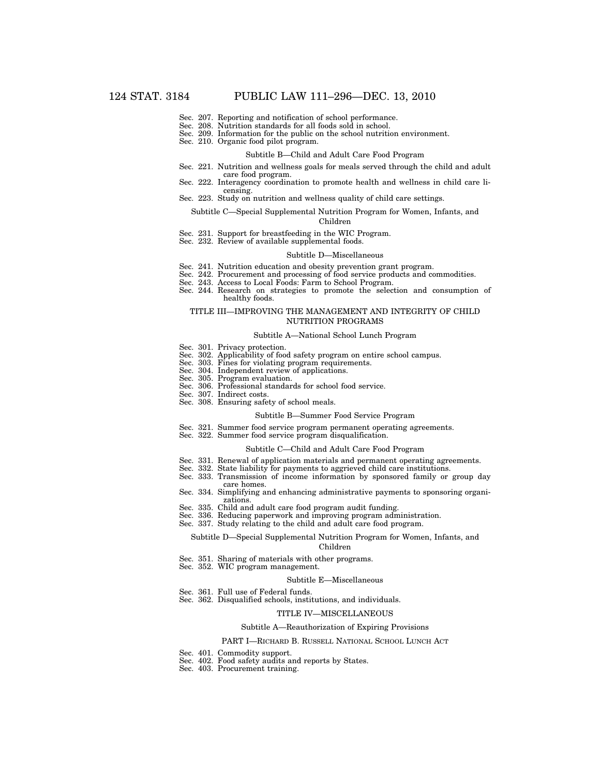- Sec. 207. Reporting and notification of school performance.
- Sec. 208. Nutrition standards for all foods sold in school.
- Sec. 209. Information for the public on the school nutrition environment.
- Sec. 210. Organic food pilot program.

#### Subtitle B—Child and Adult Care Food Program

- Sec. 221. Nutrition and wellness goals for meals served through the child and adult care food program.
- Sec. 222. Interagency coordination to promote health and wellness in child care licensing.
- Sec. 223. Study on nutrition and wellness quality of child care settings.

#### Subtitle C—Special Supplemental Nutrition Program for Women, Infants, and Children

- Sec. 231. Support for breastfeeding in the WIC Program.
- Sec. 232. Review of available supplemental foods.

#### Subtitle D—Miscellaneous

- Sec. 241. Nutrition education and obesity prevention grant program.
- Sec. 242. Procurement and processing of food service products and commodities.
- Sec. 243. Access to Local Foods: Farm to School Program.
- Sec. 244. Research on strategies to promote the selection and consumption of healthy foods.

#### TITLE III—IMPROVING THE MANAGEMENT AND INTEGRITY OF CHILD NUTRITION PROGRAMS

#### Subtitle A—National School Lunch Program

- Sec. 301. Privacy protection.
- Sec. 302. Applicability of food safety program on entire school campus.
- Sec. 303. Fines for violating program requirements.
- Sec. 304. Independent review of applications.
- Sec. 305. Program evaluation.
- Sec. 306. Professional standards for school food service.
- Sec. 307. Indirect costs.
- Sec. 308. Ensuring safety of school meals.

#### Subtitle B—Summer Food Service Program

- Sec. 321. Summer food service program permanent operating agreements.
- Sec. 322. Summer food service program disqualification.

#### Subtitle C—Child and Adult Care Food Program

- Sec. 331. Renewal of application materials and permanent operating agreements.
- Sec. 332. State liability for payments to aggrieved child care institutions.
- Sec. 333. Transmission of income information by sponsored family or group day care homes.
- Sec. 334. Simplifying and enhancing administrative payments to sponsoring organizations.
- Sec. 335. Child and adult care food program audit funding.
- Sec. 336. Reducing paperwork and improving program administration.
- Sec. 337. Study relating to the child and adult care food program.

#### Subtitle D—Special Supplemental Nutrition Program for Women, Infants, and Children

- Sec. 351. Sharing of materials with other programs.
- Sec. 352. WIC program management.

#### Subtitle E—Miscellaneous

- Sec. 361. Full use of Federal funds.
- Sec. 362. Disqualified schools, institutions, and individuals.

#### TITLE IV—MISCELLANEOUS

#### Subtitle A—Reauthorization of Expiring Provisions

#### PART I—RICHARD B. RUSSELL NATIONAL SCHOOL LUNCH ACT

- Sec. 401. Commodity support.
- Sec. 402. Food safety audits and reports by States.
- Sec. 403. Procurement training.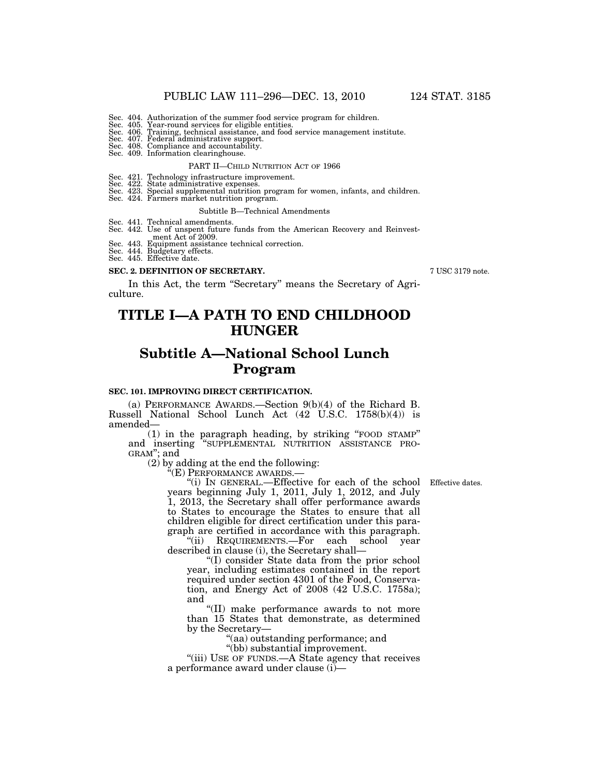- Sec. 404. Authorization of the summer food service program for children.
- 
- Sec. 405. Year-round services for eligible entities. Sec. 406. Training, technical assistance, and food service management institute.
- Sec. 407. Federal administrative support. Sec. 408. Compliance and accountability.
- Sec. 409. Information clearinghouse.

# PART II—CHILD NUTRITION ACT OF 1966

- 
- 
- Sec. 421. Technology infrastructure improvement. Sec. 422. State administrative expenses. Sec. 423. Special supplemental nutrition program for women, infants, and children. Sec. 424. Farmers market nutrition program.
- 

#### Subtitle B—Technical Amendments

- Sec. 441. Technical amendments. Sec. 442. Use of unspent future funds from the American Recovery and Reinvest-
- ment Act of 2009.
- Sec. 443. Equipment assistance technical correction. Sec. 444. Budgetary effects.
- Sec. 445. Effective date.
- 

#### **SEC. 2. DEFINITION OF SECRETARY.**

In this Act, the term ''Secretary'' means the Secretary of Agriculture.

# **TITLE I—A PATH TO END CHILDHOOD HUNGER**

# **Subtitle A—National School Lunch Program**

# **SEC. 101. IMPROVING DIRECT CERTIFICATION.**

(a) PERFORMANCE AWARDS.—Section 9(b)(4) of the Richard B. Russell National School Lunch Act (42 U.S.C. 1758(b)(4)) is amended—

(1) in the paragraph heading, by striking ''FOOD STAMP'' and inserting ''SUPPLEMENTAL NUTRITION ASSISTANCE PRO- GRAM''; and

(2) by adding at the end the following:<br>"(E) PERFORMANCE AWARDS.—

"(E) PERFORMANCE AWARDS.—<br>"(i) IN GENERAL.—Effective for each of the school Effective dates. years beginning July 1, 2011, July 1, 2012, and July 1, 2013, the Secretary shall offer performance awards to States to encourage the States to ensure that all children eligible for direct certification under this paragraph are certified in accordance with this paragraph.

''(ii) REQUIREMENTS.—For each school year described in clause (i), the Secretary shall—

''(I) consider State data from the prior school year, including estimates contained in the report required under section 4301 of the Food, Conservation, and Energy Act of 2008 (42 U.S.C. 1758a); and

''(II) make performance awards to not more than 15 States that demonstrate, as determined by the Secretary—

''(aa) outstanding performance; and

''(bb) substantial improvement.

"(iii) USE OF FUNDS.—A State agency that receives a performance award under clause  $(i)$ —

7 USC 3179 note.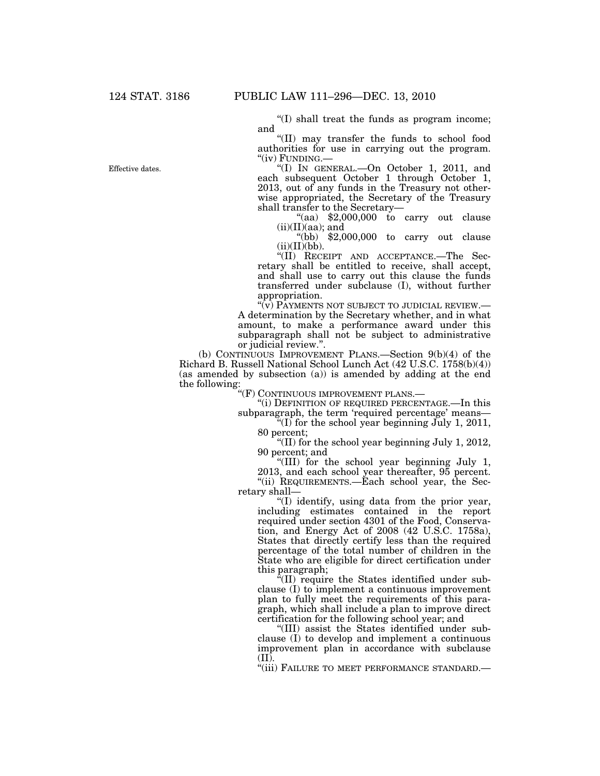''(I) shall treat the funds as program income; and

''(II) may transfer the funds to school food authorities for use in carrying out the program.<br>" $(iv)$  FUNDING.—

"(I) IN GENERAL.—On October 1, 2011, and each subsequent October 1 through October 1, 2013, out of any funds in the Treasury not otherwise appropriated, the Secretary of the Treasury shall transfer to the Secretary—

"(aa)  $$2,000,000$  to carry out clause  $(ii)(II)(aa)$ ; and

 $``(bb)$   $$2,000,000$  to carry out clause  $(ii)(II)(bb)$ .

''(II) RECEIPT AND ACCEPTANCE.—The Secretary shall be entitled to receive, shall accept, and shall use to carry out this clause the funds transferred under subclause (I), without further appropriation.

 $\sqrt[\alpha]{v}$  Payments not subject to judicial review.— A determination by the Secretary whether, and in what amount, to make a performance award under this subparagraph shall not be subject to administrative or judicial review.''.

(b) CONTINUOUS IMPROVEMENT PLANS.—Section 9(b)(4) of the Richard B. Russell National School Lunch Act (42 U.S.C. 1758(b)(4)) (as amended by subsection (a)) is amended by adding at the end the following:

"(F) CONTINUOUS IMPROVEMENT PLANS.—

''(i) DEFINITION OF REQUIRED PERCENTAGE.—In this subparagraph, the term 'required percentage' means-

"(I) for the school year beginning July 1, 2011, 80 percent;

''(II) for the school year beginning July 1, 2012, 90 percent; and

''(III) for the school year beginning July 1,

2013, and each school year thereafter, 95 percent. ''(ii) REQUIREMENTS.—Each school year, the Secretary shall—

''(I) identify, using data from the prior year, including estimates contained in the report required under section 4301 of the Food, Conservation, and Energy Act of 2008 (42 U.S.C. 1758a), States that directly certify less than the required percentage of the total number of children in the State who are eligible for direct certification under this paragraph;

 $f(II)$  require the States identified under subclause (I) to implement a continuous improvement plan to fully meet the requirements of this paragraph, which shall include a plan to improve direct certification for the following school year; and

''(III) assist the States identified under subclause (I) to develop and implement a continuous improvement plan in accordance with subclause (II).

''(iii) FAILURE TO MEET PERFORMANCE STANDARD.—

Effective dates.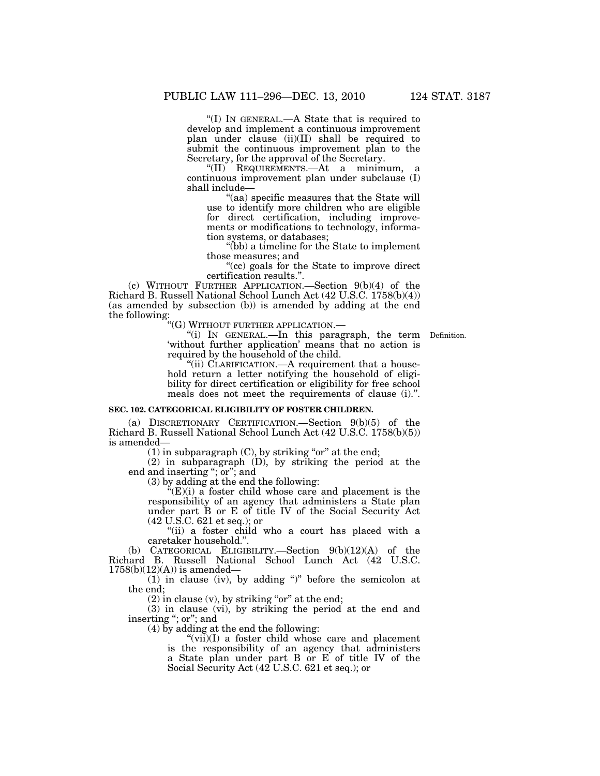''(I) IN GENERAL.—A State that is required to develop and implement a continuous improvement plan under clause (ii)(II) shall be required to submit the continuous improvement plan to the Secretary, for the approval of the Secretary.

''(II) REQUIREMENTS.—At a minimum, a continuous improvement plan under subclause (I) shall include—

''(aa) specific measures that the State will use to identify more children who are eligible for direct certification, including improvements or modifications to technology, information systems, or databases;

''(bb) a timeline for the State to implement those measures; and

''(cc) goals for the State to improve direct certification results.''.

(c) WITHOUT FURTHER APPLICATION.—Section 9(b)(4) of the Richard B. Russell National School Lunch Act (42 U.S.C. 1758(b)(4)) (as amended by subsection (b)) is amended by adding at the end the following:

''(G) WITHOUT FURTHER APPLICATION.—

"(i) IN GENERAL.—In this paragraph, the term Definition. 'without further application' means that no action is required by the household of the child.

"(ii) CLARIFICATION.—A requirement that a household return a letter notifying the household of eligibility for direct certification or eligibility for free school meals does not meet the requirements of clause (i).''.

### **SEC. 102. CATEGORICAL ELIGIBILITY OF FOSTER CHILDREN.**

(a) DISCRETIONARY CERTIFICATION.—Section 9(b)(5) of the Richard B. Russell National School Lunch Act (42 U.S.C. 1758(b)(5)) is amended—

 $(1)$  in subparagraph  $(C)$ , by striking "or" at the end;

(2) in subparagraph (D), by striking the period at the end and inserting "; or"; and

(3) by adding at the end the following:

 $E(E)(i)$  a foster child whose care and placement is the responsibility of an agency that administers a State plan under part B or E of title IV of the Social Security Act (42 U.S.C. 621 et seq.); or

"(ii) a foster child who a court has placed with a caretaker household.''.

(b) CATEGORICAL ELIGIBILITY.—Section 9(b)(12)(A) of the Richard B. Russell National School Lunch Act (42 U.S.C.  $1758(b)(12)(A)$  is amended—

(1) in clause (iv), by adding '')'' before the semicolon at the end;

 $(2)$  in clause  $(v)$ , by striking "or" at the end;

(3) in clause (vi), by striking the period at the end and inserting ''; or''; and

(4) by adding at the end the following:

 $\sqrt{\text{vii}}$ (I) a foster child whose care and placement is the responsibility of an agency that administers a State plan under part B or E of title IV of the Social Security Act (42 U.S.C. 621 et seq.); or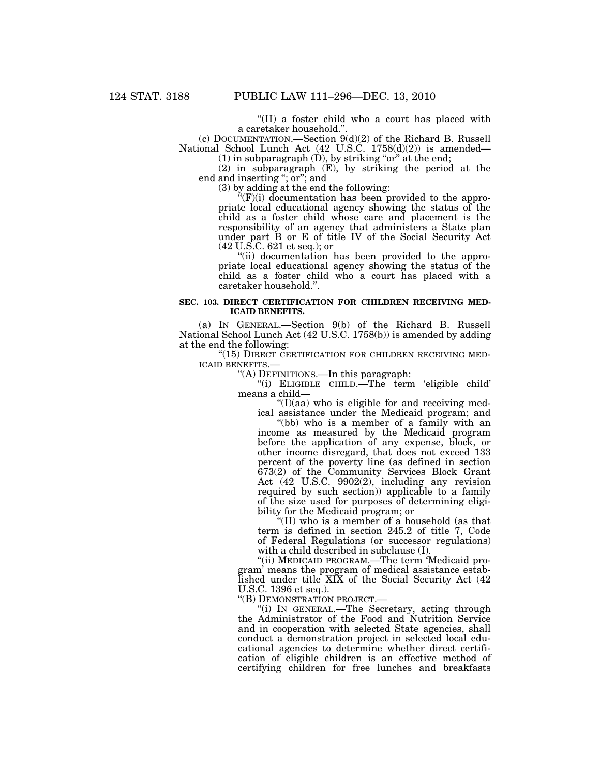''(II) a foster child who a court has placed with a caretaker household.'

(c) DOCUMENTATION.—Section 9(d)(2) of the Richard B. Russell National School Lunch Act (42 U.S.C. 1758(d)(2)) is amended—

 $(1)$  in subparagraph  $(D)$ , by striking "or" at the end; (2) in subparagraph (E), by striking the period at the end and inserting ''; or''; and

(3) by adding at the end the following:

 $E(F)(i)$  documentation has been provided to the appropriate local educational agency showing the status of the child as a foster child whose care and placement is the responsibility of an agency that administers a State plan under part B or E of title IV of the Social Security Act (42 U.S.C. 621 et seq.); or

"(ii) documentation has been provided to the appropriate local educational agency showing the status of the child as a foster child who a court has placed with a caretaker household.''.

### **SEC. 103. DIRECT CERTIFICATION FOR CHILDREN RECEIVING MED-ICAID BENEFITS.**

(a) IN GENERAL.—Section 9(b) of the Richard B. Russell National School Lunch Act (42 U.S.C. 1758(b)) is amended by adding at the end the following:

"(15) DIRECT CERTIFICATION FOR CHILDREN RECEIVING MED-ICAID BENEFITS.—

''(A) DEFINITIONS.—In this paragraph:

''(i) ELIGIBLE CHILD.—The term 'eligible child' means a child—

 $\mathrm{``(I)(aa)}$  who is eligible for and receiving medical assistance under the Medicaid program; and

''(bb) who is a member of a family with an income as measured by the Medicaid program before the application of any expense, block, or other income disregard, that does not exceed 133 percent of the poverty line (as defined in section 673(2) of the Community Services Block Grant Act (42 U.S.C. 9902(2), including any revision required by such section)) applicable to a family of the size used for purposes of determining eligibility for the Medicaid program; or

''(II) who is a member of a household (as that term is defined in section 245.2 of title 7, Code of Federal Regulations (or successor regulations) with a child described in subclause (I).

''(ii) MEDICAID PROGRAM.—The term 'Medicaid program' means the program of medical assistance established under title XIX of the Social Security Act (42 U.S.C. 1396 et seq.).

''(B) DEMONSTRATION PROJECT.—

''(i) IN GENERAL.—The Secretary, acting through the Administrator of the Food and Nutrition Service and in cooperation with selected State agencies, shall conduct a demonstration project in selected local educational agencies to determine whether direct certification of eligible children is an effective method of certifying children for free lunches and breakfasts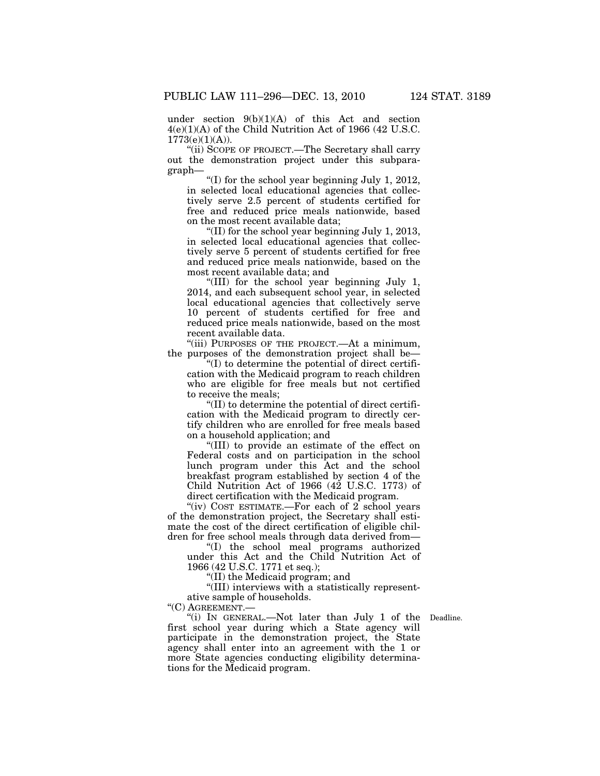under section 9(b)(1)(A) of this Act and section 4(e)(1)(A) of the Child Nutrition Act of 1966 (42 U.S.C.  $1773(e)(1)(A)$ ).

''(ii) SCOPE OF PROJECT.—The Secretary shall carry out the demonstration project under this subparagraph—

''(I) for the school year beginning July 1, 2012, in selected local educational agencies that collectively serve 2.5 percent of students certified for free and reduced price meals nationwide, based on the most recent available data;

''(II) for the school year beginning July 1, 2013, in selected local educational agencies that collectively serve 5 percent of students certified for free and reduced price meals nationwide, based on the most recent available data; and

''(III) for the school year beginning July 1, 2014, and each subsequent school year, in selected local educational agencies that collectively serve 10 percent of students certified for free and reduced price meals nationwide, based on the most recent available data.

''(iii) PURPOSES OF THE PROJECT.—At a minimum, the purposes of the demonstration project shall be—

 $\mathcal{L}(I)$  to determine the potential of direct certification with the Medicaid program to reach children who are eligible for free meals but not certified to receive the meals;

''(II) to determine the potential of direct certification with the Medicaid program to directly certify children who are enrolled for free meals based on a household application; and

''(III) to provide an estimate of the effect on Federal costs and on participation in the school lunch program under this Act and the school breakfast program established by section 4 of the Child Nutrition Act of 1966 (42 U.S.C. 1773) of direct certification with the Medicaid program.

"(iv) COST ESTIMATE.—For each of 2 school years of the demonstration project, the Secretary shall estimate the cost of the direct certification of eligible children for free school meals through data derived from—

''(I) the school meal programs authorized under this Act and the Child Nutrition Act of 1966 (42 U.S.C. 1771 et seq.);

''(II) the Medicaid program; and

''(III) interviews with a statistically representative sample of households.

''(C) AGREEMENT.—

"(i) IN GENERAL.—Not later than July 1 of the Deadline. first school year during which a State agency will participate in the demonstration project, the State agency shall enter into an agreement with the 1 or more State agencies conducting eligibility determinations for the Medicaid program.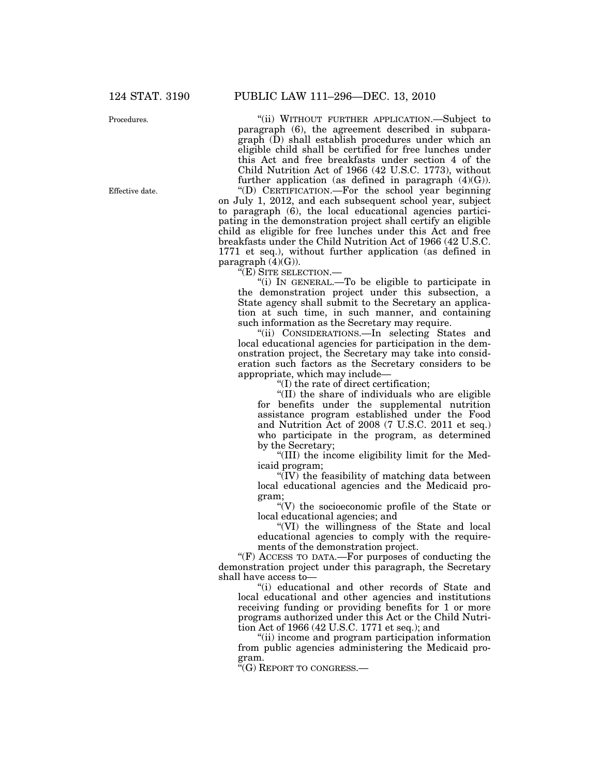Procedures.

Effective date.

''(ii) WITHOUT FURTHER APPLICATION.—Subject to paragraph (6), the agreement described in subparagraph (D) shall establish procedures under which an eligible child shall be certified for free lunches under this Act and free breakfasts under section 4 of the Child Nutrition Act of 1966 (42 U.S.C. 1773), without further application (as defined in paragraph  $(4)(G)$ ). ''(D) CERTIFICATION.—For the school year beginning on July 1, 2012, and each subsequent school year, subject to paragraph (6), the local educational agencies participating in the demonstration project shall certify an eligible child as eligible for free lunches under this Act and free breakfasts under the Child Nutrition Act of 1966 (42 U.S.C. 1771 et seq.), without further application (as defined in paragraph  $(4)(G)$ ).

''(E) SITE SELECTION.—

''(i) IN GENERAL.—To be eligible to participate in the demonstration project under this subsection, a State agency shall submit to the Secretary an application at such time, in such manner, and containing such information as the Secretary may require.

''(ii) CONSIDERATIONS.—In selecting States and local educational agencies for participation in the demonstration project, the Secretary may take into consideration such factors as the Secretary considers to be appropriate, which may include—

''(I) the rate of direct certification;

''(II) the share of individuals who are eligible for benefits under the supplemental nutrition assistance program established under the Food and Nutrition Act of 2008 (7 U.S.C. 2011 et seq.) who participate in the program, as determined by the Secretary;

''(III) the income eligibility limit for the Medicaid program;

''(IV) the feasibility of matching data between local educational agencies and the Medicaid program;

''(V) the socioeconomic profile of the State or local educational agencies; and

''(VI) the willingness of the State and local educational agencies to comply with the requirements of the demonstration project.

"(F) ACCESS TO DATA.—For purposes of conducting the demonstration project under this paragraph, the Secretary shall have access to—

''(i) educational and other records of State and local educational and other agencies and institutions receiving funding or providing benefits for 1 or more programs authorized under this Act or the Child Nutrition Act of 1966 (42 U.S.C. 1771 et seq.); and

''(ii) income and program participation information from public agencies administering the Medicaid program.

''(G) REPORT TO CONGRESS.—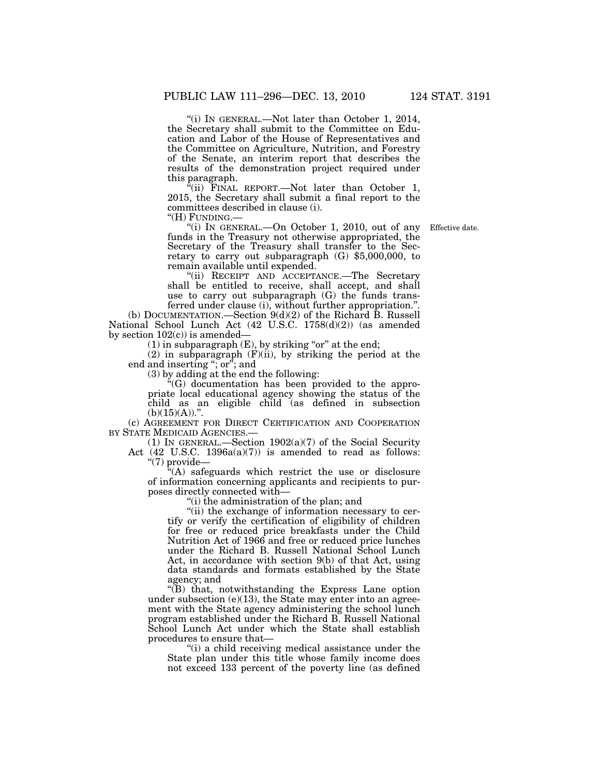''(i) IN GENERAL.—Not later than October 1, 2014, the Secretary shall submit to the Committee on Education and Labor of the House of Representatives and the Committee on Agriculture, Nutrition, and Forestry of the Senate, an interim report that describes the results of the demonstration project required under

this paragraph.  $F(i)$  FINAL REPORT.—Not later than October 1, 2015, the Secretary shall submit a final report to the committees described in clause (i).<br>"(H) FUNDING.—

Effective date.

"(i) IN GENERAL.—On October 1, 2010, out of any funds in the Treasury not otherwise appropriated, the Secretary of the Treasury shall transfer to the Secretary to carry out subparagraph (G) \$5,000,000, to remain available until expended.

''(ii) RECEIPT AND ACCEPTANCE.—The Secretary shall be entitled to receive, shall accept, and shall use to carry out subparagraph (G) the funds transferred under clause (i), without further appropriation.''.

(b) DOCUMENTATION.—Section 9(d)(2) of the Richard B. Russell National School Lunch Act (42 U.S.C. 1758(d)(2)) (as amended by section  $102(c)$ ) is amended-

 $(1)$  in subparagraph  $(E)$ , by striking "or" at the end;

 $(2)$  in subparagraph  $(F)(ii)$ , by striking the period at the end and inserting "; or"; and

(3) by adding at the end the following:

 $E(G)$  documentation has been provided to the appropriate local educational agency showing the status of the child as an eligible child (as defined in subsection  $(b)(15)(A))$ .".

(c) AGREEMENT FOR DIRECT CERTIFICATION AND COOPERATION BY STATE MEDICAID AGENCIES.—

(1) IN GENERAL.—Section  $1902(a)(7)$  of the Social Security Act (42 U.S.C. 1396a(a)(7)) is amended to read as follows: " $(7)$  provide—

''(A) safeguards which restrict the use or disclosure of information concerning applicants and recipients to purposes directly connected with—

(i) the administration of the plan; and

''(ii) the exchange of information necessary to certify or verify the certification of eligibility of children for free or reduced price breakfasts under the Child Nutrition Act of 1966 and free or reduced price lunches under the Richard B. Russell National School Lunch Act, in accordance with section 9(b) of that Act, using data standards and formats established by the State agency; and

''(B) that, notwithstanding the Express Lane option under subsection  $(e)(13)$ , the State may enter into an agreement with the State agency administering the school lunch program established under the Richard B. Russell National School Lunch Act under which the State shall establish procedures to ensure that—

"(i) a child receiving medical assistance under the State plan under this title whose family income does not exceed 133 percent of the poverty line (as defined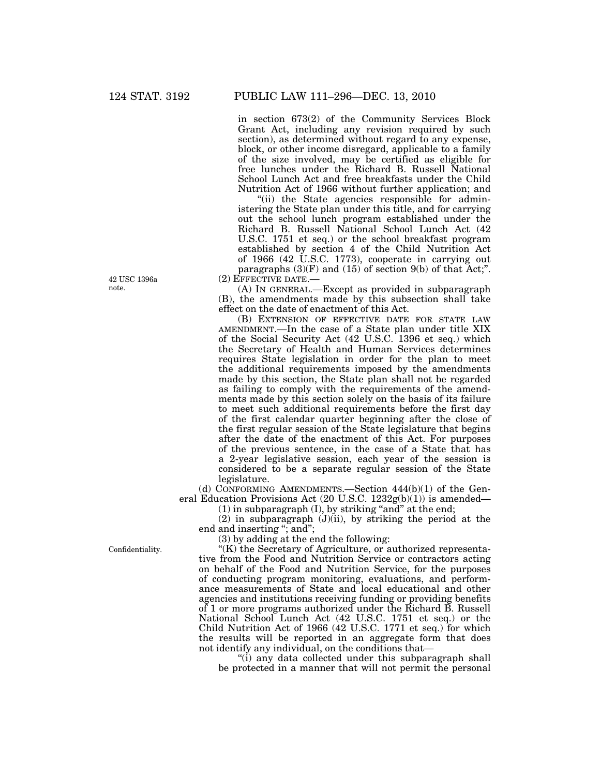in section 673(2) of the Community Services Block Grant Act, including any revision required by such section), as determined without regard to any expense, block, or other income disregard, applicable to a family of the size involved, may be certified as eligible for free lunches under the Richard B. Russell National School Lunch Act and free breakfasts under the Child Nutrition Act of 1966 without further application; and

''(ii) the State agencies responsible for administering the State plan under this title, and for carrying out the school lunch program established under the Richard B. Russell National School Lunch Act (42 U.S.C. 1751 et seq.) or the school breakfast program established by section 4 of the Child Nutrition Act of 1966 (42 U.S.C. 1773), cooperate in carrying out paragraphs  $(3)(F)$  and  $(15)$  of section  $9(b)$  of that Act;". (2) EFFECTIVE DATE.—

(A) IN GENERAL.—Except as provided in subparagraph (B), the amendments made by this subsection shall take

effect on the date of enactment of this Act. (B) EXTENSION OF EFFECTIVE DATE FOR STATE LAW AMENDMENT.—In the case of a State plan under title XIX of the Social Security Act (42 U.S.C. 1396 et seq.) which the Secretary of Health and Human Services determines requires State legislation in order for the plan to meet the additional requirements imposed by the amendments made by this section, the State plan shall not be regarded as failing to comply with the requirements of the amendments made by this section solely on the basis of its failure to meet such additional requirements before the first day of the first calendar quarter beginning after the close of the first regular session of the State legislature that begins after the date of the enactment of this Act. For purposes of the previous sentence, in the case of a State that has a 2-year legislative session, each year of the session is considered to be a separate regular session of the State legislature.

(d) CONFORMING AMENDMENTS.—Section 444(b)(1) of the General Education Provisions Act (20 U.S.C. 1232g(b)(1)) is amended—

 $(1)$  in subparagraph  $(I)$ , by striking "and" at the end;

 $(2)$  in subparagraph  $(J)(ii)$ , by striking the period at the end and inserting "; and";

(3) by adding at the end the following:

"(K) the Secretary of Agriculture, or authorized representative from the Food and Nutrition Service or contractors acting on behalf of the Food and Nutrition Service, for the purposes of conducting program monitoring, evaluations, and performance measurements of State and local educational and other agencies and institutions receiving funding or providing benefits of 1 or more programs authorized under the Richard B. Russell National School Lunch Act (42 U.S.C. 1751 et seq.) or the Child Nutrition Act of 1966 (42 U.S.C. 1771 et seq.) for which the results will be reported in an aggregate form that does not identify any individual, on the conditions that—

''(i) any data collected under this subparagraph shall be protected in a manner that will not permit the personal

Confidentiality.

42 USC 1396a note.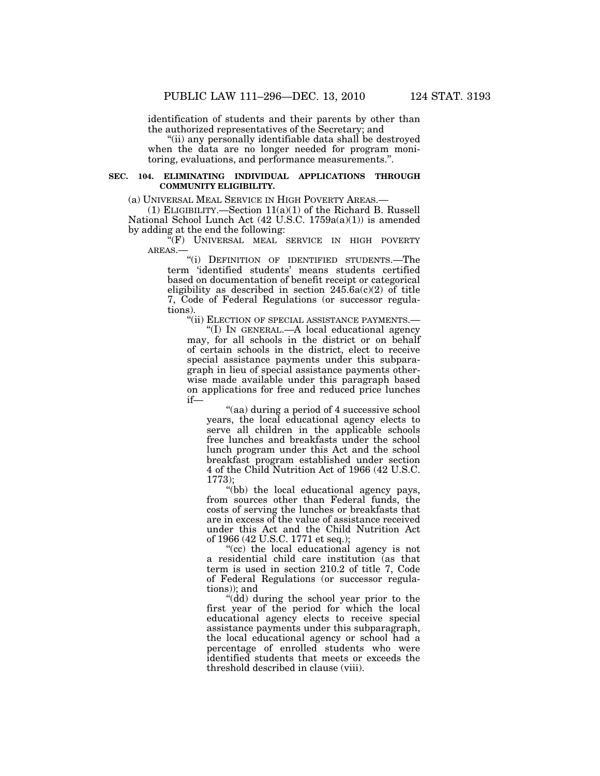identification of students and their parents by other than the authorized representatives of the Secretary; and

''(ii) any personally identifiable data shall be destroyed when the data are no longer needed for program monitoring, evaluations, and performance measurements.''.

### **SEC. 104. ELIMINATING INDIVIDUAL APPLICATIONS THROUGH COMMUNITY ELIGIBILITY.**

(a) UNIVERSAL MEAL SERVICE IN HIGH POVERTY AREAS.—

(1) ELIGIBILITY.—Section 11(a)(1) of the Richard B. Russell National School Lunch Act (42 U.S.C. 1759a(a)(1)) is amended by adding at the end the following:

"(F) UNIVERSAL MEAL SERVICE IN HIGH POVERTY AREAS.—

"(i) DEFINITION OF IDENTIFIED STUDENTS.—The term 'identified students' means students certified based on documentation of benefit receipt or categorical eligibility as described in section  $245.6a(c)(2)$  of title 7, Code of Federal Regulations (or successor regulations).

"(ii) ELECTION OF SPECIAL ASSISTANCE PAYMENTS.-

''(I) IN GENERAL.—A local educational agency may, for all schools in the district or on behalf of certain schools in the district, elect to receive special assistance payments under this subparagraph in lieu of special assistance payments otherwise made available under this paragraph based on applications for free and reduced price lunches if—

''(aa) during a period of 4 successive school years, the local educational agency elects to serve all children in the applicable schools free lunches and breakfasts under the school lunch program under this Act and the school breakfast program established under section 4 of the Child Nutrition Act of 1966 (42 U.S.C. 1773);

"(bb) the local educational agency pays, from sources other than Federal funds, the costs of serving the lunches or breakfasts that are in excess of the value of assistance received under this Act and the Child Nutrition Act of 1966 (42 U.S.C. 1771 et seq.);

"(cc) the local educational agency is not a residential child care institution (as that term is used in section 210.2 of title 7, Code of Federal Regulations (or successor regulations)); and

''(dd) during the school year prior to the first year of the period for which the local educational agency elects to receive special assistance payments under this subparagraph, the local educational agency or school had a percentage of enrolled students who were identified students that meets or exceeds the threshold described in clause (viii).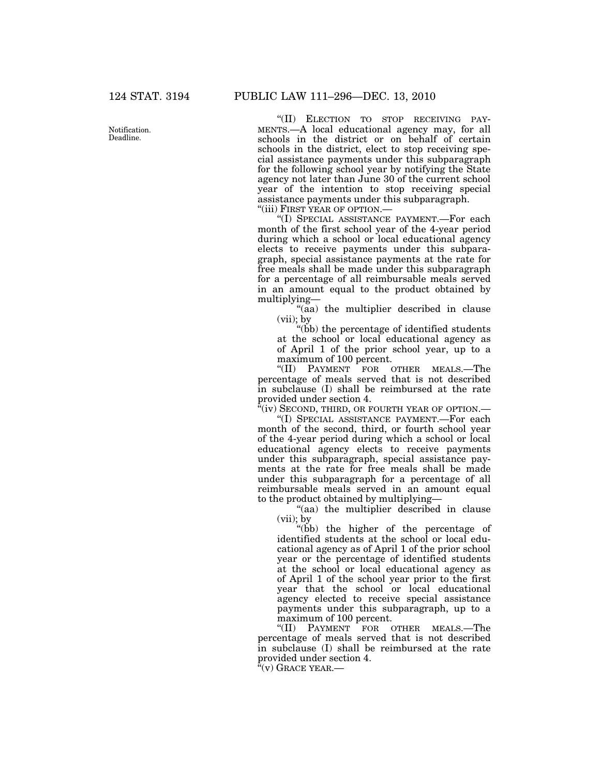Notification. Deadline.

''(II) ELECTION TO STOP RECEIVING PAY-MENTS.—A local educational agency may, for all schools in the district or on behalf of certain schools in the district, elect to stop receiving special assistance payments under this subparagraph for the following school year by notifying the State agency not later than June 30 of the current school year of the intention to stop receiving special assistance payments under this subparagraph. ''(iii) FIRST YEAR OF OPTION.—

''(I) SPECIAL ASSISTANCE PAYMENT.—For each month of the first school year of the 4-year period during which a school or local educational agency elects to receive payments under this subparagraph, special assistance payments at the rate for free meals shall be made under this subparagraph for a percentage of all reimbursable meals served in an amount equal to the product obtained by multiplying—

"(aa) the multiplier described in clause (vii); by

''(bb) the percentage of identified students at the school or local educational agency as of April 1 of the prior school year, up to a maximum of 100 percent.

''(II) PAYMENT FOR OTHER MEALS.—The percentage of meals served that is not described in subclause (I) shall be reimbursed at the rate provided under section 4.

 $\alpha$ <sup>\*</sup>(iv) Second, third, or fourth year of option.—

''(I) SPECIAL ASSISTANCE PAYMENT.—For each month of the second, third, or fourth school year of the 4-year period during which a school or local educational agency elects to receive payments under this subparagraph, special assistance payments at the rate for free meals shall be made under this subparagraph for a percentage of all reimbursable meals served in an amount equal to the product obtained by multiplying—

''(aa) the multiplier described in clause (vii); by

''(bb) the higher of the percentage of identified students at the school or local educational agency as of April 1 of the prior school year or the percentage of identified students at the school or local educational agency as of April 1 of the school year prior to the first year that the school or local educational agency elected to receive special assistance payments under this subparagraph, up to a maximum of 100 percent.

''(II) PAYMENT FOR OTHER MEALS.—The percentage of meals served that is not described in subclause (I) shall be reimbursed at the rate provided under section 4.

 $f'(v)$  Grace year.—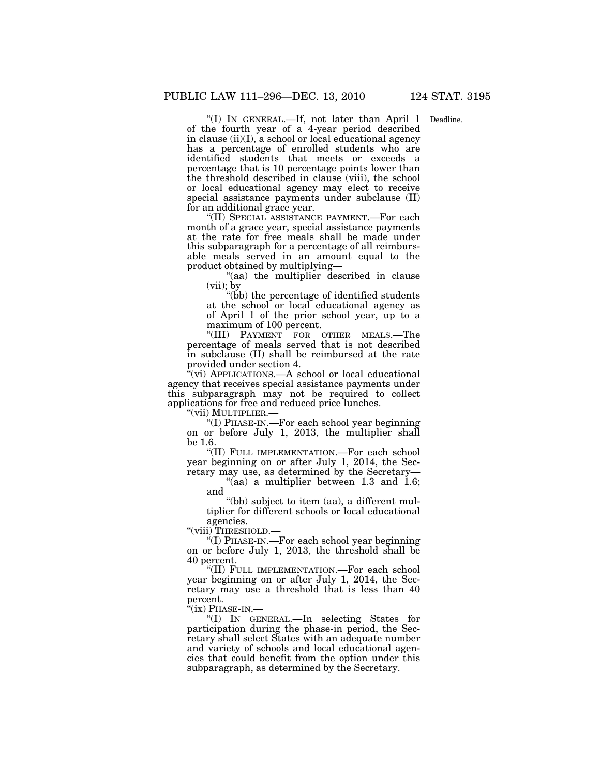Deadline.

''(I) IN GENERAL.—If, not later than April 1 of the fourth year of a 4-year period described in clause (ii)(I), a school or local educational agency has a percentage of enrolled students who are identified students that meets or exceeds a percentage that is 10 percentage points lower than the threshold described in clause (viii), the school or local educational agency may elect to receive special assistance payments under subclause (II) for an additional grace year.

''(II) SPECIAL ASSISTANCE PAYMENT.—For each month of a grace year, special assistance payments at the rate for free meals shall be made under this subparagraph for a percentage of all reimbursable meals served in an amount equal to the product obtained by multiplying—

''(aa) the multiplier described in clause (vii); by

''(bb) the percentage of identified students at the school or local educational agency as of April 1 of the prior school year, up to a maximum of 100 percent.

''(III) PAYMENT FOR OTHER MEALS.—The percentage of meals served that is not described in subclause (II) shall be reimbursed at the rate provided under section 4.

 $\sqrt[n]{v}$ (vi) APPLICATIONS.—A school or local educational agency that receives special assistance payments under this subparagraph may not be required to collect applications for free and reduced price lunches.

''(vii) MULTIPLIER.—

''(I) PHASE-IN.—For each school year beginning on or before July 1, 2013, the multiplier shall be 1.6.

''(II) FULL IMPLEMENTATION.—For each school year beginning on or after July 1, 2014, the Secretary may use, as determined by the Secretary—

"(aa) a multiplier between 1.3 and  $1.6$ ; and

(bb) subject to item (aa), a different multiplier for different schools or local educational agencies.

''(viii) THRESHOLD.—

''(I) PHASE-IN.—For each school year beginning on or before July 1, 2013, the threshold shall be 40 percent.

''(II) FULL IMPLEMENTATION.—For each school year beginning on or after July 1, 2014, the Secretary may use a threshold that is less than 40 percent.<br>"(ix) PHASE-IN.—

"(I) IN GENERAL.—In selecting States for participation during the phase-in period, the Secretary shall select States with an adequate number and variety of schools and local educational agencies that could benefit from the option under this subparagraph, as determined by the Secretary.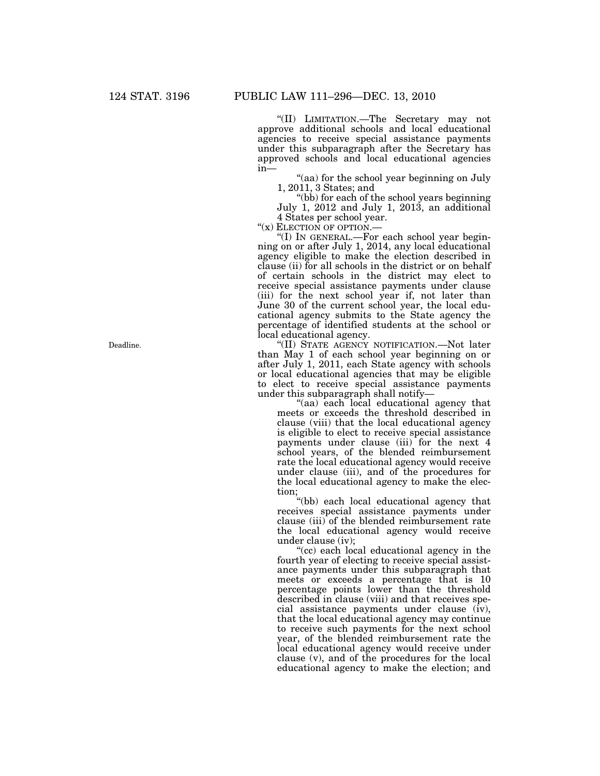''(II) LIMITATION.—The Secretary may not approve additional schools and local educational agencies to receive special assistance payments under this subparagraph after the Secretary has approved schools and local educational agencies in—

''(aa) for the school year beginning on July 1, 2011, 3 States; and

''(bb) for each of the school years beginning July 1, 2012 and July 1, 2013, an additional

4 States per school year.<br>"(x) ELECTION OF OPTION.—

"(I) IN GENERAL.—For each school year beginning on or after July 1, 2014, any local educational agency eligible to make the election described in clause (ii) for all schools in the district or on behalf of certain schools in the district may elect to receive special assistance payments under clause (iii) for the next school year if, not later than June 30 of the current school year, the local educational agency submits to the State agency the percentage of identified students at the school or local educational agency.

''(II) STATE AGENCY NOTIFICATION.—Not later than May 1 of each school year beginning on or after July 1, 2011, each State agency with schools or local educational agencies that may be eligible to elect to receive special assistance payments under this subparagraph shall notify—

"(aa) each local educational agency that meets or exceeds the threshold described in clause (viii) that the local educational agency is eligible to elect to receive special assistance payments under clause (iii) for the next 4 school years, of the blended reimbursement rate the local educational agency would receive under clause (iii), and of the procedures for the local educational agency to make the election;

''(bb) each local educational agency that receives special assistance payments under clause (iii) of the blended reimbursement rate the local educational agency would receive under clause (iv);

''(cc) each local educational agency in the fourth year of electing to receive special assistance payments under this subparagraph that meets or exceeds a percentage that is 10 percentage points lower than the threshold described in clause (viii) and that receives special assistance payments under clause (iv), that the local educational agency may continue to receive such payments for the next school year, of the blended reimbursement rate the local educational agency would receive under clause (v), and of the procedures for the local educational agency to make the election; and

Deadline.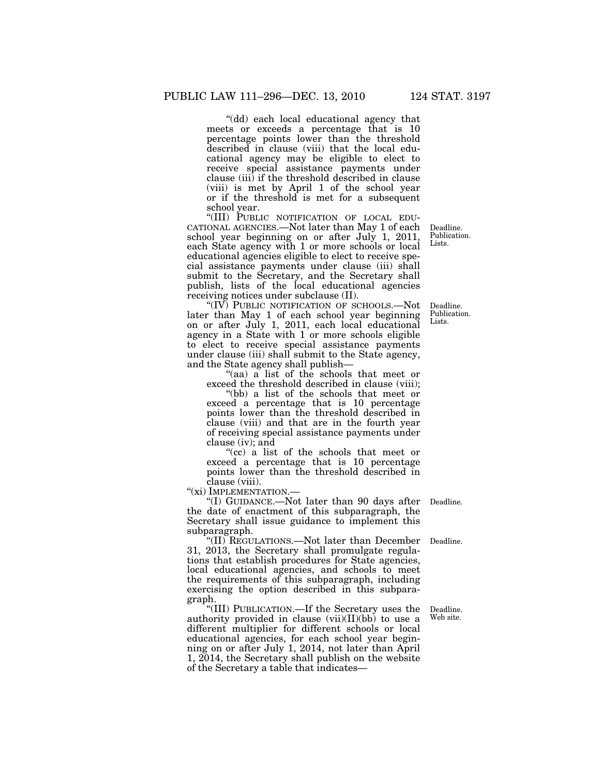''(dd) each local educational agency that meets or exceeds a percentage that is 10 percentage points lower than the threshold described in clause (viii) that the local educational agency may be eligible to elect to receive special assistance payments under clause (iii) if the threshold described in clause (viii) is met by April 1 of the school year or if the threshold is met for a subsequent school year.<br>"(III) PUBLIC NOTIFICATION OF LOCAL EDU-

CATIONAL AGENCIES.—Not later than May 1 of each school year beginning on or after July 1, 2011, each State agency with 1 or more schools or local educational agencies eligible to elect to receive special assistance payments under clause (iii) shall submit to the Secretary, and the Secretary shall publish, lists of the local educational agencies receiving notices under subclause (II).

''(IV) PUBLIC NOTIFICATION OF SCHOOLS.—Not later than May 1 of each school year beginning on or after July 1, 2011, each local educational agency in a State with 1 or more schools eligible to elect to receive special assistance payments under clause (iii) shall submit to the State agency, and the State agency shall publish—

''(aa) a list of the schools that meet or exceed the threshold described in clause (viii);

''(bb) a list of the schools that meet or exceed a percentage that is 10 percentage points lower than the threshold described in clause (viii) and that are in the fourth year of receiving special assistance payments under clause (iv); and

''(cc) a list of the schools that meet or exceed a percentage that is 10 percentage points lower than the threshold described in clause (viii).

"(xi) IMPLEMENTATION.-

''(I) GUIDANCE.—Not later than 90 days after Deadline. the date of enactment of this subparagraph, the Secretary shall issue guidance to implement this subparagraph.

''(II) REGULATIONS.—Not later than December Deadline. 31, 2013, the Secretary shall promulgate regulations that establish procedures for State agencies, local educational agencies, and schools to meet the requirements of this subparagraph, including exercising the option described in this subparagraph.

''(III) PUBLICATION.—If the Secretary uses the authority provided in clause  $(vii)(II)(bb)$  to use a different multiplier for different schools or local educational agencies, for each school year beginning on or after July 1, 2014, not later than April 1, 2014, the Secretary shall publish on the website of the Secretary a table that indicates—

Deadline. Publication. Lists.

Deadline. Publication. Lists.

Deadline. Web site.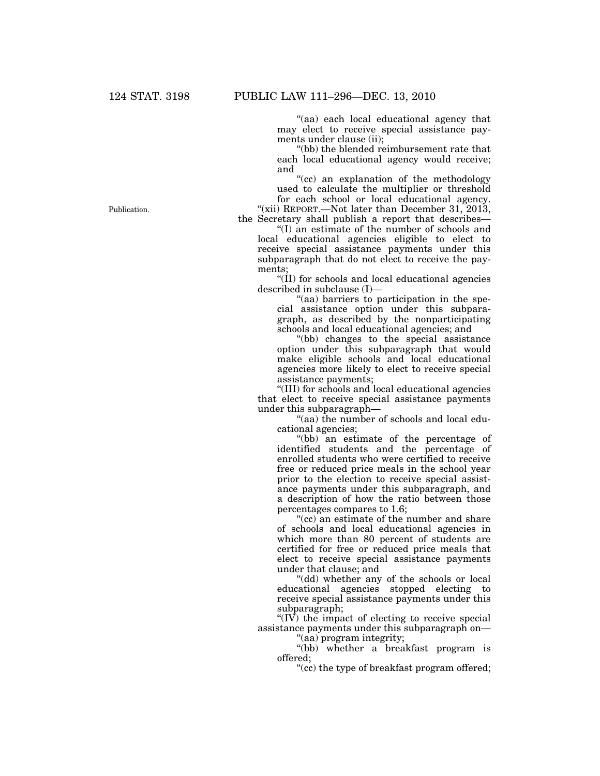''(aa) each local educational agency that may elect to receive special assistance payments under clause (ii);

''(bb) the blended reimbursement rate that each local educational agency would receive; and

''(cc) an explanation of the methodology used to calculate the multiplier or threshold

for each school or local educational agency. "(xii) REPORT.—Not later than December 31, 2013, the Secretary shall publish a report that describes—

''(I) an estimate of the number of schools and local educational agencies eligible to elect to receive special assistance payments under this subparagraph that do not elect to receive the payments;

" $(II)$  for schools and local educational agencies described in subclause (I)—

''(aa) barriers to participation in the special assistance option under this subparagraph, as described by the nonparticipating schools and local educational agencies; and

''(bb) changes to the special assistance option under this subparagraph that would make eligible schools and local educational agencies more likely to elect to receive special assistance payments;

''(III) for schools and local educational agencies that elect to receive special assistance payments under this subparagraph—

''(aa) the number of schools and local educational agencies;

''(bb) an estimate of the percentage of identified students and the percentage of enrolled students who were certified to receive free or reduced price meals in the school year prior to the election to receive special assistance payments under this subparagraph, and a description of how the ratio between those percentages compares to 1.6;

"(cc) an estimate of the number and share of schools and local educational agencies in which more than 80 percent of students are certified for free or reduced price meals that elect to receive special assistance payments under that clause; and

'(dd) whether any of the schools or local educational agencies stopped electing to receive special assistance payments under this subparagraph;

 $\sqrt{\rm IV}$  the impact of electing to receive special assistance payments under this subparagraph on—

''(aa) program integrity;

''(bb) whether a breakfast program is offered;

''(cc) the type of breakfast program offered;

Publication.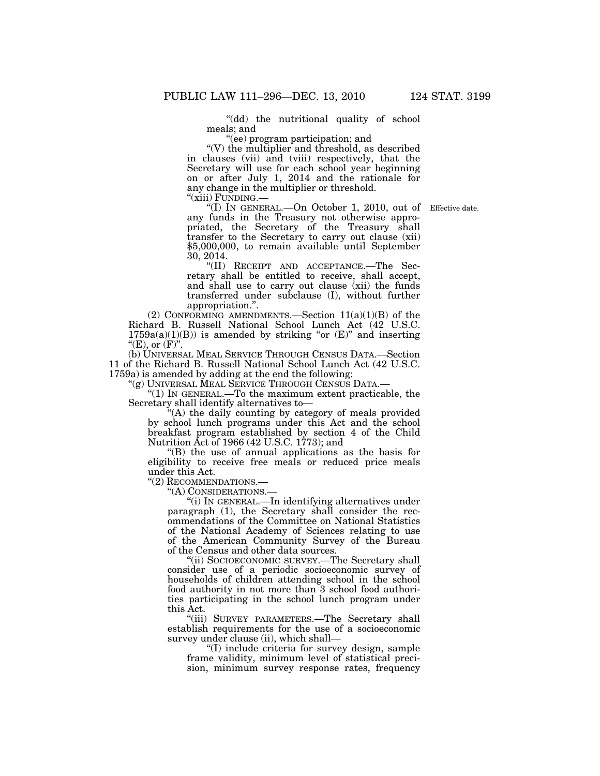''(dd) the nutritional quality of school meals; and

''(ee) program participation; and

 $\degree$ (V) the multiplier and threshold, as described in clauses (vii) and (viii) respectively, that the Secretary will use for each school year beginning on or after July 1, 2014 and the rationale for any change in the multiplier or threshold.

"(xiii) FUNDING.—<br>
"(I) IN GENERAL.—On October 1, 2010, out of Effective date. any funds in the Treasury not otherwise appropriated, the Secretary of the Treasury shall transfer to the Secretary to carry out clause (xii) \$5,000,000, to remain available until September 30, 2014.

''(II) RECEIPT AND ACCEPTANCE.—The Secretary shall be entitled to receive, shall accept, and shall use to carry out clause (xii) the funds transferred under subclause (I), without further appropriation.''.

(2) CONFORMING AMENDMENTS.—Section  $11(a)(1)(B)$  of the Richard B. Russell National School Lunch Act (42 U.S.C.  $1759a(a)(1)(B)$ ) is amended by striking "or  $(E)$ " and inserting " $(E)$ , or  $(F)$ ".

(b) UNIVERSAL MEAL SERVICE THROUGH CENSUS DATA.—Section 11 of the Richard B. Russell National School Lunch Act (42 U.S.C. 1759a) is amended by adding at the end the following:

''(g) UNIVERSAL MEAL SERVICE THROUGH CENSUS DATA.—

''(1) IN GENERAL.—To the maximum extent practicable, the Secretary shall identify alternatives to—

''(A) the daily counting by category of meals provided by school lunch programs under this Act and the school breakfast program established by section 4 of the Child Nutrition Act of 1966 (42 U.S.C. 1773); and

''(B) the use of annual applications as the basis for eligibility to receive free meals or reduced price meals under this Act.

''(2) RECOMMENDATIONS.—

''(A) CONSIDERATIONS.—

''(i) IN GENERAL.—In identifying alternatives under paragraph (1), the Secretary shall consider the recommendations of the Committee on National Statistics of the National Academy of Sciences relating to use of the American Community Survey of the Bureau of the Census and other data sources.

''(ii) SOCIOECONOMIC SURVEY.—The Secretary shall consider use of a periodic socioeconomic survey of households of children attending school in the school food authority in not more than 3 school food authorities participating in the school lunch program under this Act.

"(iii) SURVEY PARAMETERS.-The Secretary shall establish requirements for the use of a socioeconomic survey under clause (ii), which shall—

''(I) include criteria for survey design, sample frame validity, minimum level of statistical precision, minimum survey response rates, frequency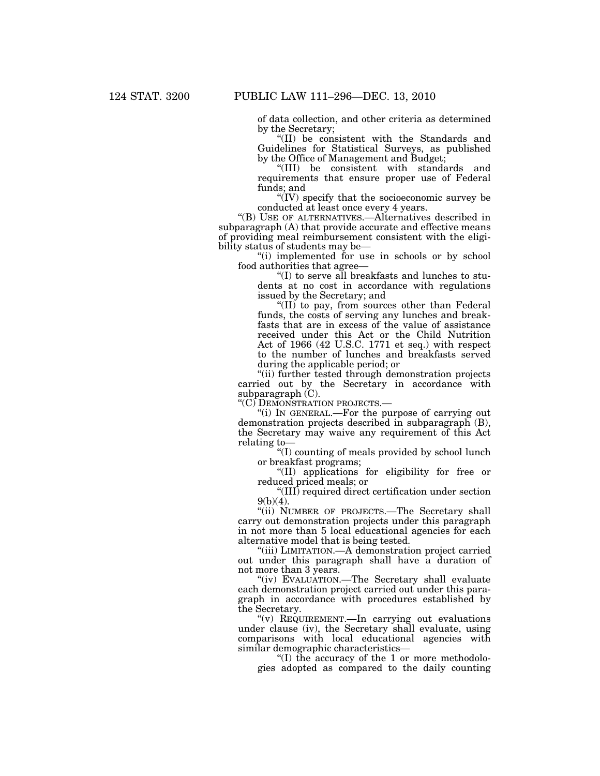of data collection, and other criteria as determined by the Secretary;

''(II) be consistent with the Standards and Guidelines for Statistical Surveys, as published by the Office of Management and Budget;

''(III) be consistent with standards and requirements that ensure proper use of Federal funds; and

''(IV) specify that the socioeconomic survey be conducted at least once every 4 years.

''(B) USE OF ALTERNATIVES.—Alternatives described in subparagraph (A) that provide accurate and effective means of providing meal reimbursement consistent with the eligibility status of students may be—

''(i) implemented for use in schools or by school food authorities that agree—

''(I) to serve all breakfasts and lunches to students at no cost in accordance with regulations issued by the Secretary; and

''(II) to pay, from sources other than Federal funds, the costs of serving any lunches and breakfasts that are in excess of the value of assistance received under this Act or the Child Nutrition Act of 1966 (42 U.S.C. 1771 et seq.) with respect to the number of lunches and breakfasts served during the applicable period; or

''(ii) further tested through demonstration projects carried out by the Secretary in accordance with subparagraph  $(C)$ .

''(C) DEMONSTRATION PROJECTS.—

''(i) IN GENERAL.—For the purpose of carrying out demonstration projects described in subparagraph (B), the Secretary may waive any requirement of this Act relating to—

''(I) counting of meals provided by school lunch or breakfast programs;

''(II) applications for eligibility for free or reduced priced meals; or

''(III) required direct certification under section  $9(b)(4)$ .

"(ii) NUMBER OF PROJECTS.-The Secretary shall carry out demonstration projects under this paragraph in not more than 5 local educational agencies for each alternative model that is being tested.

''(iii) LIMITATION.—A demonstration project carried out under this paragraph shall have a duration of not more than 3 years.

''(iv) EVALUATION.—The Secretary shall evaluate each demonstration project carried out under this paragraph in accordance with procedures established by the Secretary.

''(v) REQUIREMENT.—In carrying out evaluations under clause (iv), the Secretary shall evaluate, using comparisons with local educational agencies with similar demographic characteristics—

"(I) the accuracy of the 1 or more methodologies adopted as compared to the daily counting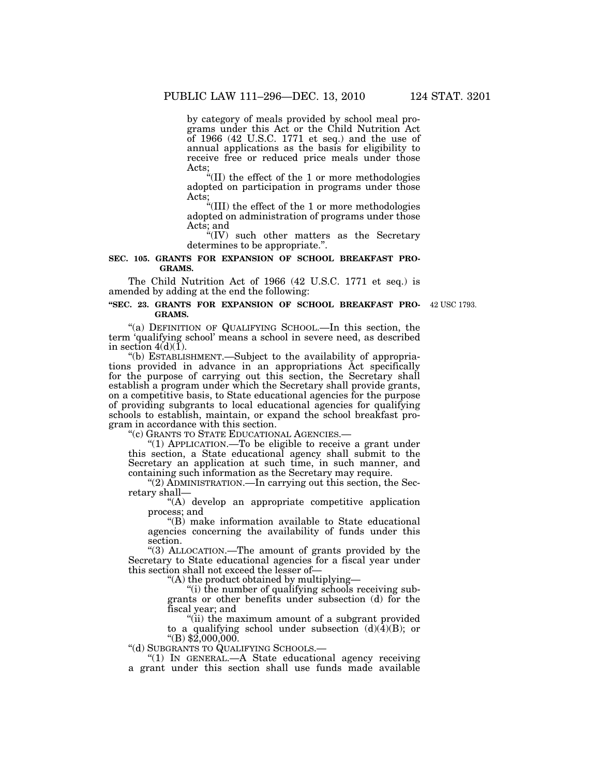by category of meals provided by school meal programs under this Act or the Child Nutrition Act of 1966 (42 U.S.C. 1771 et seq.) and the use of annual applications as the basis for eligibility to receive free or reduced price meals under those Acts;

''(II) the effect of the 1 or more methodologies adopted on participation in programs under those Acts;

''(III) the effect of the 1 or more methodologies adopted on administration of programs under those Acts; and

"(IV) such other matters as the Secretary determines to be appropriate.''.

# **SEC. 105. GRANTS FOR EXPANSION OF SCHOOL BREAKFAST PRO-GRAMS.**

The Child Nutrition Act of 1966 (42 U.S.C. 1771 et seq.) is amended by adding at the end the following:

#### **''SEC. 23. GRANTS FOR EXPANSION OF SCHOOL BREAKFAST PRO-**42 USC 1793. **GRAMS.**

"(a) DEFINITION OF QUALIFYING SCHOOL.—In this section, the term 'qualifying school' means a school in severe need, as described in section  $4(d)(1)$ .

''(b) ESTABLISHMENT.—Subject to the availability of appropriations provided in advance in an appropriations Act specifically for the purpose of carrying out this section, the Secretary shall establish a program under which the Secretary shall provide grants, on a competitive basis, to State educational agencies for the purpose of providing subgrants to local educational agencies for qualifying schools to establish, maintain, or expand the school breakfast program in accordance with this section.<br>"(c) GRANTS TO STATE EDUCATIONAL AGENCIES.-

"(1) APPLICATION.—To be eligible to receive a grant under this section, a State educational agency shall submit to the Secretary an application at such time, in such manner, and containing such information as the Secretary may require.

"(2) ADMINISTRATION.—In carrying out this section, the Secretary shall—

''(A) develop an appropriate competitive application process; and

''(B) make information available to State educational agencies concerning the availability of funds under this section.

''(3) ALLOCATION.—The amount of grants provided by the Secretary to State educational agencies for a fiscal year under this section shall not exceed the lesser of—

''(A) the product obtained by multiplying—

''(i) the number of qualifying schools receiving subgrants or other benefits under subsection (d) for the fiscal year; and

''(ii) the maximum amount of a subgrant provided to a qualifying school under subsection  $(d)(4)(B)$ ; or ''(B) \$2,000,000.

''(d) SUBGRANTS TO QUALIFYING SCHOOLS.—

''(1) IN GENERAL.—A State educational agency receiving a grant under this section shall use funds made available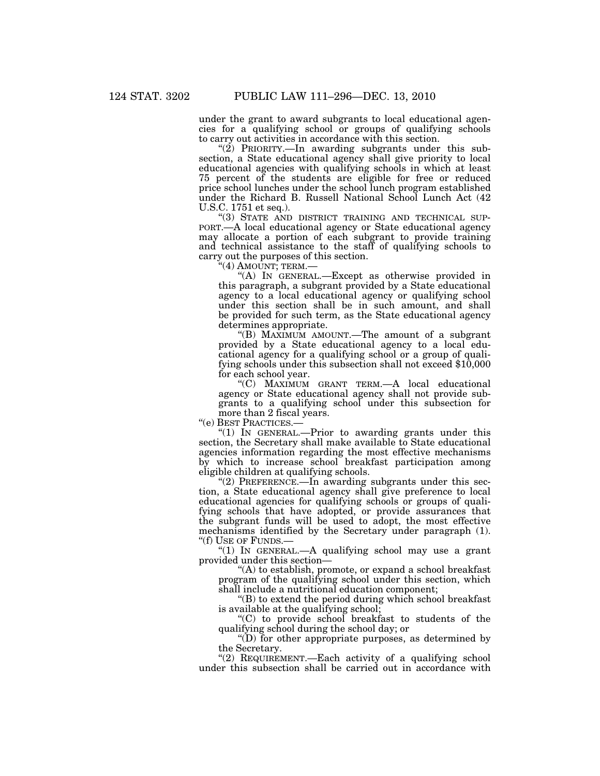under the grant to award subgrants to local educational agencies for a qualifying school or groups of qualifying schools to carry out activities in accordance with this section.

" $(2)$  PRIORITY.—In awarding subgrants under this subsection, a State educational agency shall give priority to local educational agencies with qualifying schools in which at least 75 percent of the students are eligible for free or reduced price school lunches under the school lunch program established under the Richard B. Russell National School Lunch Act (42 U.S.C. 1751 et seq.).<br>"(3) STATE AND DISTRICT TRAINING AND TECHNICAL SUP-

PORT.—A local educational agency or State educational agency may allocate a portion of each subgrant to provide training and technical assistance to the staff of qualifying schools to carry out the purposes of this section.<br>"(4) AMOUNT; TERM.—

"(A) IN GENERAL.—Except as otherwise provided in this paragraph, a subgrant provided by a State educational agency to a local educational agency or qualifying school under this section shall be in such amount, and shall be provided for such term, as the State educational agency determines appropriate.

''(B) MAXIMUM AMOUNT.—The amount of a subgrant provided by a State educational agency to a local educational agency for a qualifying school or a group of qualifying schools under this subsection shall not exceed \$10,000 for each school year.

''(C) MAXIMUM GRANT TERM.—A local educational agency or State educational agency shall not provide subgrants to a qualifying school under this subsection for more than 2 fiscal years.

''(e) BEST PRACTICES.—

''(1) IN GENERAL.—Prior to awarding grants under this section, the Secretary shall make available to State educational agencies information regarding the most effective mechanisms by which to increase school breakfast participation among eligible children at qualifying schools.

" $(2)$  PREFERENCE.—In awarding subgrants under this section, a State educational agency shall give preference to local educational agencies for qualifying schools or groups of qualifying schools that have adopted, or provide assurances that the subgrant funds will be used to adopt, the most effective mechanisms identified by the Secretary under paragraph (1). ''(f) USE OF FUNDS.—

" $(1)$  In GENERAL.—A qualifying school may use a grant provided under this section—

''(A) to establish, promote, or expand a school breakfast program of the qualifying school under this section, which shall include a nutritional education component;

''(B) to extend the period during which school breakfast is available at the qualifying school;

''(C) to provide school breakfast to students of the qualifying school during the school day; or

''(D) for other appropriate purposes, as determined by the Secretary.

''(2) REQUIREMENT.—Each activity of a qualifying school under this subsection shall be carried out in accordance with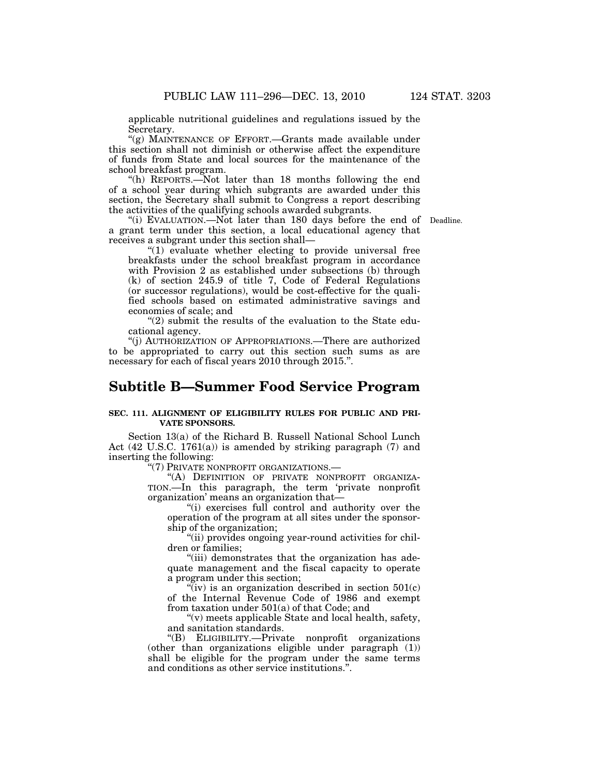applicable nutritional guidelines and regulations issued by the Secretary.

"(g) MAINTENANCE OF EFFORT. - Grants made available under this section shall not diminish or otherwise affect the expenditure of funds from State and local sources for the maintenance of the school breakfast program.

''(h) REPORTS.—Not later than 18 months following the end of a school year during which subgrants are awarded under this section, the Secretary shall submit to Congress a report describing the activities of the qualifying schools awarded subgrants.

"(i) EVALUATION.—Not later than 180 days before the end of Deadline. a grant term under this section, a local educational agency that receives a subgrant under this section shall—

"(1) evaluate whether electing to provide universal free breakfasts under the school breakfast program in accordance with Provision 2 as established under subsections (b) through (k) of section 245.9 of title 7, Code of Federal Regulations (or successor regulations), would be cost-effective for the qualified schools based on estimated administrative savings and economies of scale; and

''(2) submit the results of the evaluation to the State educational agency.

''(j) AUTHORIZATION OF APPROPRIATIONS.—There are authorized to be appropriated to carry out this section such sums as are necessary for each of fiscal years 2010 through 2015.''.

# **Subtitle B—Summer Food Service Program**

# **SEC. 111. ALIGNMENT OF ELIGIBILITY RULES FOR PUBLIC AND PRI-VATE SPONSORS.**

Section 13(a) of the Richard B. Russell National School Lunch Act (42 U.S.C. 1761(a)) is amended by striking paragraph (7) and inserting the following:

''(7) PRIVATE NONPROFIT ORGANIZATIONS.—

"(A) DEFINITION OF PRIVATE NONPROFIT ORGANIZA-TION.—In this paragraph, the term 'private nonprofit organization' means an organization that—

"(i) exercises full control and authority over the operation of the program at all sites under the sponsorship of the organization;

"(ii) provides ongoing year-round activities for children or families;

''(iii) demonstrates that the organization has adequate management and the fiscal capacity to operate a program under this section;

 $\sqrt{\ }$ iv) is an organization described in section 501(c) of the Internal Revenue Code of 1986 and exempt from taxation under 501(a) of that Code; and

''(v) meets applicable State and local health, safety, and sanitation standards.

''(B) ELIGIBILITY.—Private nonprofit organizations (other than organizations eligible under paragraph (1)) shall be eligible for the program under the same terms and conditions as other service institutions.''.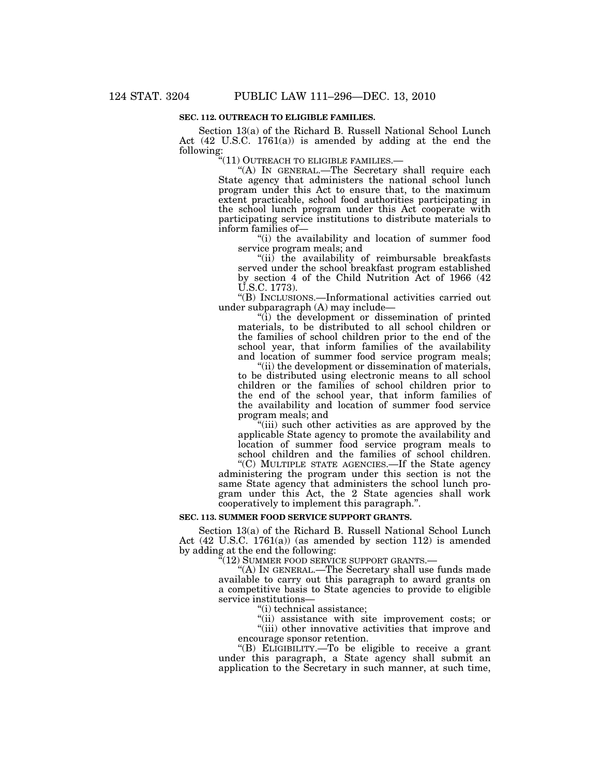# **SEC. 112. OUTREACH TO ELIGIBLE FAMILIES.**

Section 13(a) of the Richard B. Russell National School Lunch Act (42 U.S.C. 1761(a)) is amended by adding at the end the following:

''(11) OUTREACH TO ELIGIBLE FAMILIES.—

''(A) IN GENERAL.—The Secretary shall require each State agency that administers the national school lunch program under this Act to ensure that, to the maximum extent practicable, school food authorities participating in the school lunch program under this Act cooperate with participating service institutions to distribute materials to inform families of—

''(i) the availability and location of summer food service program meals; and

"(ii) the availability of reimbursable breakfasts served under the school breakfast program established by section 4 of the Child Nutrition Act of 1966 (42 U.S.C. 1773).

''(B) INCLUSIONS.—Informational activities carried out under subparagraph (A) may include—

''(i) the development or dissemination of printed materials, to be distributed to all school children or the families of school children prior to the end of the school year, that inform families of the availability and location of summer food service program meals;

''(ii) the development or dissemination of materials, to be distributed using electronic means to all school children or the families of school children prior to the end of the school year, that inform families of the availability and location of summer food service program meals; and

''(iii) such other activities as are approved by the applicable State agency to promote the availability and location of summer food service program meals to school children and the families of school children.

''(C) MULTIPLE STATE AGENCIES.—If the State agency administering the program under this section is not the same State agency that administers the school lunch program under this Act, the 2 State agencies shall work cooperatively to implement this paragraph.''.

### **SEC. 113. SUMMER FOOD SERVICE SUPPORT GRANTS.**

Section 13(a) of the Richard B. Russell National School Lunch Act (42 U.S.C. 1761(a)) (as amended by section 112) is amended by adding at the end the following:

"(12) SUMMER FOOD SERVICE SUPPORT GRANTS.—

''(A) IN GENERAL.—The Secretary shall use funds made available to carry out this paragraph to award grants on a competitive basis to State agencies to provide to eligible service institutions—

''(i) technical assistance;

''(ii) assistance with site improvement costs; or "(iii) other innovative activities that improve and encourage sponsor retention.

''(B) ELIGIBILITY.—To be eligible to receive a grant under this paragraph, a State agency shall submit an application to the Secretary in such manner, at such time,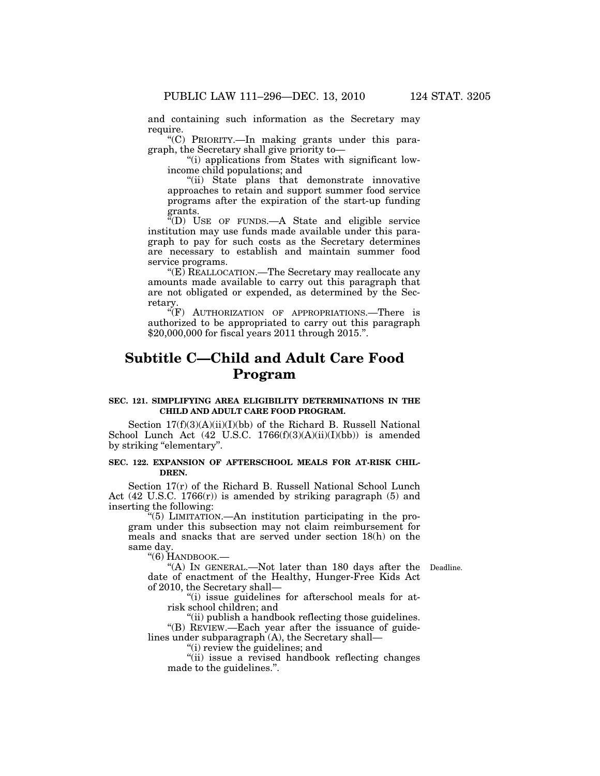and containing such information as the Secretary may require.

''(C) PRIORITY.—In making grants under this paragraph, the Secretary shall give priority to—

''(i) applications from States with significant lowincome child populations; and

''(ii) State plans that demonstrate innovative approaches to retain and support summer food service programs after the expiration of the start-up funding grants.

''(D) USE OF FUNDS.—A State and eligible service institution may use funds made available under this paragraph to pay for such costs as the Secretary determines are necessary to establish and maintain summer food service programs.

''(E) REALLOCATION.—The Secretary may reallocate any amounts made available to carry out this paragraph that are not obligated or expended, as determined by the Secretary.

''(F) AUTHORIZATION OF APPROPRIATIONS.—There is authorized to be appropriated to carry out this paragraph \$20,000,000 for fiscal years 2011 through 2015.''.

# **Subtitle C—Child and Adult Care Food Program**

#### **SEC. 121. SIMPLIFYING AREA ELIGIBILITY DETERMINATIONS IN THE CHILD AND ADULT CARE FOOD PROGRAM.**

Section  $17(f)(3)(A)(ii)(I)(bb)$  of the Richard B. Russell National School Lunch Act (42 U.S.C. 1766(f)(3)(A)(ii)(I)(bb)) is amended by striking "elementary".

#### **SEC. 122. EXPANSION OF AFTERSCHOOL MEALS FOR AT-RISK CHIL-DREN.**

Section 17(r) of the Richard B. Russell National School Lunch Act (42 U.S.C. 1766(r)) is amended by striking paragraph (5) and inserting the following:

''(5) LIMITATION.—An institution participating in the program under this subsection may not claim reimbursement for meals and snacks that are served under section 18(h) on the same day.

''(6) HANDBOOK.—

"(A) In GENERAL.—Not later than 180 days after the Deadline. date of enactment of the Healthy, Hunger-Free Kids Act of 2010, the Secretary shall—

''(i) issue guidelines for afterschool meals for atrisk school children; and

''(ii) publish a handbook reflecting those guidelines. ''(B) REVIEW.—Each year after the issuance of guidelines under subparagraph (A), the Secretary shall—

''(i) review the guidelines; and

''(ii) issue a revised handbook reflecting changes made to the guidelines.''.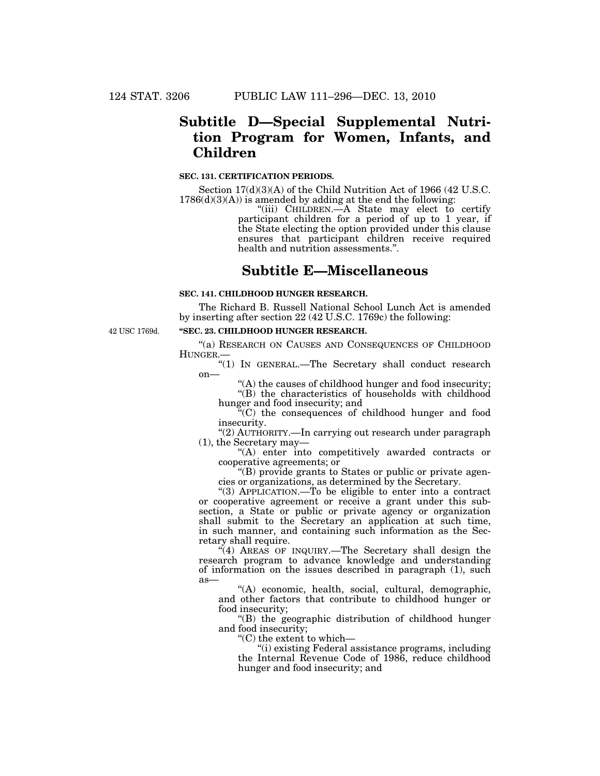# **Subtitle D—Special Supplemental Nutrition Program for Women, Infants, and Children**

#### **SEC. 131. CERTIFICATION PERIODS.**

Section 17(d)(3)(A) of the Child Nutrition Act of 1966 (42 U.S.C.  $1786(d)(3)(A)$  is amended by adding at the end the following:

''(iii) CHILDREN.—A State may elect to certify participant children for a period of up to 1 year, if the State electing the option provided under this clause ensures that participant children receive required health and nutrition assessments.''.

# **Subtitle E—Miscellaneous**

# **SEC. 141. CHILDHOOD HUNGER RESEARCH.**

The Richard B. Russell National School Lunch Act is amended by inserting after section 22 (42 U.S.C. 1769c) the following:

42 USC 1769d.

### **''SEC. 23. CHILDHOOD HUNGER RESEARCH.**

''(a) RESEARCH ON CAUSES AND CONSEQUENCES OF CHILDHOOD HUNGER.—

"(1) IN GENERAL.—The Secretary shall conduct research  $on$ —

''(A) the causes of childhood hunger and food insecurity; ''(B) the characteristics of households with childhood hunger and food insecurity; and

 $\tilde{H}(C)$  the consequences of childhood hunger and food insecurity.

''(2) AUTHORITY.—In carrying out research under paragraph (1), the Secretary may—

''(A) enter into competitively awarded contracts or cooperative agreements; or

''(B) provide grants to States or public or private agencies or organizations, as determined by the Secretary.

''(3) APPLICATION.—To be eligible to enter into a contract or cooperative agreement or receive a grant under this subsection, a State or public or private agency or organization shall submit to the Secretary an application at such time, in such manner, and containing such information as the Secretary shall require.

 $\mathcal{H}(4)$  AREAS OF INQUIRY.—The Secretary shall design the research program to advance knowledge and understanding of information on the issues described in paragraph (1), such as—

''(A) economic, health, social, cultural, demographic, and other factors that contribute to childhood hunger or food insecurity;

''(B) the geographic distribution of childhood hunger and food insecurity;

''(C) the extent to which—

''(i) existing Federal assistance programs, including the Internal Revenue Code of 1986, reduce childhood hunger and food insecurity; and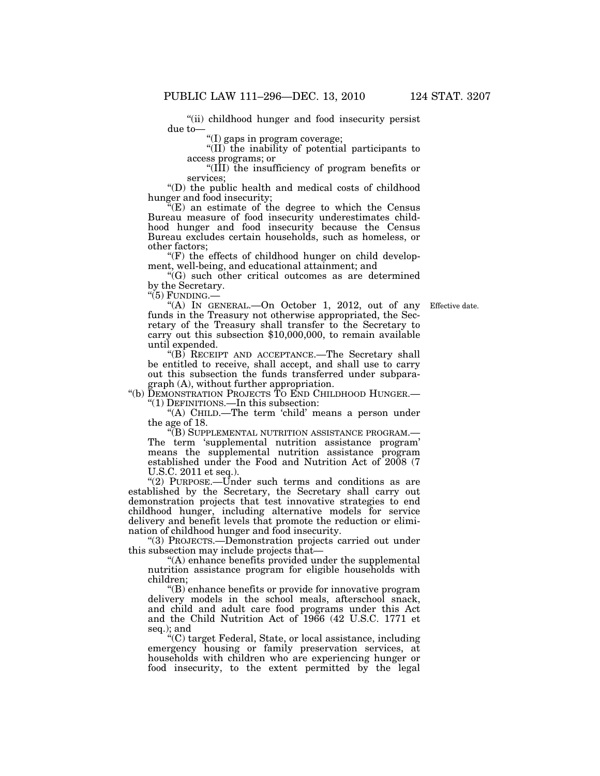"(ii) childhood hunger and food insecurity persist due to—

''(I) gaps in program coverage;

''(II) the inability of potential participants to access programs; or

''(III) the insufficiency of program benefits or services;

''(D) the public health and medical costs of childhood hunger and food insecurity;

''(E) an estimate of the degree to which the Census Bureau measure of food insecurity underestimates childhood hunger and food insecurity because the Census Bureau excludes certain households, such as homeless, or other factors;

 $(F)$  the effects of childhood hunger on child development, well-being, and educational attainment; and

''(G) such other critical outcomes as are determined by the Secretary.

" $(5)$  FUNDING. $-$ 

Effective date.

''(A) IN GENERAL.—On October 1, 2012, out of any funds in the Treasury not otherwise appropriated, the Secretary of the Treasury shall transfer to the Secretary to carry out this subsection \$10,000,000, to remain available until expended.

"(B) RECEIPT AND ACCEPTANCE.—The Secretary shall be entitled to receive, shall accept, and shall use to carry out this subsection the funds transferred under subparagraph (A), without further appropriation.

''(b) DEMONSTRATION PROJECTS TO END CHILDHOOD HUNGER.— ''(1) DEFINITIONS.—In this subsection:

"(A) CHILD.—The term 'child' means a person under the age of 18.

''(B) SUPPLEMENTAL NUTRITION ASSISTANCE PROGRAM.— The term 'supplemental nutrition assistance program' means the supplemental nutrition assistance program established under the Food and Nutrition Act of 2008 (7 U.S.C. 2011 et seq.).

"(2) PURPOSE.—Under such terms and conditions as are established by the Secretary, the Secretary shall carry out demonstration projects that test innovative strategies to end childhood hunger, including alternative models for service delivery and benefit levels that promote the reduction or elimination of childhood hunger and food insecurity.

''(3) PROJECTS.—Demonstration projects carried out under this subsection may include projects that—

''(A) enhance benefits provided under the supplemental nutrition assistance program for eligible households with children;

"(B) enhance benefits or provide for innovative program delivery models in the school meals, afterschool snack, and child and adult care food programs under this Act and the Child Nutrition Act of 1966 (42 U.S.C. 1771 et seq.); and

''(C) target Federal, State, or local assistance, including emergency housing or family preservation services, at households with children who are experiencing hunger or food insecurity, to the extent permitted by the legal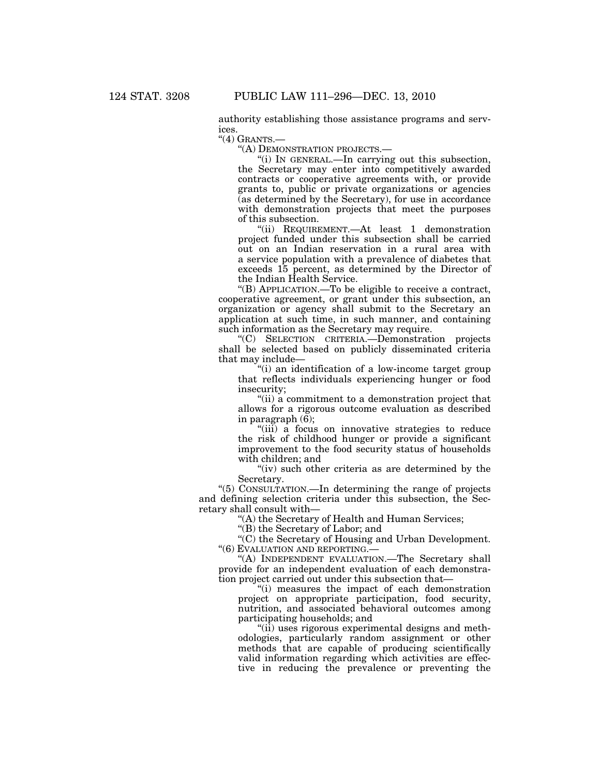authority establishing those assistance programs and services.

 $"$ (4) GRANTS. $-$ 

''(A) DEMONSTRATION PROJECTS.—

''(i) IN GENERAL.—In carrying out this subsection, the Secretary may enter into competitively awarded contracts or cooperative agreements with, or provide grants to, public or private organizations or agencies (as determined by the Secretary), for use in accordance with demonstration projects that meet the purposes of this subsection.

''(ii) REQUIREMENT.—At least 1 demonstration project funded under this subsection shall be carried out on an Indian reservation in a rural area with a service population with a prevalence of diabetes that exceeds 15 percent, as determined by the Director of the Indian Health Service.

''(B) APPLICATION.—To be eligible to receive a contract, cooperative agreement, or grant under this subsection, an organization or agency shall submit to the Secretary an application at such time, in such manner, and containing such information as the Secretary may require.

''(C) SELECTION CRITERIA.—Demonstration projects shall be selected based on publicly disseminated criteria that may include—

"(i) an identification of a low-income target group" that reflects individuals experiencing hunger or food insecurity;

''(ii) a commitment to a demonstration project that allows for a rigorous outcome evaluation as described in paragraph  $(\bar{6})$ ;

"(iii) a focus on innovative strategies to reduce the risk of childhood hunger or provide a significant improvement to the food security status of households with children; and

"(iv) such other criteria as are determined by the Secretary.

''(5) CONSULTATION.—In determining the range of projects and defining selection criteria under this subsection, the Secretary shall consult with—

''(A) the Secretary of Health and Human Services;

''(B) the Secretary of Labor; and

''(C) the Secretary of Housing and Urban Development. ''(6) EVALUATION AND REPORTING.—

"(A) INDEPENDENT EVALUATION.—The Secretary shall provide for an independent evaluation of each demonstration project carried out under this subsection that—

''(i) measures the impact of each demonstration project on appropriate participation, food security, nutrition, and associated behavioral outcomes among participating households; and

 $\lq$ <sup>"(ii)</sup> uses rigorous experimental designs and methodologies, particularly random assignment or other methods that are capable of producing scientifically valid information regarding which activities are effective in reducing the prevalence or preventing the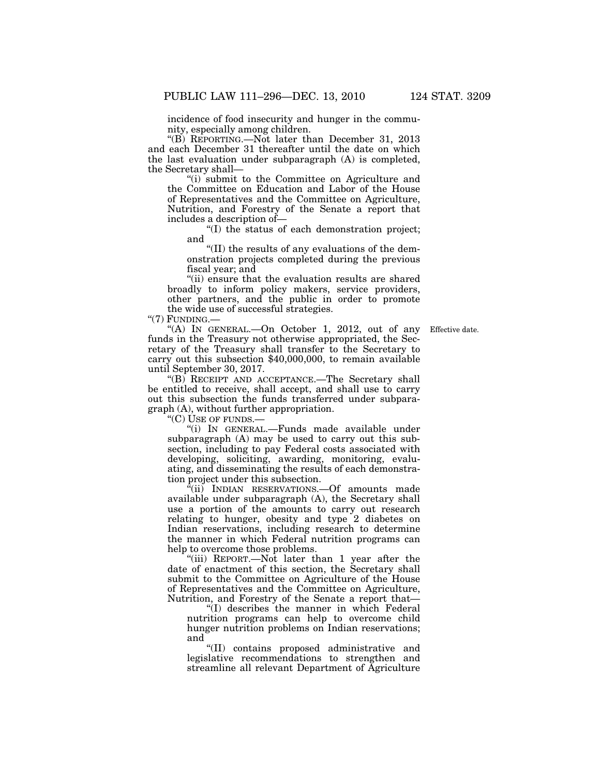incidence of food insecurity and hunger in the community, especially among children.

"(B) REPORTING.—Not later than December 31, 2013 and each December 31 thereafter until the date on which the last evaluation under subparagraph (A) is completed, the Secretary shall—

''(i) submit to the Committee on Agriculture and the Committee on Education and Labor of the House of Representatives and the Committee on Agriculture, Nutrition, and Forestry of the Senate a report that includes a description of—

''(I) the status of each demonstration project; and

''(II) the results of any evaluations of the demonstration projects completed during the previous fiscal year; and

''(ii) ensure that the evaluation results are shared broadly to inform policy makers, service providers, other partners, and the public in order to promote the wide use of successful strategies.

"(7) FUNDING.-

Effective date.

''(A) IN GENERAL.—On October 1, 2012, out of any funds in the Treasury not otherwise appropriated, the Secretary of the Treasury shall transfer to the Secretary to carry out this subsection \$40,000,000, to remain available until September 30, 2017.

''(B) RECEIPT AND ACCEPTANCE.—The Secretary shall be entitled to receive, shall accept, and shall use to carry out this subsection the funds transferred under subparagraph (A), without further appropriation.

''(C) USE OF FUNDS.—

''(i) IN GENERAL.—Funds made available under subparagraph (A) may be used to carry out this subsection, including to pay Federal costs associated with developing, soliciting, awarding, monitoring, evaluating, and disseminating the results of each demonstration project under this subsection.

 $\frac{\dot{a}}{\dot{a}}$ (ii) INDIAN RESERVATIONS.—Of amounts made available under subparagraph (A), the Secretary shall use a portion of the amounts to carry out research relating to hunger, obesity and type 2 diabetes on Indian reservations, including research to determine the manner in which Federal nutrition programs can help to overcome those problems.

''(iii) REPORT.—Not later than 1 year after the date of enactment of this section, the Secretary shall submit to the Committee on Agriculture of the House of Representatives and the Committee on Agriculture, Nutrition, and Forestry of the Senate a report that—

''(I) describes the manner in which Federal nutrition programs can help to overcome child hunger nutrition problems on Indian reservations; and

''(II) contains proposed administrative and legislative recommendations to strengthen and streamline all relevant Department of Agriculture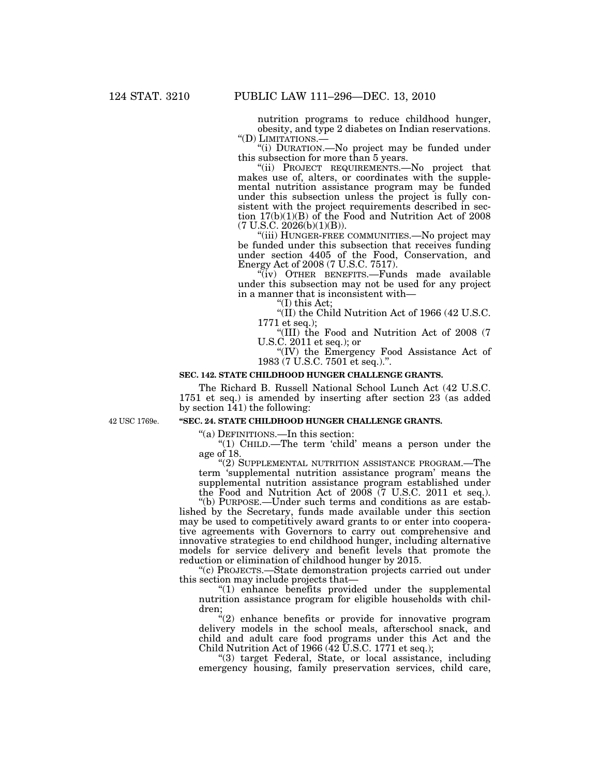nutrition programs to reduce childhood hunger, obesity, and type 2 diabetes on Indian reservations.

"(i) DURATION.—No project may be funded under this subsection for more than 5 years.

"(ii) PROJECT REQUIREMENTS.-No project that makes use of, alters, or coordinates with the supplemental nutrition assistance program may be funded under this subsection unless the project is fully consistent with the project requirements described in section 17(b)(1)(B) of the Food and Nutrition Act of 2008 (7 U.S.C. 2026(b)(1)(B)).

''(iii) HUNGER-FREE COMMUNITIES.—No project may be funded under this subsection that receives funding under section 4405 of the Food, Conservation, and Energy Act of 2008 (7 U.S.C. 7517).

(iv) OTHER BENEFITS.—Funds made available under this subsection may not be used for any project in a manner that is inconsistent with—

''(I) this Act;

''(II) the Child Nutrition Act of 1966 (42 U.S.C. 1771 et seq.);

''(III) the Food and Nutrition Act of 2008 (7 U.S.C. 2011 et seq.); or

''(IV) the Emergency Food Assistance Act of 1983 (7 U.S.C. 7501 et seq.).''.

### **SEC. 142. STATE CHILDHOOD HUNGER CHALLENGE GRANTS.**

The Richard B. Russell National School Lunch Act (42 U.S.C. 1751 et seq.) is amended by inserting after section 23 (as added by section 141) the following:

42 USC 1769e.

# **''SEC. 24. STATE CHILDHOOD HUNGER CHALLENGE GRANTS.**

''(a) DEFINITIONS.—In this section:

''(1) CHILD.—The term 'child' means a person under the age of 18.

''(2) SUPPLEMENTAL NUTRITION ASSISTANCE PROGRAM.—The term 'supplemental nutrition assistance program' means the supplemental nutrition assistance program established under the Food and Nutrition Act of 2008 (7 U.S.C. 2011 et seq.).

''(b) PURPOSE.—Under such terms and conditions as are established by the Secretary, funds made available under this section may be used to competitively award grants to or enter into cooperative agreements with Governors to carry out comprehensive and innovative strategies to end childhood hunger, including alternative models for service delivery and benefit levels that promote the reduction or elimination of childhood hunger by 2015.

''(c) PROJECTS.—State demonstration projects carried out under this section may include projects that—

''(1) enhance benefits provided under the supplemental nutrition assistance program for eligible households with children;

 $(2)$  enhance benefits or provide for innovative program delivery models in the school meals, afterschool snack, and child and adult care food programs under this Act and the Child Nutrition Act of 1966  $(42 \text{ U.S.C. } 1771 \text{ et seq.})$ ;

''(3) target Federal, State, or local assistance, including emergency housing, family preservation services, child care,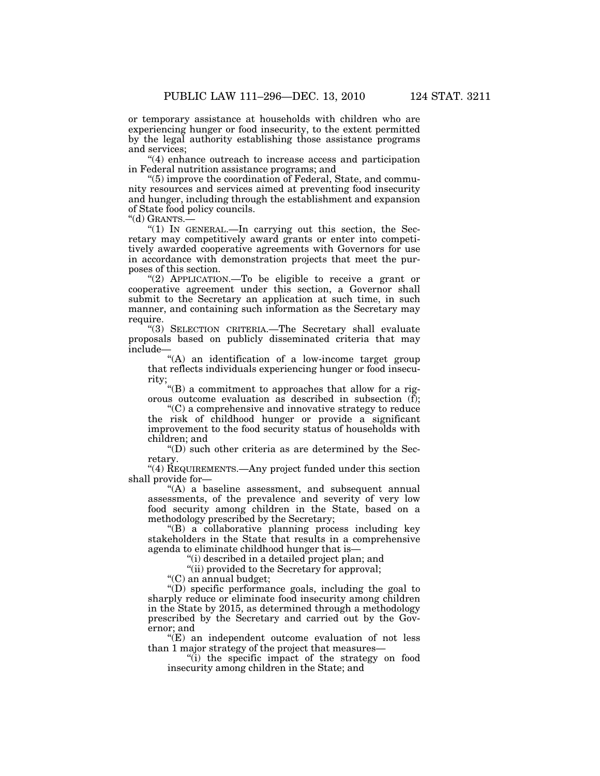or temporary assistance at households with children who are experiencing hunger or food insecurity, to the extent permitted by the legal authority establishing those assistance programs and services;

''(4) enhance outreach to increase access and participation in Federal nutrition assistance programs; and

''(5) improve the coordination of Federal, State, and community resources and services aimed at preventing food insecurity and hunger, including through the establishment and expansion of State food policy councils.

''(d) GRANTS.—

"(1) IN GENERAL.—In carrying out this section, the Secretary may competitively award grants or enter into competitively awarded cooperative agreements with Governors for use in accordance with demonstration projects that meet the purposes of this section.

"(2) APPLICATION.—To be eligible to receive a grant or cooperative agreement under this section, a Governor shall submit to the Secretary an application at such time, in such manner, and containing such information as the Secretary may require.

''(3) SELECTION CRITERIA.—The Secretary shall evaluate proposals based on publicly disseminated criteria that may include—

"(A) an identification of a low-income target group that reflects individuals experiencing hunger or food insecurity;

''(B) a commitment to approaches that allow for a rigorous outcome evaluation as described in subsection  $(f)$ ;

''(C) a comprehensive and innovative strategy to reduce the risk of childhood hunger or provide a significant improvement to the food security status of households with children; and

 $\mathrm{``(D)}$  such other criteria as are determined by the Secretary.

"(4) REQUIREMENTS.—Any project funded under this section shall provide for—

 $(A)$  a baseline assessment, and subsequent annual assessments, of the prevalence and severity of very low food security among children in the State, based on a methodology prescribed by the Secretary;

''(B) a collaborative planning process including key stakeholders in the State that results in a comprehensive agenda to eliminate childhood hunger that is—

''(i) described in a detailed project plan; and

''(ii) provided to the Secretary for approval;

''(C) an annual budget;

''(D) specific performance goals, including the goal to sharply reduce or eliminate food insecurity among children in the State by 2015, as determined through a methodology prescribed by the Secretary and carried out by the Governor; and

''(E) an independent outcome evaluation of not less than 1 major strategy of the project that measures—

"(i) the specific impact of the strategy on food insecurity among children in the State; and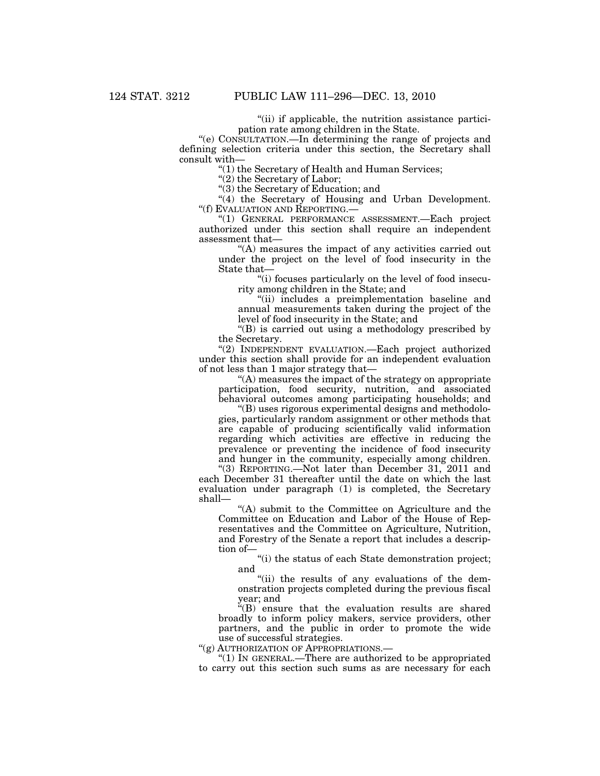"(ii) if applicable, the nutrition assistance participation rate among children in the State.

''(e) CONSULTATION.—In determining the range of projects and defining selection criteria under this section, the Secretary shall consult with—

''(1) the Secretary of Health and Human Services;

"(2) the Secretary of Labor;

''(3) the Secretary of Education; and

"(4) the Secretary of Housing and Urban Development. ''(f) EVALUATION AND REPORTING.—

''(1) GENERAL PERFORMANCE ASSESSMENT.—Each project authorized under this section shall require an independent assessment that—

''(A) measures the impact of any activities carried out under the project on the level of food insecurity in the State that—

''(i) focuses particularly on the level of food insecurity among children in the State; and

''(ii) includes a preimplementation baseline and annual measurements taken during the project of the level of food insecurity in the State; and

''(B) is carried out using a methodology prescribed by the Secretary.

''(2) INDEPENDENT EVALUATION.—Each project authorized under this section shall provide for an independent evaluation of not less than 1 major strategy that—

''(A) measures the impact of the strategy on appropriate participation, food security, nutrition, and associated behavioral outcomes among participating households; and

''(B) uses rigorous experimental designs and methodologies, particularly random assignment or other methods that are capable of producing scientifically valid information regarding which activities are effective in reducing the prevalence or preventing the incidence of food insecurity and hunger in the community, especially among children.

''(3) REPORTING.—Not later than December 31, 2011 and each December 31 thereafter until the date on which the last evaluation under paragraph (1) is completed, the Secretary shall—

''(A) submit to the Committee on Agriculture and the Committee on Education and Labor of the House of Representatives and the Committee on Agriculture, Nutrition, and Forestry of the Senate a report that includes a description of—

''(i) the status of each State demonstration project; and

"(ii) the results of any evaluations of the demonstration projects completed during the previous fiscal year; and

 $E(E)$  ensure that the evaluation results are shared broadly to inform policy makers, service providers, other partners, and the public in order to promote the wide use of successful strategies.

''(g) AUTHORIZATION OF APPROPRIATIONS.—

''(1) IN GENERAL.—There are authorized to be appropriated to carry out this section such sums as are necessary for each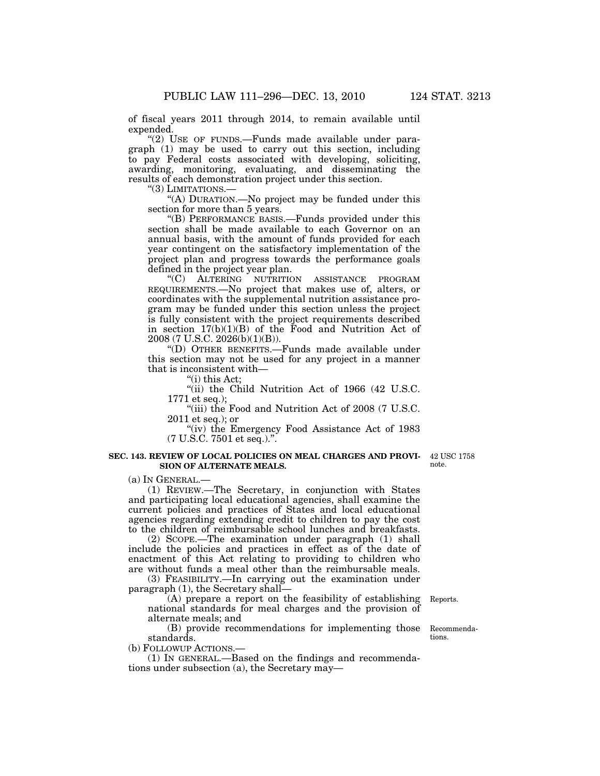of fiscal years 2011 through 2014, to remain available until expended.

"(2) USE OF FUNDS.—Funds made available under paragraph (1) may be used to carry out this section, including to pay Federal costs associated with developing, soliciting, awarding, monitoring, evaluating, and disseminating the results of each demonstration project under this section.

''(3) LIMITATIONS.—

''(A) DURATION.—No project may be funded under this section for more than 5 years.

''(B) PERFORMANCE BASIS.—Funds provided under this section shall be made available to each Governor on an annual basis, with the amount of funds provided for each year contingent on the satisfactory implementation of the project plan and progress towards the performance goals defined in the project year plan.

''(C) ALTERING NUTRITION ASSISTANCE PROGRAM REQUIREMENTS.—No project that makes use of, alters, or coordinates with the supplemental nutrition assistance program may be funded under this section unless the project is fully consistent with the project requirements described in section  $17(b)(1)(B)$  of the Food and Nutrition Act of 2008 (7 U.S.C. 2026(b)(1)(B)).

''(D) OTHER BENEFITS.—Funds made available under this section may not be used for any project in a manner that is inconsistent with—

''(i) this Act;

''(ii) the Child Nutrition Act of 1966 (42 U.S.C. 1771 et seq.);

"(iii) the Food and Nutrition Act of 2008 (7 U.S.C.) 2011 et seq.); or

''(iv) the Emergency Food Assistance Act of 1983 (7 U.S.C. 7501 et seq.).''.

#### **SEC. 143. REVIEW OF LOCAL POLICIES ON MEAL CHARGES AND PROVI-**42 USC 1758 **SION OF ALTERNATE MEALS.**

(a) IN GENERAL.—

(1) REVIEW.—The Secretary, in conjunction with States and participating local educational agencies, shall examine the current policies and practices of States and local educational agencies regarding extending credit to children to pay the cost to the children of reimbursable school lunches and breakfasts.

(2) SCOPE.—The examination under paragraph (1) shall include the policies and practices in effect as of the date of enactment of this Act relating to providing to children who are without funds a meal other than the reimbursable meals.

(3) FEASIBILITY.—In carrying out the examination under paragraph (1), the Secretary shall—

(A) prepare a report on the feasibility of establishing national standards for meal charges and the provision of alternate meals; and

(B) provide recommendations for implementing those standards.

(b) FOLLOWUP ACTIONS.—

(1) IN GENERAL.—Based on the findings and recommendations under subsection (a), the Secretary may—

Reports.

Recommendations.

note.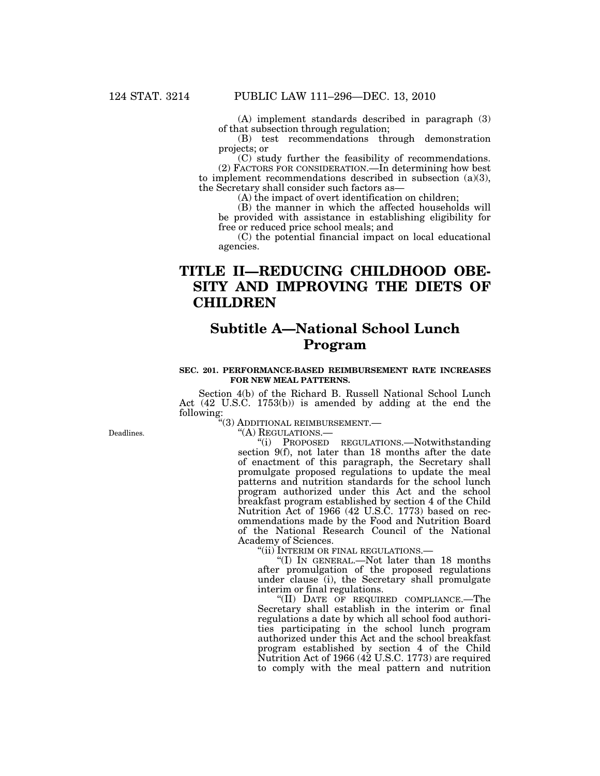(A) implement standards described in paragraph (3) of that subsection through regulation;

(B) test recommendations through demonstration projects; or

(C) study further the feasibility of recommendations. (2) FACTORS FOR CONSIDERATION.—In determining how best to implement recommendations described in subsection (a)(3), the Secretary shall consider such factors as—

(A) the impact of overt identification on children;

(B) the manner in which the affected households will be provided with assistance in establishing eligibility for free or reduced price school meals; and

(C) the potential financial impact on local educational agencies.

# **TITLE II—REDUCING CHILDHOOD OBE-SITY AND IMPROVING THE DIETS OF CHILDREN**

# **Subtitle A—National School Lunch Program**

### **SEC. 201. PERFORMANCE-BASED REIMBURSEMENT RATE INCREASES FOR NEW MEAL PATTERNS.**

Section 4(b) of the Richard B. Russell National School Lunch Act (42 U.S.C. 1753(b)) is amended by adding at the end the following:

''(3) ADDITIONAL REIMBURSEMENT.—

''(A) REGULATIONS.—

''(i) PROPOSED REGULATIONS.—Notwithstanding section 9(f), not later than 18 months after the date of enactment of this paragraph, the Secretary shall promulgate proposed regulations to update the meal patterns and nutrition standards for the school lunch program authorized under this Act and the school breakfast program established by section 4 of the Child Nutrition Act of 1966 (42 U.S.C. 1773) based on recommendations made by the Food and Nutrition Board of the National Research Council of the National Academy of Sciences.

''(ii) INTERIM OR FINAL REGULATIONS.—

''(I) IN GENERAL.—Not later than 18 months after promulgation of the proposed regulations under clause (i), the Secretary shall promulgate interim or final regulations.

''(II) DATE OF REQUIRED COMPLIANCE.—The Secretary shall establish in the interim or final regulations a date by which all school food authorities participating in the school lunch program authorized under this Act and the school breakfast program established by section 4 of the Child Nutrition Act of 1966 (42 U.S.C. 1773) are required to comply with the meal pattern and nutrition

Deadlines.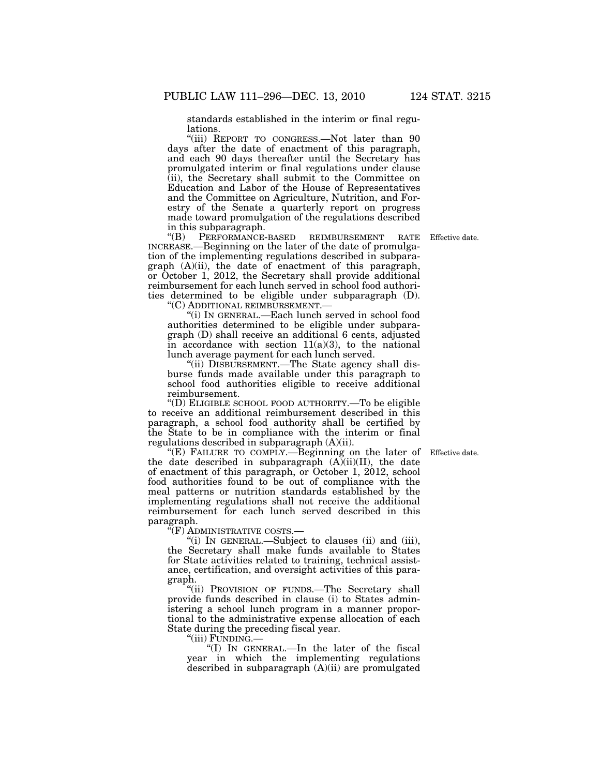standards established in the interim or final regulations.

"(iii) REPORT TO CONGRESS.—Not later than 90 days after the date of enactment of this paragraph, and each 90 days thereafter until the Secretary has promulgated interim or final regulations under clause (ii), the Secretary shall submit to the Committee on Education and Labor of the House of Representatives and the Committee on Agriculture, Nutrition, and Forestry of the Senate a quarterly report on progress made toward promulgation of the regulations described in this subparagraph.<br>
"(B) PERFORMANCE-

PERFORMANCE-BASED REIMBURSEMENT RATE INCREASE.—Beginning on the later of the date of promulgation of the implementing regulations described in subparagraph (A)(ii), the date of enactment of this paragraph, or October 1, 2012, the Secretary shall provide additional reimbursement for each lunch served in school food authorities determined to be eligible under subparagraph (D). ''(C) ADDITIONAL REIMBURSEMENT.—

''(i) IN GENERAL.—Each lunch served in school food authorities determined to be eligible under subparagraph (D) shall receive an additional 6 cents, adjusted in accordance with section  $11(a)(3)$ , to the national lunch average payment for each lunch served.

''(ii) DISBURSEMENT.—The State agency shall disburse funds made available under this paragraph to school food authorities eligible to receive additional reimbursement.

''(D) ELIGIBLE SCHOOL FOOD AUTHORITY.—To be eligible to receive an additional reimbursement described in this paragraph, a school food authority shall be certified by the State to be in compliance with the interim or final regulations described in subparagraph (A)(ii).

"(E) FAILURE TO COMPLY.—Beginning on the later of Effective date. the date described in subparagraph  $(A)(ii)(II)$ , the date of enactment of this paragraph, or October 1, 2012, school food authorities found to be out of compliance with the meal patterns or nutrition standards established by the implementing regulations shall not receive the additional reimbursement for each lunch served described in this paragraph.

''(F) ADMINISTRATIVE COSTS.—

''(i) IN GENERAL.—Subject to clauses (ii) and (iii), the Secretary shall make funds available to States for State activities related to training, technical assistance, certification, and oversight activities of this paragraph.

''(ii) PROVISION OF FUNDS.—The Secretary shall provide funds described in clause (i) to States administering a school lunch program in a manner proportional to the administrative expense allocation of each State during the preceding fiscal year.

''(iii) FUNDING.—

''(I) IN GENERAL.—In the later of the fiscal year in which the implementing regulations described in subparagraph (A)(ii) are promulgated

Effective date.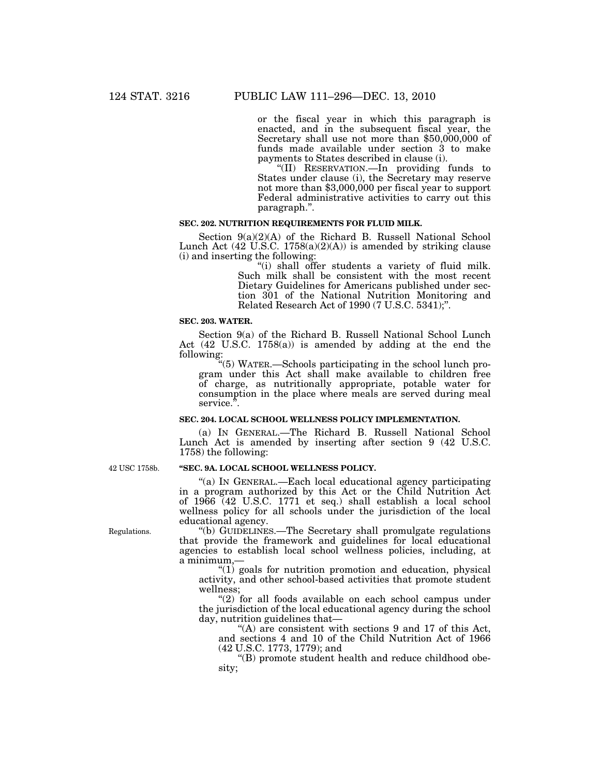or the fiscal year in which this paragraph is enacted, and in the subsequent fiscal year, the Secretary shall use not more than \$50,000,000 of funds made available under section 3 to make payments to States described in clause (i).

''(II) RESERVATION.—In providing funds to States under clause (i), the Secretary may reserve not more than \$3,000,000 per fiscal year to support Federal administrative activities to carry out this paragraph.''.

# **SEC. 202. NUTRITION REQUIREMENTS FOR FLUID MILK.**

Section 9(a)(2)(A) of the Richard B. Russell National School Lunch Act  $(42 \text{ U.S.C. } 1758(a)(2)(A))$  is amended by striking clause (i) and inserting the following:

''(i) shall offer students a variety of fluid milk. Such milk shall be consistent with the most recent Dietary Guidelines for Americans published under section 301 of the National Nutrition Monitoring and Related Research Act of 1990 (7 U.S.C. 5341);''.

### **SEC. 203. WATER.**

Section 9(a) of the Richard B. Russell National School Lunch Act (42 U.S.C. 1758(a)) is amended by adding at the end the following:

''(5) WATER.—Schools participating in the school lunch program under this Act shall make available to children free of charge, as nutritionally appropriate, potable water for consumption in the place where meals are served during meal service.<sup>5</sup>.

# **SEC. 204. LOCAL SCHOOL WELLNESS POLICY IMPLEMENTATION.**

(a) IN GENERAL.—The Richard B. Russell National School Lunch Act is amended by inserting after section 9 (42 U.S.C. 1758) the following:

# **''SEC. 9A. LOCAL SCHOOL WELLNESS POLICY.**

"(a) IN GENERAL.—Each local educational agency participating in a program authorized by this Act or the Child Nutrition Act of 1966 (42 U.S.C. 1771 et seq.) shall establish a local school wellness policy for all schools under the jurisdiction of the local educational agency.

''(b) GUIDELINES.—The Secretary shall promulgate regulations that provide the framework and guidelines for local educational agencies to establish local school wellness policies, including, at a minimum,—

''(1) goals for nutrition promotion and education, physical activity, and other school-based activities that promote student wellness;

"(2) for all foods available on each school campus under the jurisdiction of the local educational agency during the school day, nutrition guidelines that—

''(A) are consistent with sections 9 and 17 of this Act, and sections 4 and 10 of the Child Nutrition Act of 1966 (42 U.S.C. 1773, 1779); and

''(B) promote student health and reduce childhood obesity;

42 USC 1758b.

Regulations.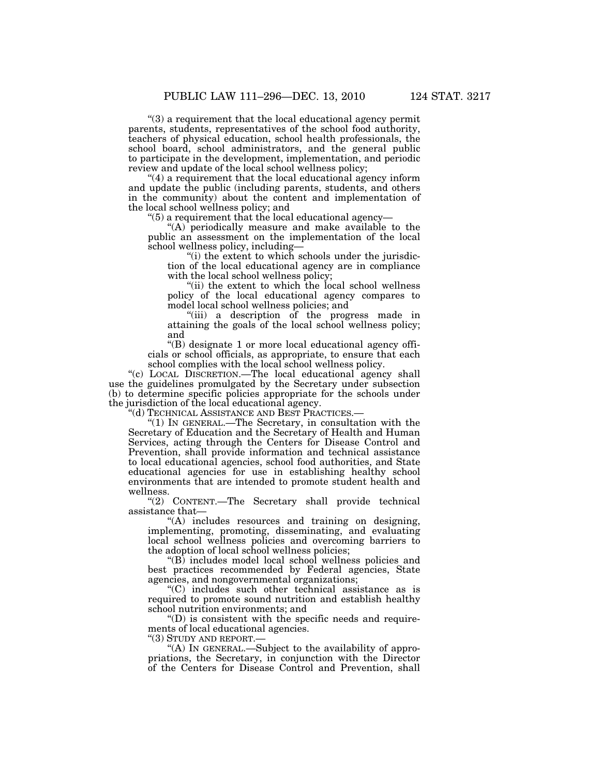''(3) a requirement that the local educational agency permit parents, students, representatives of the school food authority, teachers of physical education, school health professionals, the school board, school administrators, and the general public to participate in the development, implementation, and periodic review and update of the local school wellness policy;

''(4) a requirement that the local educational agency inform and update the public (including parents, students, and others in the community) about the content and implementation of the local school wellness policy; and

 $\degree$ (5) a requirement that the local educational agency-

" $(A)$  periodically measure and make available to the public an assessment on the implementation of the local school wellness policy, including—

"(i) the extent to which schools under the jurisdiction of the local educational agency are in compliance with the local school wellness policy;

"(ii) the extent to which the local school wellness policy of the local educational agency compares to model local school wellness policies; and

''(iii) a description of the progress made in attaining the goals of the local school wellness policy; and

''(B) designate 1 or more local educational agency officials or school officials, as appropriate, to ensure that each school complies with the local school wellness policy.

''(c) LOCAL DISCRETION.—The local educational agency shall use the guidelines promulgated by the Secretary under subsection (b) to determine specific policies appropriate for the schools under the jurisdiction of the local educational agency.

''(d) TECHNICAL ASSISTANCE AND BEST PRACTICES.—

''(1) IN GENERAL.—The Secretary, in consultation with the Secretary of Education and the Secretary of Health and Human Services, acting through the Centers for Disease Control and Prevention, shall provide information and technical assistance to local educational agencies, school food authorities, and State educational agencies for use in establishing healthy school environments that are intended to promote student health and wellness.

''(2) CONTENT.—The Secretary shall provide technical assistance that—

"(A) includes resources and training on designing, implementing, promoting, disseminating, and evaluating local school wellness policies and overcoming barriers to the adoption of local school wellness policies;

''(B) includes model local school wellness policies and best practices recommended by Federal agencies, State agencies, and nongovernmental organizations;

''(C) includes such other technical assistance as is required to promote sound nutrition and establish healthy school nutrition environments; and

 $'(D)$  is consistent with the specific needs and requirements of local educational agencies.

''(3) STUDY AND REPORT.—

"(A) IN GENERAL.—Subject to the availability of appropriations, the Secretary, in conjunction with the Director of the Centers for Disease Control and Prevention, shall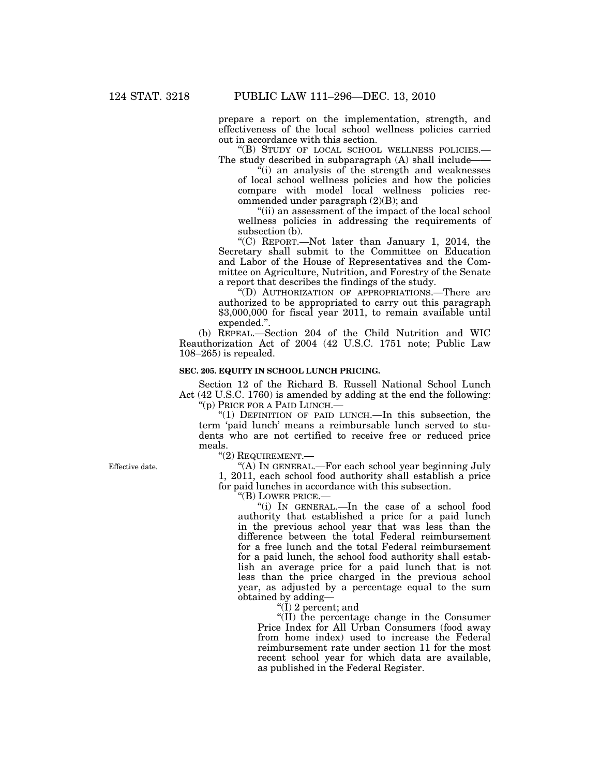prepare a report on the implementation, strength, and effectiveness of the local school wellness policies carried out in accordance with this section.

''(B) STUDY OF LOCAL SCHOOL WELLNESS POLICIES.— The study described in subparagraph (A) shall include-

 $\ddot{f}$  (i) an analysis of the strength and weaknesses of local school wellness policies and how the policies compare with model local wellness policies recommended under paragraph (2)(B); and

"(ii) an assessment of the impact of the local school wellness policies in addressing the requirements of subsection (b).

''(C) REPORT.—Not later than January 1, 2014, the Secretary shall submit to the Committee on Education and Labor of the House of Representatives and the Committee on Agriculture, Nutrition, and Forestry of the Senate a report that describes the findings of the study.

''(D) AUTHORIZATION OF APPROPRIATIONS.—There are authorized to be appropriated to carry out this paragraph \$3,000,000 for fiscal year 2011, to remain available until expended.''.

(b) REPEAL.—Section 204 of the Child Nutrition and WIC Reauthorization Act of 2004 (42 U.S.C. 1751 note; Public Law 108–265) is repealed.

# **SEC. 205. EQUITY IN SCHOOL LUNCH PRICING.**

Section 12 of the Richard B. Russell National School Lunch Act (42 U.S.C. 1760) is amended by adding at the end the following:

''(p) PRICE FOR A PAID LUNCH.—

''(1) DEFINITION OF PAID LUNCH.—In this subsection, the term 'paid lunch' means a reimbursable lunch served to students who are not certified to receive free or reduced price meals.

''(2) REQUIREMENT.—

''(A) IN GENERAL.—For each school year beginning July 1, 2011, each school food authority shall establish a price for paid lunches in accordance with this subsection.

''(B) LOWER PRICE.—

''(i) IN GENERAL.—In the case of a school food authority that established a price for a paid lunch in the previous school year that was less than the difference between the total Federal reimbursement for a free lunch and the total Federal reimbursement for a paid lunch, the school food authority shall establish an average price for a paid lunch that is not less than the price charged in the previous school year, as adjusted by a percentage equal to the sum obtained by adding—

''(I) 2 percent; and

''(II) the percentage change in the Consumer Price Index for All Urban Consumers (food away from home index) used to increase the Federal reimbursement rate under section 11 for the most recent school year for which data are available, as published in the Federal Register.

Effective date.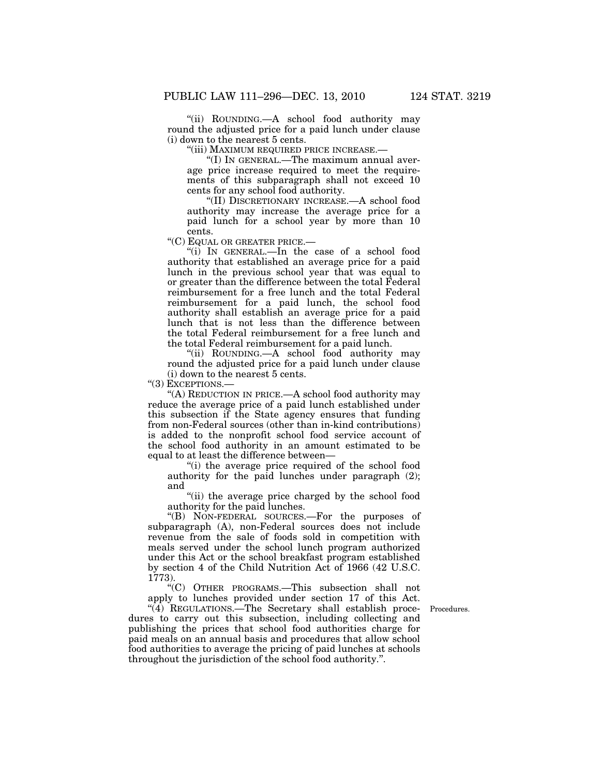''(ii) ROUNDING.—A school food authority may round the adjusted price for a paid lunch under clause (i) down to the nearest 5 cents.

''(iii) MAXIMUM REQUIRED PRICE INCREASE.—

''(I) IN GENERAL.—The maximum annual average price increase required to meet the requirements of this subparagraph shall not exceed 10 cents for any school food authority.

''(II) DISCRETIONARY INCREASE.—A school food authority may increase the average price for a paid lunch for a school year by more than 10 cents.

''(C) EQUAL OR GREATER PRICE.—

''(i) IN GENERAL.—In the case of a school food authority that established an average price for a paid lunch in the previous school year that was equal to or greater than the difference between the total Federal reimbursement for a free lunch and the total Federal reimbursement for a paid lunch, the school food authority shall establish an average price for a paid lunch that is not less than the difference between the total Federal reimbursement for a free lunch and the total Federal reimbursement for a paid lunch.

''(ii) ROUNDING.—A school food authority may round the adjusted price for a paid lunch under clause (i) down to the nearest 5 cents.

''(3) EXCEPTIONS.—

''(A) REDUCTION IN PRICE.—A school food authority may reduce the average price of a paid lunch established under this subsection if the State agency ensures that funding from non-Federal sources (other than in-kind contributions) is added to the nonprofit school food service account of the school food authority in an amount estimated to be equal to at least the difference between—

''(i) the average price required of the school food authority for the paid lunches under paragraph (2); and

"(ii) the average price charged by the school food authority for the paid lunches.

''(B) NON-FEDERAL SOURCES.—For the purposes of subparagraph (A), non-Federal sources does not include revenue from the sale of foods sold in competition with meals served under the school lunch program authorized under this Act or the school breakfast program established by section 4 of the Child Nutrition Act of 1966 (42 U.S.C. 1773).

''(C) OTHER PROGRAMS.—This subsection shall not apply to lunches provided under section 17 of this Act.

Procedures.

 $\sqrt[4]{4}$  REGULATIONS.—The Secretary shall establish procedures to carry out this subsection, including collecting and publishing the prices that school food authorities charge for paid meals on an annual basis and procedures that allow school food authorities to average the pricing of paid lunches at schools throughout the jurisdiction of the school food authority.''.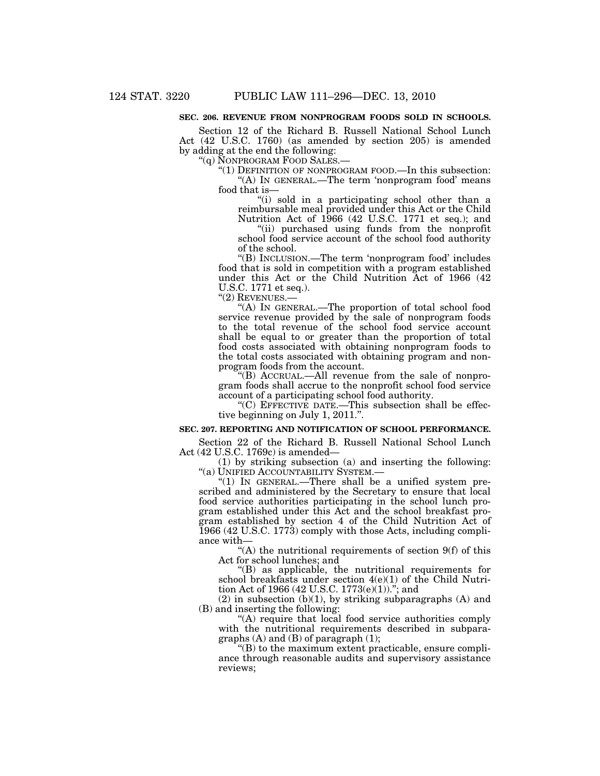# **SEC. 206. REVENUE FROM NONPROGRAM FOODS SOLD IN SCHOOLS.**

Section 12 of the Richard B. Russell National School Lunch Act (42 U.S.C. 1760) (as amended by section 205) is amended by adding at the end the following:

''(q) NONPROGRAM FOOD SALES.—

"(1) DEFINITION OF NONPROGRAM FOOD.—In this subsection: ''(A) IN GENERAL.—The term 'nonprogram food' means food that is—

''(i) sold in a participating school other than a reimbursable meal provided under this Act or the Child Nutrition Act of 1966 (42 U.S.C. 1771 et seq.); and

''(ii) purchased using funds from the nonprofit school food service account of the school food authority of the school.

''(B) INCLUSION.—The term 'nonprogram food' includes food that is sold in competition with a program established under this Act or the Child Nutrition Act of 1966 (42 U.S.C. 1771 et seq.).

''(2) REVENUES.—

''(A) IN GENERAL.—The proportion of total school food service revenue provided by the sale of nonprogram foods to the total revenue of the school food service account shall be equal to or greater than the proportion of total food costs associated with obtaining nonprogram foods to the total costs associated with obtaining program and nonprogram foods from the account.

''(B) ACCRUAL.—All revenue from the sale of nonprogram foods shall accrue to the nonprofit school food service account of a participating school food authority.

''(C) EFFECTIVE DATE.—This subsection shall be effective beginning on July 1, 2011.''.

#### **SEC. 207. REPORTING AND NOTIFICATION OF SCHOOL PERFORMANCE.**

Section 22 of the Richard B. Russell National School Lunch Act (42 U.S.C. 1769c) is amended—

(1) by striking subsection (a) and inserting the following: ''(a) UNIFIED ACCOUNTABILITY SYSTEM.—

"(1) IN GENERAL.—There shall be a unified system prescribed and administered by the Secretary to ensure that local food service authorities participating in the school lunch program established under this Act and the school breakfast program established by section 4 of the Child Nutrition Act of 1966 (42 U.S.C. 1773) comply with those Acts, including compliance with—

"(A) the nutritional requirements of section 9(f) of this Act for school lunches; and

''(B) as applicable, the nutritional requirements for school breakfasts under section 4(e)(1) of the Child Nutrition Act of 1966 (42 U.S.C. 1773(e)(1)).''; and

(2) in subsection  $(b)(1)$ , by striking subparagraphs  $(A)$  and (B) and inserting the following:

"(A) require that local food service authorities comply with the nutritional requirements described in subparagraphs  $(A)$  and  $(B)$  of paragraph  $(1)$ ;

 $\mathrm{``(B)}$  to the maximum extent practicable, ensure compliance through reasonable audits and supervisory assistance reviews;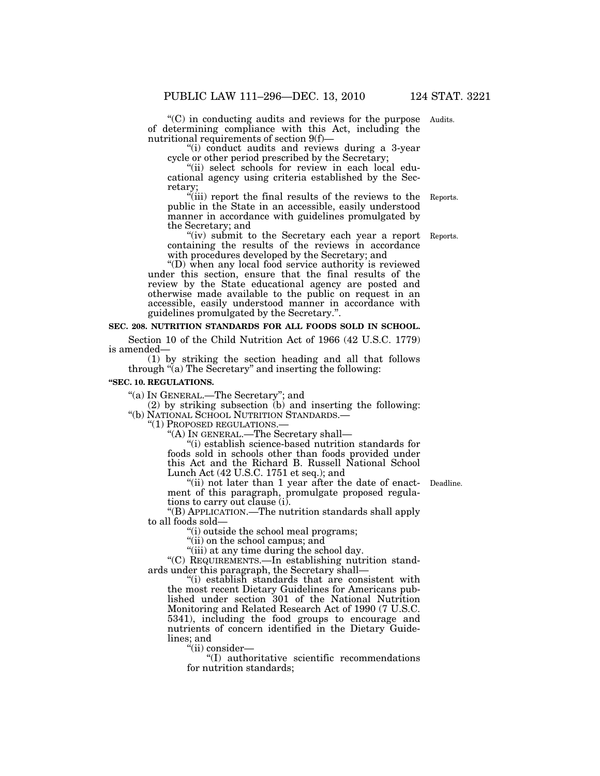$C$ ) in conducting audits and reviews for the purpose Audits. of determining compliance with this Act, including the nutritional requirements of section 9(f)—

''(i) conduct audits and reviews during a 3-year cycle or other period prescribed by the Secretary;

"(ii) select schools for review in each local educational agency using criteria established by the Secretary;

''(iii) report the final results of the reviews to the public in the State in an accessible, easily understood manner in accordance with guidelines promulgated by the Secretary; and Reports.

"(iv) submit to the Secretary each year a report containing the results of the reviews in accordance with procedures developed by the Secretary; and

''(D) when any local food service authority is reviewed under this section, ensure that the final results of the review by the State educational agency are posted and otherwise made available to the public on request in an accessible, easily understood manner in accordance with guidelines promulgated by the Secretary.''.

# **SEC. 208. NUTRITION STANDARDS FOR ALL FOODS SOLD IN SCHOOL.**

Section 10 of the Child Nutrition Act of 1966 (42 U.S.C. 1779) is amended—

(1) by striking the section heading and all that follows through  $\tilde{a}$  The Secretary" and inserting the following:

#### **''SEC. 10. REGULATIONS.**

''(a) IN GENERAL.—The Secretary''; and

(2) by striking subsection  $(b)$  and inserting the following: " $(b)$  NATIONAL SCHOOL NUTRITION STANDARDS.—

"(1) PROPOSED REGULATIONS.—<br>"(A) IN GENERAL.—The Secretary shall—

''(i) establish science-based nutrition standards for foods sold in schools other than foods provided under this Act and the Richard B. Russell National School Lunch Act (42 U.S.C. 1751 et seq.); and

"(ii) not later than 1 year after the date of enact- Deadline. ment of this paragraph, promulgate proposed regulations to carry out clause (i).

''(B) APPLICATION.—The nutrition standards shall apply to all foods sold—

''(i) outside the school meal programs;

"(ii) on the school campus; and

"(iii) at any time during the school day.

''(C) REQUIREMENTS.—In establishing nutrition standards under this paragraph, the Secretary shall—

''(i) establish standards that are consistent with the most recent Dietary Guidelines for Americans published under section 301 of the National Nutrition Monitoring and Related Research Act of 1990 (7 U.S.C. 5341), including the food groups to encourage and nutrients of concern identified in the Dietary Guidelines; and

''(ii) consider—

''(I) authoritative scientific recommendations for nutrition standards;

Reports.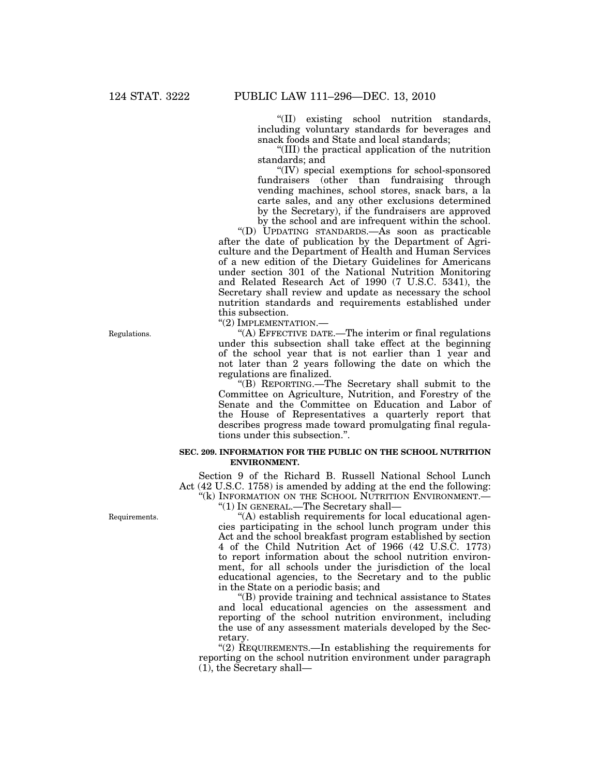''(II) existing school nutrition standards, including voluntary standards for beverages and snack foods and State and local standards;

''(III) the practical application of the nutrition standards; and

''(IV) special exemptions for school-sponsored fundraisers (other than fundraising through vending machines, school stores, snack bars, a la carte sales, and any other exclusions determined by the Secretary), if the fundraisers are approved by the school and are infrequent within the school.

"(D) UPDATING STANDARDS.— $\overline{As}$  soon as practicable after the date of publication by the Department of Agriculture and the Department of Health and Human Services of a new edition of the Dietary Guidelines for Americans under section 301 of the National Nutrition Monitoring and Related Research Act of 1990 (7 U.S.C. 5341), the Secretary shall review and update as necessary the school nutrition standards and requirements established under this subsection.

''(2) IMPLEMENTATION.—

''(A) EFFECTIVE DATE.—The interim or final regulations under this subsection shall take effect at the beginning of the school year that is not earlier than 1 year and not later than 2 years following the date on which the regulations are finalized.

''(B) REPORTING.—The Secretary shall submit to the Committee on Agriculture, Nutrition, and Forestry of the Senate and the Committee on Education and Labor of the House of Representatives a quarterly report that describes progress made toward promulgating final regulations under this subsection.''.

# **SEC. 209. INFORMATION FOR THE PUBLIC ON THE SCHOOL NUTRITION ENVIRONMENT.**

Section 9 of the Richard B. Russell National School Lunch Act (42 U.S.C. 1758) is amended by adding at the end the following: "(k) INFORMATION ON THE SCHOOL NUTRITION ENVIRONMENT.—

''(1) IN GENERAL.—The Secretary shall—

''(A) establish requirements for local educational agencies participating in the school lunch program under this Act and the school breakfast program established by section 4 of the Child Nutrition Act of 1966 (42 U.S.C. 1773) to report information about the school nutrition environment, for all schools under the jurisdiction of the local educational agencies, to the Secretary and to the public in the State on a periodic basis; and

''(B) provide training and technical assistance to States and local educational agencies on the assessment and reporting of the school nutrition environment, including the use of any assessment materials developed by the Secretary.

''(2) REQUIREMENTS.—In establishing the requirements for reporting on the school nutrition environment under paragraph  $(1)$ , the Secretary shall—

Regulations.

Requirements.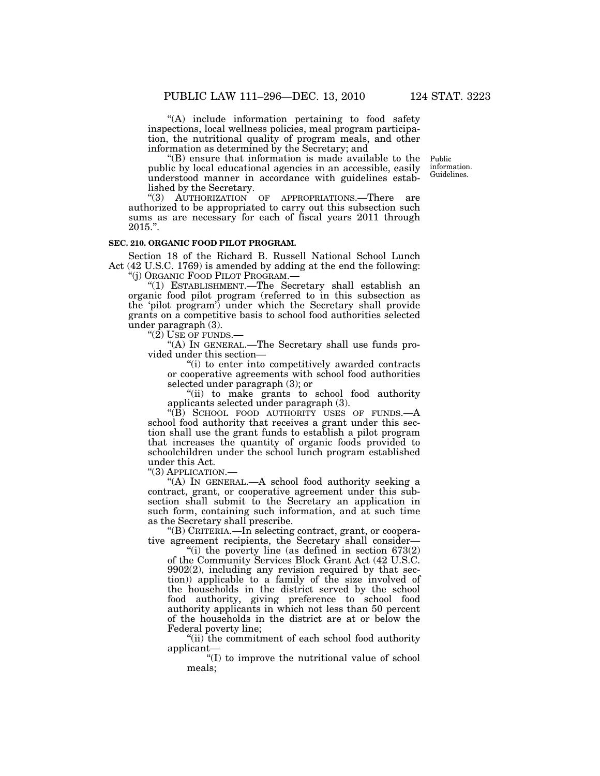''(A) include information pertaining to food safety inspections, local wellness policies, meal program participation, the nutritional quality of program meals, and other information as determined by the Secretary; and

''(B) ensure that information is made available to the public by local educational agencies in an accessible, easily understood manner in accordance with guidelines established by the Secretary.

''(3) AUTHORIZATION OF APPROPRIATIONS.—There are authorized to be appropriated to carry out this subsection such sums as are necessary for each of fiscal years 2011 through 2015.''.

### **SEC. 210. ORGANIC FOOD PILOT PROGRAM.**

Section 18 of the Richard B. Russell National School Lunch Act (42 U.S.C. 1769) is amended by adding at the end the following: ''(j) ORGANIC FOOD PILOT PROGRAM.—

''(1) ESTABLISHMENT.—The Secretary shall establish an organic food pilot program (referred to in this subsection as the 'pilot program') under which the Secretary shall provide grants on a competitive basis to school food authorities selected under paragraph (3).

" $(2)$  USE OF FUNDS.—

''(A) IN GENERAL.—The Secretary shall use funds provided under this section—

''(i) to enter into competitively awarded contracts or cooperative agreements with school food authorities selected under paragraph (3); or

''(ii) to make grants to school food authority applicants selected under paragraph (3).

"(B) SCHOOL FOOD AUTHORITY USES OF FUNDS.—A school food authority that receives a grant under this section shall use the grant funds to establish a pilot program that increases the quantity of organic foods provided to schoolchildren under the school lunch program established under this Act.

''(3) APPLICATION.—

''(A) IN GENERAL.—A school food authority seeking a contract, grant, or cooperative agreement under this subsection shall submit to the Secretary an application in such form, containing such information, and at such time as the Secretary shall prescribe.

''(B) CRITERIA.—In selecting contract, grant, or cooperative agreement recipients, the Secretary shall consider—

"(i) the poverty line (as defined in section  $673(2)$ of the Community Services Block Grant Act (42 U.S.C. 9902(2), including any revision required by that section)) applicable to a family of the size involved of the households in the district served by the school food authority, giving preference to school food authority applicants in which not less than 50 percent of the households in the district are at or below the Federal poverty line;

''(ii) the commitment of each school food authority applicant—

''(I) to improve the nutritional value of school meals;

Public information. Guidelines.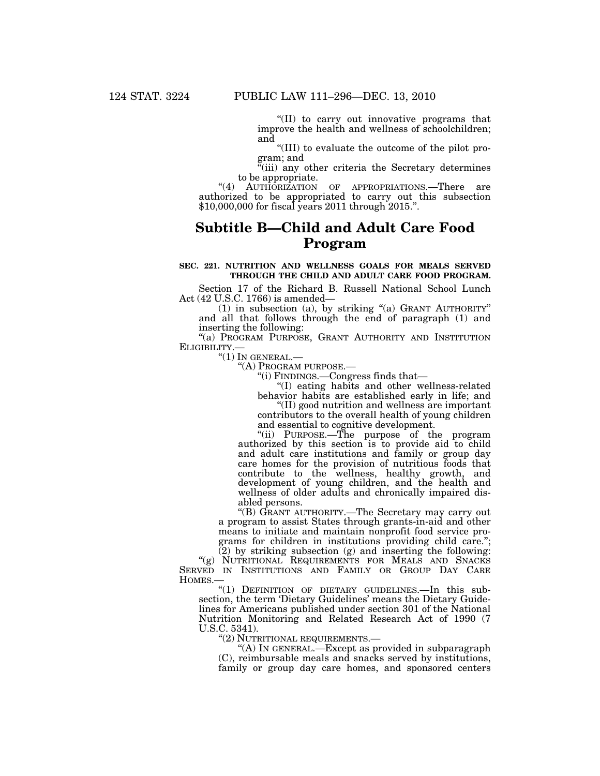''(II) to carry out innovative programs that improve the health and wellness of schoolchildren; and

''(III) to evaluate the outcome of the pilot program; and

 $\tilde{f}$ (iii) any other criteria the Secretary determines to be appropriate.

"(4) AUTHORIZATION OF APPROPRIATIONS.—There are authorized to be appropriated to carry out this subsection \$10,000,000 for fiscal years 2011 through 2015.''.

# **Subtitle B—Child and Adult Care Food Program**

# **SEC. 221. NUTRITION AND WELLNESS GOALS FOR MEALS SERVED THROUGH THE CHILD AND ADULT CARE FOOD PROGRAM.**

Section 17 of the Richard B. Russell National School Lunch Act (42 U.S.C. 1766) is amended—

(1) in subsection (a), by striking ''(a) GRANT AUTHORITY'' and all that follows through the end of paragraph (1) and inserting the following:

"(a) PROGRAM PURPOSE, GRANT AUTHORITY AND INSTITUTION ELIGIBILITY.—

"(1) In GENERAL.—<br>"(A) PROGRAM PURPOSE.—<br>"(i) FINDINGS.—Congress finds that—

''(I) eating habits and other wellness-related behavior habits are established early in life; and ''(II) good nutrition and wellness are important

contributors to the overall health of young children and essential to cognitive development.

''(ii) PURPOSE.—The purpose of the program authorized by this section is to provide aid to child and adult care institutions and family or group day care homes for the provision of nutritious foods that contribute to the wellness, healthy growth, and development of young children, and the health and wellness of older adults and chronically impaired disabled persons.

''(B) GRANT AUTHORITY.—The Secretary may carry out a program to assist States through grants-in-aid and other means to initiate and maintain nonprofit food service programs for children in institutions providing child care.'';  $(2)$  by striking subsection  $(g)$  and inserting the following:

"(g) NUTRITIONAL REQUIREMENTS FOR MEALS AND SNACKS SERVED IN INSTITUTIONS AND FAMILY OR GROUP DAY CARE HOMES.—

''(1) DEFINITION OF DIETARY GUIDELINES.—In this subsection, the term 'Dietary Guidelines' means the Dietary Guidelines for Americans published under section 301 of the National Nutrition Monitoring and Related Research Act of 1990 (7 U.S.C. 5341).

''(2) NUTRITIONAL REQUIREMENTS.—

"(A) In GENERAL.—Except as provided in subparagraph (C), reimbursable meals and snacks served by institutions, family or group day care homes, and sponsored centers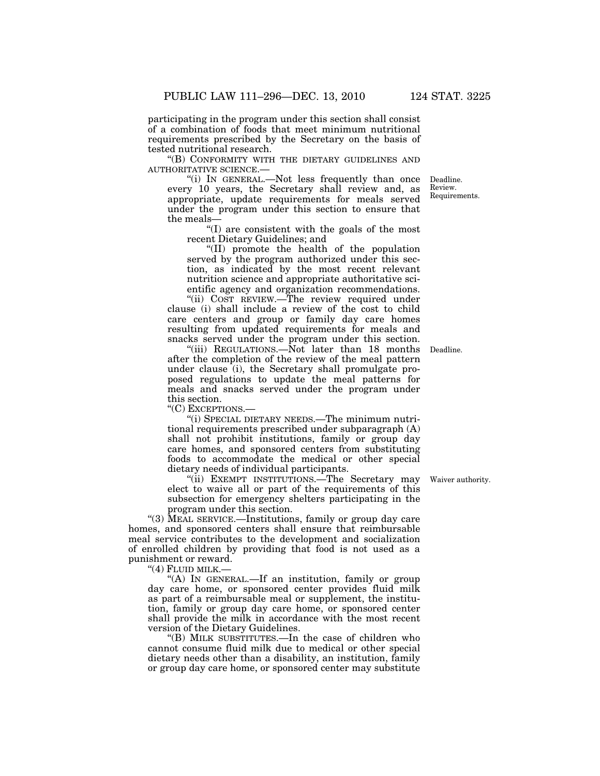participating in the program under this section shall consist of a combination of foods that meet minimum nutritional requirements prescribed by the Secretary on the basis of tested nutritional research.

''(B) CONFORMITY WITH THE DIETARY GUIDELINES AND AUTHORITATIVE SCIENCE.—

''(i) IN GENERAL.—Not less frequently than once every 10 years, the Secretary shall review and, as appropriate, update requirements for meals served under the program under this section to ensure that the meals—

''(I) are consistent with the goals of the most recent Dietary Guidelines; and

''(II) promote the health of the population served by the program authorized under this section, as indicated by the most recent relevant nutrition science and appropriate authoritative scientific agency and organization recommendations.

''(ii) COST REVIEW.—The review required under clause (i) shall include a review of the cost to child care centers and group or family day care homes resulting from updated requirements for meals and snacks served under the program under this section.

''(iii) REGULATIONS.—Not later than 18 months after the completion of the review of the meal pattern under clause (i), the Secretary shall promulgate proposed regulations to update the meal patterns for meals and snacks served under the program under this section.

''(C) EXCEPTIONS.—

''(i) SPECIAL DIETARY NEEDS.—The minimum nutritional requirements prescribed under subparagraph (A) shall not prohibit institutions, family or group day care homes, and sponsored centers from substituting foods to accommodate the medical or other special dietary needs of individual participants.

"(ii) EXEMPT INSTITUTIONS.—The Secretary may elect to waive all or part of the requirements of this subsection for emergency shelters participating in the program under this section.

''(3) MEAL SERVICE.—Institutions, family or group day care homes, and sponsored centers shall ensure that reimbursable meal service contributes to the development and socialization of enrolled children by providing that food is not used as a punishment or reward.

''(4) FLUID MILK.—

"(A) IN GENERAL.—If an institution, family or group day care home, or sponsored center provides fluid milk as part of a reimbursable meal or supplement, the institution, family or group day care home, or sponsored center shall provide the milk in accordance with the most recent version of the Dietary Guidelines.

''(B) MILK SUBSTITUTES.—In the case of children who cannot consume fluid milk due to medical or other special dietary needs other than a disability, an institution, family or group day care home, or sponsored center may substitute

Waiver authority.

Deadline. Review. Requirements.

Deadline.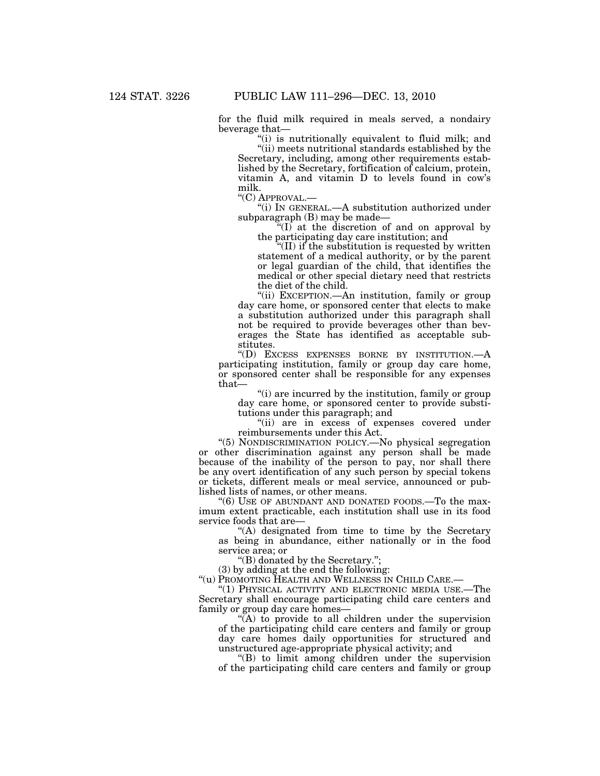for the fluid milk required in meals served, a nondairy beverage that—

(i) is nutritionally equivalent to fluid milk; and

''(ii) meets nutritional standards established by the Secretary, including, among other requirements established by the Secretary, fortification of calcium, protein, vitamin A, and vitamin D to levels found in cow's milk.<br>"(C) APPROVAL.-

"(i) IN GENERAL.—A substitution authorized under subparagraph (B) may be made—

 $\sqrt[2^n]{(1)}$  at the discretion of and on approval by the participating day care institution; and

 $f(II)$  if the substitution is requested by written statement of a medical authority, or by the parent or legal guardian of the child, that identifies the medical or other special dietary need that restricts the diet of the child.

''(ii) EXCEPTION.—An institution, family or group day care home, or sponsored center that elects to make a substitution authorized under this paragraph shall not be required to provide beverages other than beverages the State has identified as acceptable substitutes.

''(D) EXCESS EXPENSES BORNE BY INSTITUTION.—A participating institution, family or group day care home, or sponsored center shall be responsible for any expenses that—

''(i) are incurred by the institution, family or group day care home, or sponsored center to provide substitutions under this paragraph; and

"(ii) are in excess of expenses covered under reimbursements under this Act.

''(5) NONDISCRIMINATION POLICY.—No physical segregation or other discrimination against any person shall be made because of the inability of the person to pay, nor shall there be any overt identification of any such person by special tokens or tickets, different meals or meal service, announced or published lists of names, or other means.

"(6) USE OF ABUNDANT AND DONATED FOODS.—To the maximum extent practicable, each institution shall use in its food service foods that are—

''(A) designated from time to time by the Secretary as being in abundance, either nationally or in the food service area; or

''(B) donated by the Secretary.'';

(3) by adding at the end the following:

''(u) PROMOTING HEALTH AND WELLNESS IN CHILD CARE.—

"(1) PHYSICAL ACTIVITY AND ELECTRONIC MEDIA USE.—The Secretary shall encourage participating child care centers and family or group day care homes—

"(A) to provide to all children under the supervision of the participating child care centers and family or group day care homes daily opportunities for structured and unstructured age-appropriate physical activity; and

''(B) to limit among children under the supervision of the participating child care centers and family or group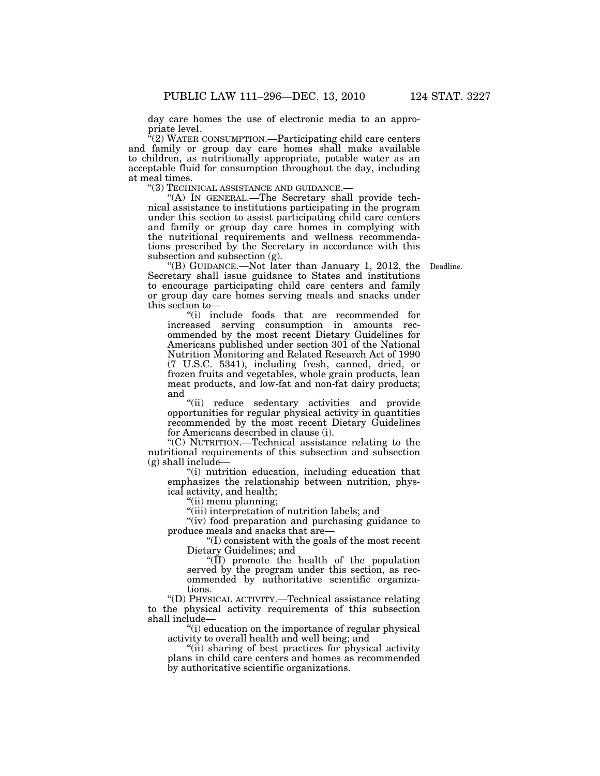day care homes the use of electronic media to an appropriate level.

 $\sqrt{a}(2)$  WATER CONSUMPTION.—Participating child care centers and family or group day care homes shall make available to children, as nutritionally appropriate, potable water as an acceptable fluid for consumption throughout the day, including at meal times.<br>"(3) TECHNICAL ASSISTANCE AND GUIDANCE.—

"(A) IN GENERAL.—The Secretary shall provide technical assistance to institutions participating in the program under this section to assist participating child care centers and family or group day care homes in complying with the nutritional requirements and wellness recommendations prescribed by the Secretary in accordance with this subsection and subsection (g).

"(B) GUIDANCE.—Not later than January 1, 2012, the Deadline. Secretary shall issue guidance to States and institutions to encourage participating child care centers and family or group day care homes serving meals and snacks under this section to—

''(i) include foods that are recommended for increased serving consumption in amounts recommended by the most recent Dietary Guidelines for Americans published under section 301 of the National Nutrition Monitoring and Related Research Act of 1990 (7 U.S.C. 5341), including fresh, canned, dried, or frozen fruits and vegetables, whole grain products, lean meat products, and low-fat and non-fat dairy products; and

''(ii) reduce sedentary activities and provide opportunities for regular physical activity in quantities recommended by the most recent Dietary Guidelines for Americans described in clause (i).

''(C) NUTRITION.—Technical assistance relating to the nutritional requirements of this subsection and subsection  $(g)$  shall include—

''(i) nutrition education, including education that emphasizes the relationship between nutrition, physical activity, and health;

''(ii) menu planning;

''(iii) interpretation of nutrition labels; and

"(iv) food preparation and purchasing guidance to produce meals and snacks that are—

''(I) consistent with the goals of the most recent Dietary Guidelines; and

''(II) promote the health of the population served by the program under this section, as recommended by authoritative scientific organizations.

''(D) PHYSICAL ACTIVITY.—Technical assistance relating to the physical activity requirements of this subsection shall include—

''(i) education on the importance of regular physical activity to overall health and well being; and

''(ii) sharing of best practices for physical activity plans in child care centers and homes as recommended by authoritative scientific organizations.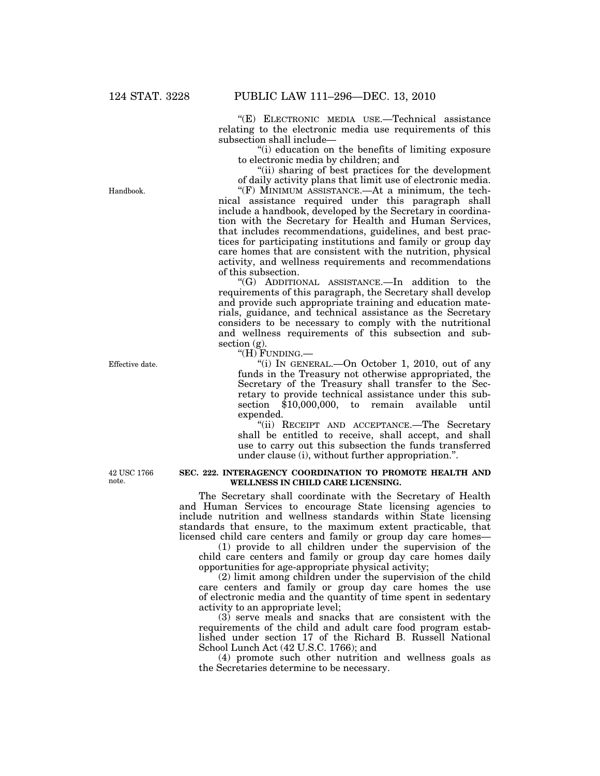''(E) ELECTRONIC MEDIA USE.—Technical assistance relating to the electronic media use requirements of this subsection shall include—

''(i) education on the benefits of limiting exposure to electronic media by children; and

''(ii) sharing of best practices for the development of daily activity plans that limit use of electronic media.

" $(F)$  MINIMUM ASSISTANCE.—At a minimum, the technical assistance required under this paragraph shall include a handbook, developed by the Secretary in coordination with the Secretary for Health and Human Services, that includes recommendations, guidelines, and best practices for participating institutions and family or group day care homes that are consistent with the nutrition, physical activity, and wellness requirements and recommendations of this subsection.

''(G) ADDITIONAL ASSISTANCE.—In addition to the requirements of this paragraph, the Secretary shall develop and provide such appropriate training and education materials, guidance, and technical assistance as the Secretary considers to be necessary to comply with the nutritional and wellness requirements of this subsection and subsection (g).

''(H) FUNDING.—

''(i) IN GENERAL.—On October 1, 2010, out of any funds in the Treasury not otherwise appropriated, the Secretary of the Treasury shall transfer to the Secretary to provide technical assistance under this subsection \$10,000,000, to remain available until expended.

''(ii) RECEIPT AND ACCEPTANCE.—The Secretary shall be entitled to receive, shall accept, and shall use to carry out this subsection the funds transferred under clause (i), without further appropriation.''.

42 USC 1766 note.

#### **SEC. 222. INTERAGENCY COORDINATION TO PROMOTE HEALTH AND WELLNESS IN CHILD CARE LICENSING.**

The Secretary shall coordinate with the Secretary of Health and Human Services to encourage State licensing agencies to include nutrition and wellness standards within State licensing standards that ensure, to the maximum extent practicable, that licensed child care centers and family or group day care homes—

(1) provide to all children under the supervision of the child care centers and family or group day care homes daily opportunities for age-appropriate physical activity;

(2) limit among children under the supervision of the child care centers and family or group day care homes the use of electronic media and the quantity of time spent in sedentary activity to an appropriate level;

(3) serve meals and snacks that are consistent with the requirements of the child and adult care food program established under section 17 of the Richard B. Russell National School Lunch Act (42 U.S.C. 1766); and

(4) promote such other nutrition and wellness goals as the Secretaries determine to be necessary.

Handbook.

Effective date.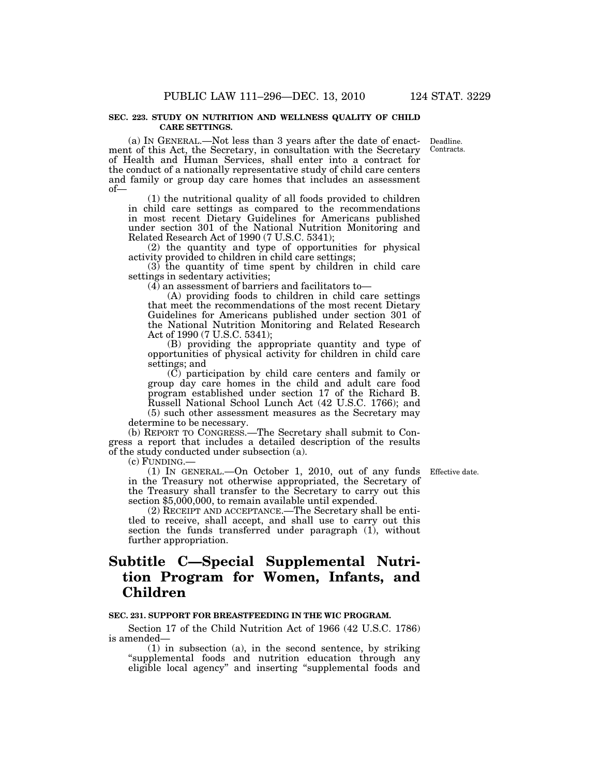#### **SEC. 223. STUDY ON NUTRITION AND WELLNESS QUALITY OF CHILD CARE SETTINGS.**

(a) IN GENERAL.—Not less than 3 years after the date of enactment of this Act, the Secretary, in consultation with the Secretary of Health and Human Services, shall enter into a contract for the conduct of a nationally representative study of child care centers and family or group day care homes that includes an assessment of—

(1) the nutritional quality of all foods provided to children in child care settings as compared to the recommendations in most recent Dietary Guidelines for Americans published under section 301 of the National Nutrition Monitoring and Related Research Act of 1990 (7 U.S.C. 5341);

(2) the quantity and type of opportunities for physical activity provided to children in child care settings;

(3) the quantity of time spent by children in child care settings in sedentary activities;

(4) an assessment of barriers and facilitators to—

(A) providing foods to children in child care settings that meet the recommendations of the most recent Dietary Guidelines for Americans published under section 301 of the National Nutrition Monitoring and Related Research Act of 1990 (7 U.S.C. 5341);

(B) providing the appropriate quantity and type of opportunities of physical activity for children in child care settings; and

(C) participation by child care centers and family or group day care homes in the child and adult care food program established under section 17 of the Richard B. Russell National School Lunch Act (42 U.S.C. 1766); and (5) such other assessment measures as the Secretary may

determine to be necessary.

(b) REPORT TO CONGRESS.—The Secretary shall submit to Congress a report that includes a detailed description of the results of the study conducted under subsection (a).

(c) FUNDING.—

(1) IN GENERAL.—On October 1, 2010, out of any funds in the Treasury not otherwise appropriated, the Secretary of the Treasury shall transfer to the Secretary to carry out this section \$5,000,000, to remain available until expended.

Effective date.

(2) RECEIPT AND ACCEPTANCE.—The Secretary shall be entitled to receive, shall accept, and shall use to carry out this section the funds transferred under paragraph (1), without further appropriation.

# **Subtitle C—Special Supplemental Nutrition Program for Women, Infants, and Children**

### **SEC. 231. SUPPORT FOR BREASTFEEDING IN THE WIC PROGRAM.**

Section 17 of the Child Nutrition Act of 1966 (42 U.S.C. 1786) is amended—

(1) in subsection (a), in the second sentence, by striking ''supplemental foods and nutrition education through any eligible local agency'' and inserting ''supplemental foods and

Deadline. Contracts.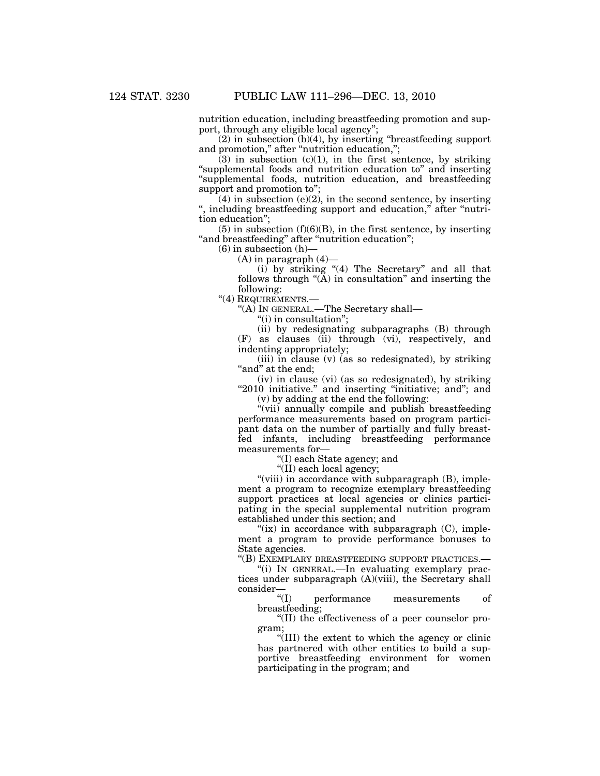nutrition education, including breastfeeding promotion and support, through any eligible local agency";

 $(2)$  in subsection  $(b)(4)$ , by inserting "breastfeeding support" and promotion," after "nutrition education,";

 $(3)$  in subsection  $(c)(1)$ , in the first sentence, by striking ''supplemental foods and nutrition education to'' and inserting ''supplemental foods, nutrition education, and breastfeeding support and promotion to'';

 $(4)$  in subsection (e)(2), in the second sentence, by inserting '', including breastfeeding support and education,'' after ''nutrition education'';

 $(5)$  in subsection  $(f)(6)(B)$ , in the first sentence, by inserting " and breastfeeding" after "nutrition education";

 $(6)$  in subsection  $(h)$ –

 $(A)$  in paragraph  $(4)$ —

(i) by striking ''(4) The Secretary'' and all that follows through "(A) in consultation" and inserting the following:

''(4) REQUIREMENTS.—

''(A) IN GENERAL.—The Secretary shall—

"(i) in consultation";

(ii) by redesignating subparagraphs (B) through (F) as clauses (ii) through (vi), respectively, and indenting appropriately;

(iii) in clause (v) (as so redesignated), by striking "and" at the end;

(iv) in clause (vi) (as so redesignated), by striking "2010 initiative." and inserting "initiative; and"; and (v) by adding at the end the following:

''(vii) annually compile and publish breastfeeding performance measurements based on program participant data on the number of partially and fully breastfed infants, including breastfeeding performance measurements for—

''(I) each State agency; and

''(II) each local agency;

"(viii) in accordance with subparagraph (B), implement a program to recognize exemplary breastfeeding support practices at local agencies or clinics participating in the special supplemental nutrition program established under this section; and

" $(ix)$  in accordance with subparagraph  $(C)$ , implement a program to provide performance bonuses to State agencies.

''(B) EXEMPLARY BREASTFEEDING SUPPORT PRACTICES.—

''(i) IN GENERAL.—In evaluating exemplary practices under subparagraph (A)(viii), the Secretary shall  $\text{consider-}\atop {}^{\alpha}(\mathbf{I})$ 

performance measurements of breastfeeding;

''(II) the effectiveness of a peer counselor program;

''(III) the extent to which the agency or clinic has partnered with other entities to build a supportive breastfeeding environment for women participating in the program; and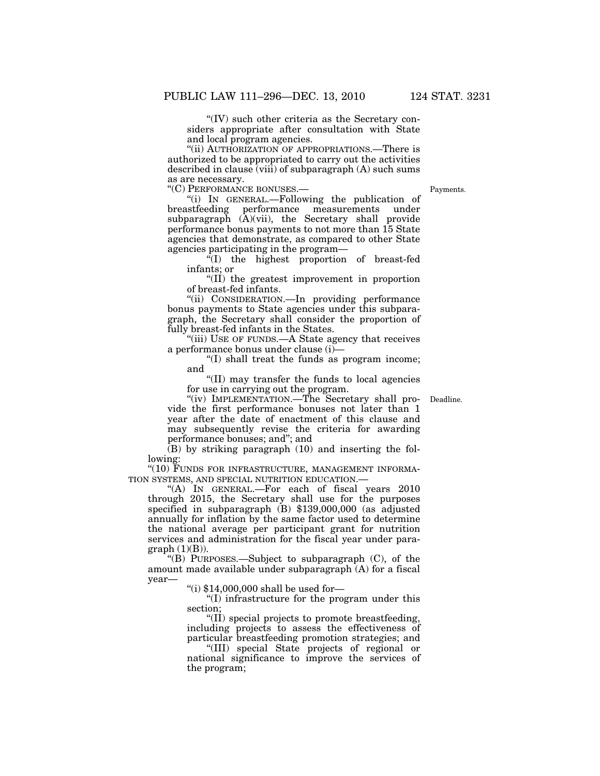''(IV) such other criteria as the Secretary considers appropriate after consultation with State and local program agencies.

''(ii) AUTHORIZATION OF APPROPRIATIONS.—There is authorized to be appropriated to carry out the activities described in clause (viii) of subparagraph (A) such sums as are necessary.

''(C) PERFORMANCE BONUSES.—

''(i) IN GENERAL.—Following the publication of breastfeeding performance measurements under subparagraph  $(\tilde{A})(vii)$ , the Secretary shall provide performance bonus payments to not more than 15 State agencies that demonstrate, as compared to other State agencies participating in the program—

 $f(T)$  the highest proportion of breast-fed infants; or

''(II) the greatest improvement in proportion of breast-fed infants.

''(ii) CONSIDERATION.—In providing performance bonus payments to State agencies under this subparagraph, the Secretary shall consider the proportion of fully breast-fed infants in the States.

''(iii) USE OF FUNDS.—A State agency that receives a performance bonus under clause (i)—

''(I) shall treat the funds as program income; and

''(II) may transfer the funds to local agencies for use in carrying out the program.

"(iv) IMPLEMENTATION.—The Secretary shall pro- Deadline. vide the first performance bonuses not later than 1 year after the date of enactment of this clause and may subsequently revise the criteria for awarding performance bonuses; and''; and

 $(B)$  by striking paragraph  $(10)$  and inserting the following:

"(10) FUNDS FOR INFRASTRUCTURE, MANAGEMENT INFORMA-TION SYSTEMS, AND SPECIAL NUTRITION EDUCATION.—

''(A) IN GENERAL.—For each of fiscal years 2010 through 2015, the Secretary shall use for the purposes specified in subparagraph (B) \$139,000,000 (as adjusted annually for inflation by the same factor used to determine the national average per participant grant for nutrition services and administration for the fiscal year under para $graph (1)(B)).$ 

''(B) PURPOSES.—Subject to subparagraph (C), of the amount made available under subparagraph (A) for a fiscal year—

''(i) \$14,000,000 shall be used for—

''(I) infrastructure for the program under this section;

''(II) special projects to promote breastfeeding, including projects to assess the effectiveness of particular breastfeeding promotion strategies; and

''(III) special State projects of regional or national significance to improve the services of the program;

Payments.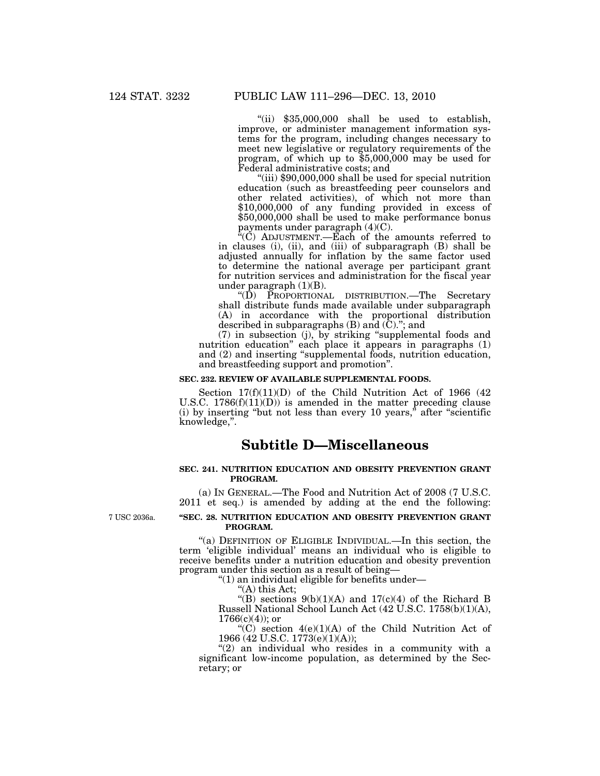"(ii)  $$35,000,000$  shall be used to establish, improve, or administer management information systems for the program, including changes necessary to meet new legislative or regulatory requirements of the program, of which up to  $$5,000,000$  may be used for Federal administrative costs; and

''(iii) \$90,000,000 shall be used for special nutrition education (such as breastfeeding peer counselors and other related activities), of which not more than \$10,000,000 of any funding provided in excess of \$50,000,000 shall be used to make performance bonus payments under paragraph (4)(C).

''(C) ADJUSTMENT.—Each of the amounts referred to in clauses (i), (ii), and (iii) of subparagraph (B) shall be adjusted annually for inflation by the same factor used to determine the national average per participant grant for nutrition services and administration for the fiscal year under paragraph (1)(B).

''(D) PROPORTIONAL DISTRIBUTION.—The Secretary shall distribute funds made available under subparagraph (A) in accordance with the proportional distribution described in subparagraphs (B) and (C).''; and

(7) in subsection (j), by striking ''supplemental foods and nutrition education'' each place it appears in paragraphs (1) and (2) and inserting "supplemental foods, nutrition education, and breastfeeding support and promotion''.

#### **SEC. 232. REVIEW OF AVAILABLE SUPPLEMENTAL FOODS.**

Section  $17(f)(11)(D)$  of the Child Nutrition Act of 1966 (42) U.S.C.  $1786(f)(11)(D)$  is amended in the matter preceding clause (i) by inserting "but not less than every 10 years," after "scientific knowledge,''.

# **Subtitle D—Miscellaneous**

## **SEC. 241. NUTRITION EDUCATION AND OBESITY PREVENTION GRANT PROGRAM.**

(a) IN GENERAL.—The Food and Nutrition Act of 2008 (7 U.S.C. 2011 et seq.) is amended by adding at the end the following:

7 USC 2036a.

### **''SEC. 28. NUTRITION EDUCATION AND OBESITY PREVENTION GRANT PROGRAM.**

''(a) DEFINITION OF ELIGIBLE INDIVIDUAL.—In this section, the term 'eligible individual' means an individual who is eligible to receive benefits under a nutrition education and obesity prevention program under this section as a result of being—

''(1) an individual eligible for benefits under—

''(A) this Act;

"(B) sections  $9(b)(1)(A)$  and  $17(c)(4)$  of the Richard B Russell National School Lunch Act (42 U.S.C. 1758(b)(1)(A),  $1766(c)(4)$ ; or

"(C) section  $4(e)(1)(A)$  of the Child Nutrition Act of 1966 (42 U.S.C. 1773(e)(1)(A));

"(2) an individual who resides in a community with a significant low-income population, as determined by the Secretary; or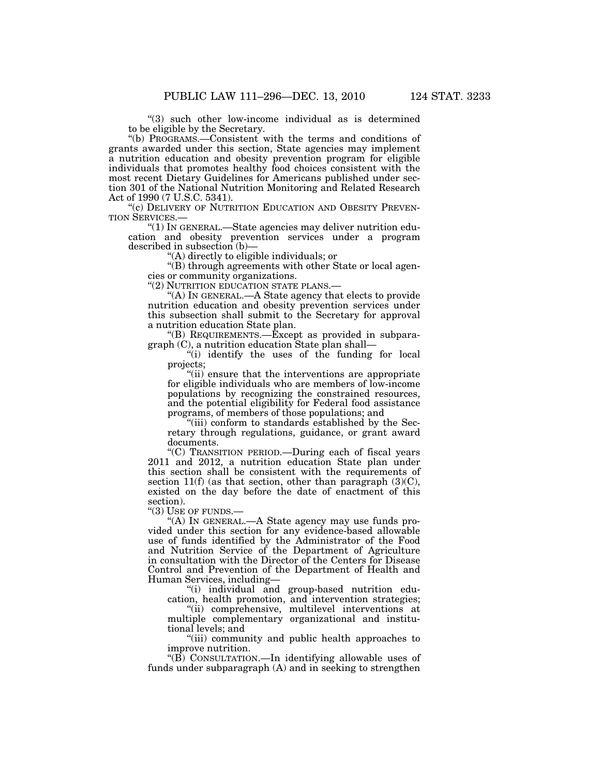"(3) such other low-income individual as is determined to be eligible by the Secretary.

''(b) PROGRAMS.—Consistent with the terms and conditions of grants awarded under this section, State agencies may implement a nutrition education and obesity prevention program for eligible individuals that promotes healthy food choices consistent with the most recent Dietary Guidelines for Americans published under section 301 of the National Nutrition Monitoring and Related Research Act of 1990 (7 U.S.C. 5341).

"(c) DELIVERY OF NUTRITION EDUCATION AND OBESITY PREVENTION SERVICES.—

"(1) IN GENERAL.—State agencies may deliver nutrition education and obesity prevention services under a program described in subsection (b)—

''(A) directly to eligible individuals; or

''(B) through agreements with other State or local agencies or community organizations.

''(2) NUTRITION EDUCATION STATE PLANS.—

''(A) IN GENERAL.—A State agency that elects to provide nutrition education and obesity prevention services under this subsection shall submit to the Secretary for approval a nutrition education State plan.

"(B) REQUIREMENTS.— $\dot{E}$ xcept as provided in subparagraph (C), a nutrition education State plan shall—

''(i) identify the uses of the funding for local projects;

''(ii) ensure that the interventions are appropriate for eligible individuals who are members of low-income populations by recognizing the constrained resources, and the potential eligibility for Federal food assistance programs, of members of those populations; and

"(iii) conform to standards established by the Secretary through regulations, guidance, or grant award documents.

''(C) TRANSITION PERIOD.—During each of fiscal years 2011 and 2012, a nutrition education State plan under this section shall be consistent with the requirements of section 11(f) (as that section, other than paragraph  $(3)(C)$ , existed on the day before the date of enactment of this section).

"(3) USE OF FUNDS.-

''(A) IN GENERAL.—A State agency may use funds provided under this section for any evidence-based allowable use of funds identified by the Administrator of the Food and Nutrition Service of the Department of Agriculture in consultation with the Director of the Centers for Disease Control and Prevention of the Department of Health and Human Services, including—

''(i) individual and group-based nutrition education, health promotion, and intervention strategies;

''(ii) comprehensive, multilevel interventions at multiple complementary organizational and institutional levels; and

''(iii) community and public health approaches to improve nutrition.

" $(B)$  CONSULTATION.—In identifying allowable uses of funds under subparagraph (A) and in seeking to strengthen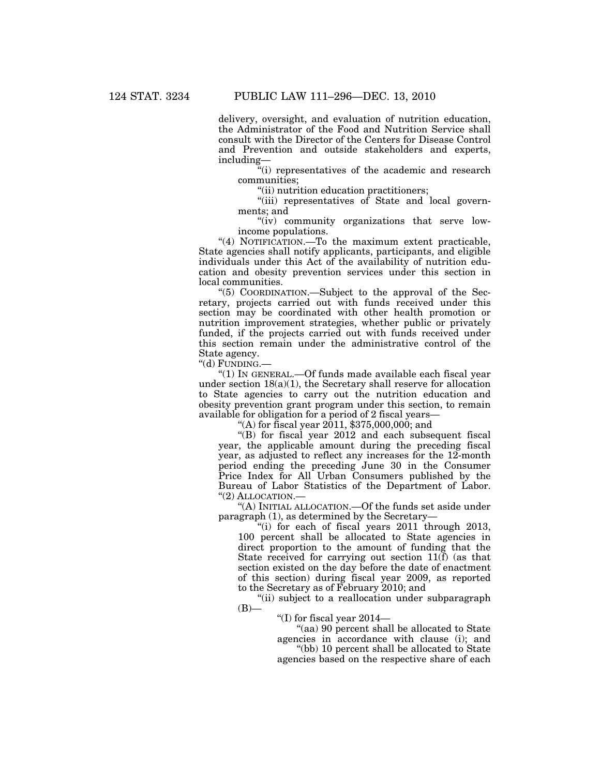delivery, oversight, and evaluation of nutrition education, the Administrator of the Food and Nutrition Service shall consult with the Director of the Centers for Disease Control and Prevention and outside stakeholders and experts, including—

''(i) representatives of the academic and research communities;

''(ii) nutrition education practitioners;

"(iii) representatives of State and local governments; and

"(iv) community organizations that serve lowincome populations.

"(4) NOTIFICATION.—To the maximum extent practicable, State agencies shall notify applicants, participants, and eligible individuals under this Act of the availability of nutrition education and obesity prevention services under this section in local communities.

''(5) COORDINATION.—Subject to the approval of the Secretary, projects carried out with funds received under this section may be coordinated with other health promotion or nutrition improvement strategies, whether public or privately funded, if the projects carried out with funds received under this section remain under the administrative control of the State agency.

''(d) FUNDING.—

''(1) IN GENERAL.—Of funds made available each fiscal year under section  $18(a)(1)$ , the Secretary shall reserve for allocation to State agencies to carry out the nutrition education and obesity prevention grant program under this section, to remain available for obligation for a period of 2 fiscal years—

"(A) for fiscal year  $2011$ ,  $$375,000,000$ ; and

''(B) for fiscal year 2012 and each subsequent fiscal year, the applicable amount during the preceding fiscal year, as adjusted to reflect any increases for the 12-month period ending the preceding June 30 in the Consumer Price Index for All Urban Consumers published by the Bureau of Labor Statistics of the Department of Labor. "(2) ALLOCATION.-

''(A) INITIAL ALLOCATION.—Of the funds set aside under paragraph (1), as determined by the Secretary—

''(i) for each of fiscal years 2011 through 2013, 100 percent shall be allocated to State agencies in direct proportion to the amount of funding that the State received for carrying out section 11(f) (as that section existed on the day before the date of enactment of this section) during fiscal year 2009, as reported to the Secretary as of February 2010; and

''(ii) subject to a reallocation under subparagraph  $(B)$ —

''(I) for fiscal year 2014—

''(aa) 90 percent shall be allocated to State agencies in accordance with clause (i); and ''(bb) 10 percent shall be allocated to State

agencies based on the respective share of each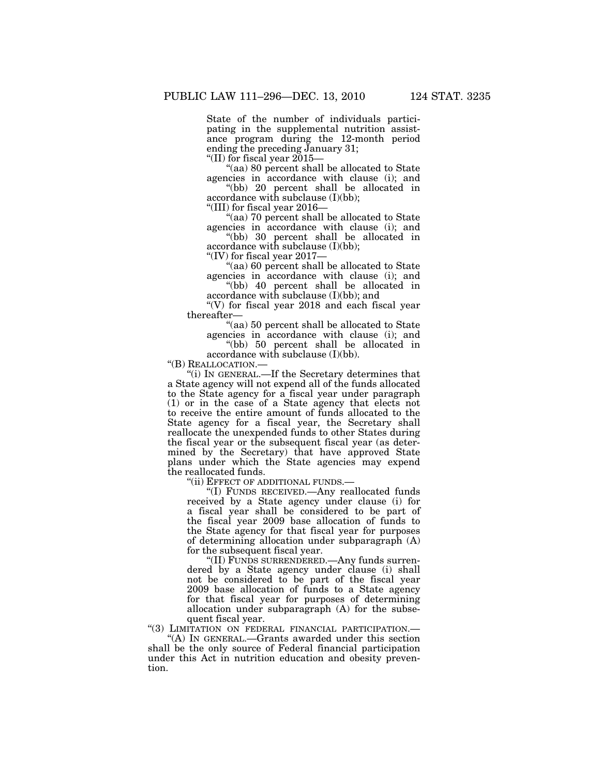State of the number of individuals participating in the supplemental nutrition assistance program during the 12-month period ending the preceding January 31;

''(II) for fiscal year 2015—

''(aa) 80 percent shall be allocated to State agencies in accordance with clause (i); and

''(bb) 20 percent shall be allocated in accordance with subclause (I)(bb);

''(III) for fiscal year 2016—

"(aa) 70 percent shall be allocated to State" agencies in accordance with clause (i); and

''(bb) 30 percent shall be allocated in accordance with subclause (I)(bb);

''(IV) for fiscal year 2017—

''(aa) 60 percent shall be allocated to State agencies in accordance with clause (i); and ''(bb) 40 percent shall be allocated in

accordance with subclause (I)(bb); and

"(V) for fiscal year  $2018$  and each fiscal year thereafter—

''(aa) 50 percent shall be allocated to State agencies in accordance with clause (i); and

''(bb) 50 percent shall be allocated in accordance with subclause (I)(bb).

''(B) REALLOCATION.—

''(i) IN GENERAL.—If the Secretary determines that a State agency will not expend all of the funds allocated to the State agency for a fiscal year under paragraph (1) or in the case of a State agency that elects not to receive the entire amount of funds allocated to the State agency for a fiscal year, the Secretary shall reallocate the unexpended funds to other States during the fiscal year or the subsequent fiscal year (as determined by the Secretary) that have approved State plans under which the State agencies may expend the reallocated funds.

''(ii) EFFECT OF ADDITIONAL FUNDS.—

''(I) FUNDS RECEIVED.—Any reallocated funds received by a State agency under clause (i) for a fiscal year shall be considered to be part of the fiscal year 2009 base allocation of funds to the State agency for that fiscal year for purposes of determining allocation under subparagraph (A) for the subsequent fiscal year.

''(II) FUNDS SURRENDERED.—Any funds surrendered by a State agency under clause (i) shall not be considered to be part of the fiscal year 2009 base allocation of funds to a State agency for that fiscal year for purposes of determining allocation under subparagraph (A) for the subsequent fiscal year.

''(3) LIMITATION ON FEDERAL FINANCIAL PARTICIPATION.—

''(A) IN GENERAL.—Grants awarded under this section shall be the only source of Federal financial participation under this Act in nutrition education and obesity prevention.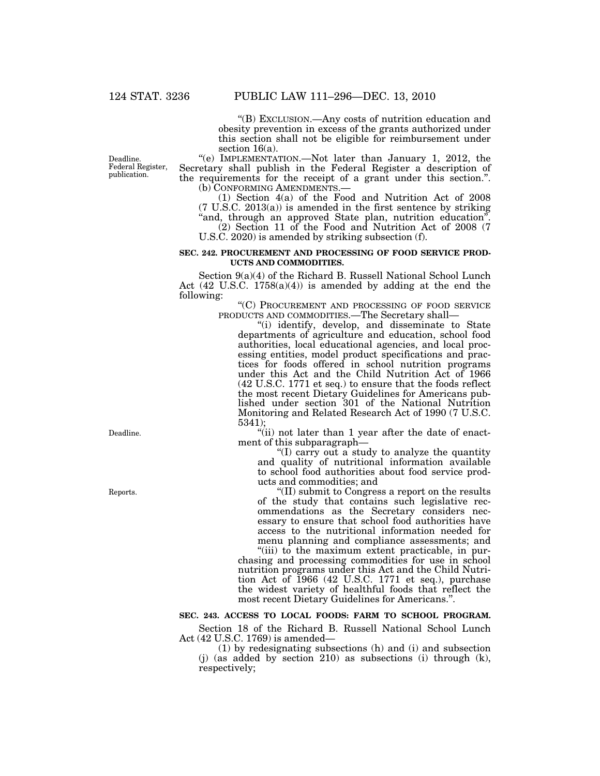''(B) EXCLUSION.—Any costs of nutrition education and obesity prevention in excess of the grants authorized under this section shall not be eligible for reimbursement under section 16(a).

"(e) IMPLEMENTATION.—Not later than January 1, 2012, the Secretary shall publish in the Federal Register a description of the requirements for the receipt of a grant under this section.".<br>(b) CONFORMING AMENDMENTS.—

(1) Section  $4(a)$  of the Food and Nutrition Act of 2008 (7 U.S.C. 2013(a)) is amended in the first sentence by striking "and, through an approved State plan, nutrition education".

(2) Section 11 of the Food and Nutrition Act of 2008 (7 U.S.C. 2020) is amended by striking subsection (f).

#### **SEC. 242. PROCUREMENT AND PROCESSING OF FOOD SERVICE PROD-UCTS AND COMMODITIES.**

Section 9(a)(4) of the Richard B. Russell National School Lunch Act  $(42 \text{ U.S.C. } 1758(a)(4))$  is amended by adding at the end the following:

''(C) PROCUREMENT AND PROCESSING OF FOOD SERVICE PRODUCTS AND COMMODITIES.—The Secretary shall—

''(i) identify, develop, and disseminate to State departments of agriculture and education, school food authorities, local educational agencies, and local processing entities, model product specifications and practices for foods offered in school nutrition programs under this Act and the Child Nutrition Act of 1966 (42 U.S.C. 1771 et seq.) to ensure that the foods reflect the most recent Dietary Guidelines for Americans published under section 301 of the National Nutrition Monitoring and Related Research Act of 1990 (7 U.S.C. 5341);

"(ii) not later than 1 year after the date of enactment of this subparagraph—

''(I) carry out a study to analyze the quantity and quality of nutritional information available to school food authorities about food service products and commodities; and

(II) submit to Congress a report on the results of the study that contains such legislative recommendations as the Secretary considers necessary to ensure that school food authorities have access to the nutritional information needed for menu planning and compliance assessments; and

"(iii) to the maximum extent practicable, in purchasing and processing commodities for use in school nutrition programs under this Act and the Child Nutrition Act of 1966 (42 U.S.C. 1771 et seq.), purchase the widest variety of healthful foods that reflect the most recent Dietary Guidelines for Americans.''.

# **SEC. 243. ACCESS TO LOCAL FOODS: FARM TO SCHOOL PROGRAM.**

Section 18 of the Richard B. Russell National School Lunch Act (42 U.S.C. 1769) is amended—

(1) by redesignating subsections (h) and (i) and subsection (j) (as added by section 210) as subsections (i) through (k), respectively;

Deadline. Federal Register, publication.

Deadline.

Reports.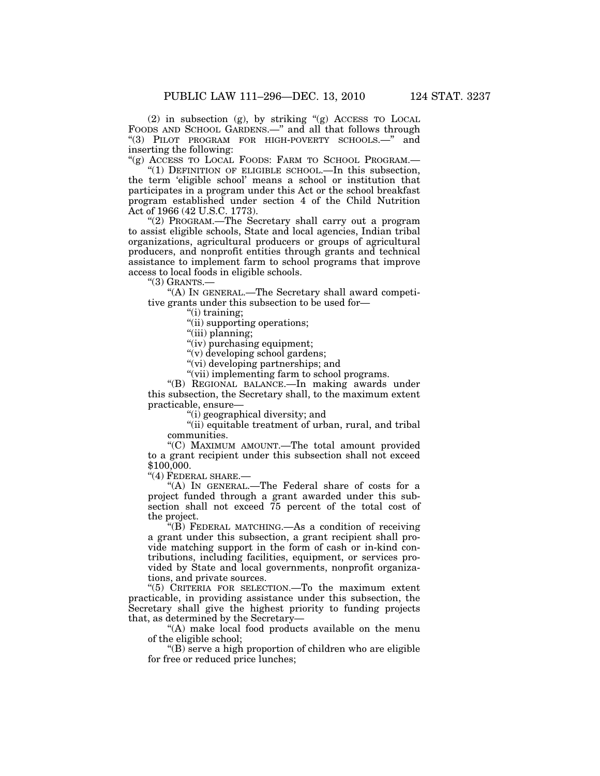(2) in subsection (g), by striking ''(g) ACCESS TO LOCAL FOODS AND SCHOOL GARDENS.<sup>—"</sup> and all that follows through ''(3) PILOT PROGRAM FOR HIGH-POVERTY SCHOOLS.—'' and inserting the following:

"(g) ACCESS TO LOCAL FOODS: FARM TO SCHOOL PROGRAM.—

"(1) DEFINITION OF ELIGIBLE SCHOOL.—In this subsection, the term 'eligible school' means a school or institution that participates in a program under this Act or the school breakfast program established under section 4 of the Child Nutrition Act of 1966 (42 U.S.C. 1773).

''(2) PROGRAM.—The Secretary shall carry out a program to assist eligible schools, State and local agencies, Indian tribal organizations, agricultural producers or groups of agricultural producers, and nonprofit entities through grants and technical assistance to implement farm to school programs that improve access to local foods in eligible schools.

 $"(3)$  GRANTS.—

''(A) IN GENERAL.—The Secretary shall award competitive grants under this subsection to be used for—

''(i) training;

''(ii) supporting operations;

''(iii) planning;

"(iv) purchasing equipment;

''(v) developing school gardens;

''(vi) developing partnerships; and

''(vii) implementing farm to school programs.

''(B) REGIONAL BALANCE.—In making awards under this subsection, the Secretary shall, to the maximum extent practicable, ensure—

''(i) geographical diversity; and

"(ii) equitable treatment of urban, rural, and tribal communities.

''(C) MAXIMUM AMOUNT.—The total amount provided to a grant recipient under this subsection shall not exceed \$100,000.

''(4) FEDERAL SHARE.—

"(A) IN GENERAL.—The Federal share of costs for a project funded through a grant awarded under this subsection shall not exceed 75 percent of the total cost of the project.

 $H(B)$  FEDERAL MATCHING.—As a condition of receiving a grant under this subsection, a grant recipient shall provide matching support in the form of cash or in-kind contributions, including facilities, equipment, or services provided by State and local governments, nonprofit organizations, and private sources.

''(5) CRITERIA FOR SELECTION.—To the maximum extent practicable, in providing assistance under this subsection, the Secretary shall give the highest priority to funding projects that, as determined by the Secretary—

''(A) make local food products available on the menu of the eligible school;

''(B) serve a high proportion of children who are eligible for free or reduced price lunches;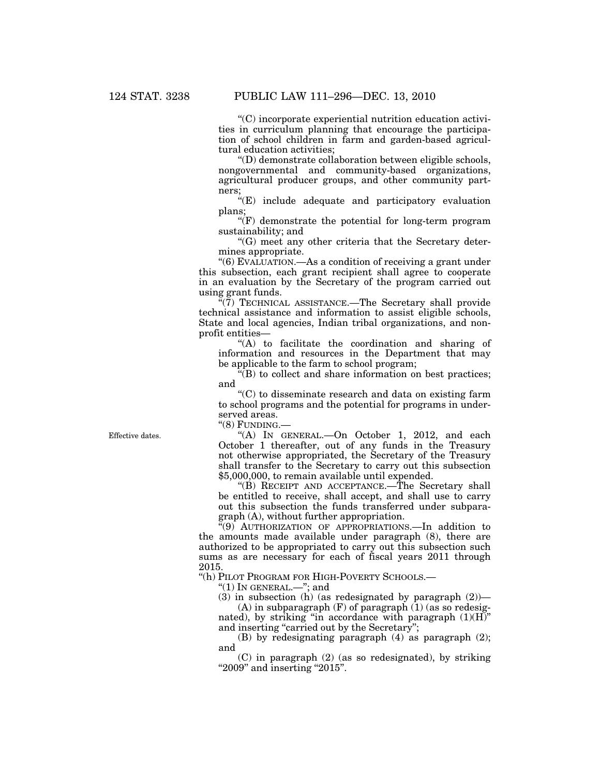''(C) incorporate experiential nutrition education activities in curriculum planning that encourage the participation of school children in farm and garden-based agricultural education activities;

''(D) demonstrate collaboration between eligible schools, nongovernmental and community-based organizations, agricultural producer groups, and other community partners;

''(E) include adequate and participatory evaluation plans;

 $\sqrt{\text{F}}$  demonstrate the potential for long-term program sustainability; and

''(G) meet any other criteria that the Secretary determines appropriate.

''(6) EVALUATION.—As a condition of receiving a grant under this subsection, each grant recipient shall agree to cooperate in an evaluation by the Secretary of the program carried out using grant funds.

 $\mathbb{F}(7)$  TECHNICAL ASSISTANCE.—The Secretary shall provide technical assistance and information to assist eligible schools, State and local agencies, Indian tribal organizations, and nonprofit entities—

''(A) to facilitate the coordination and sharing of information and resources in the Department that may be applicable to the farm to school program;

 $\mathcal{H}(B)$  to collect and share information on best practices; and

''(C) to disseminate research and data on existing farm to school programs and the potential for programs in underserved areas.

''(8) FUNDING.—

''(A) IN GENERAL.—On October 1, 2012, and each October 1 thereafter, out of any funds in the Treasury not otherwise appropriated, the Secretary of the Treasury shall transfer to the Secretary to carry out this subsection \$5,000,000, to remain available until expended.

''(B) RECEIPT AND ACCEPTANCE.—The Secretary shall be entitled to receive, shall accept, and shall use to carry out this subsection the funds transferred under subparagraph (A), without further appropriation.

''(9) AUTHORIZATION OF APPROPRIATIONS.—In addition to the amounts made available under paragraph (8), there are authorized to be appropriated to carry out this subsection such sums as are necessary for each of fiscal years 2011 through 2015.

"(h) PILOT PROGRAM FOR HIGH-POVERTY SCHOOLS.-

" $(1)$  In GENERAL.—"; and

(3) in subsection (h) (as redesignated by paragraph  $(2)$ )—

 $(A)$  in subparagraph  $(F)$  of paragraph  $(1)$  (as so redesignated), by striking ''in accordance with paragraph (1)(H)'' and inserting "carried out by the Secretary";

(B) by redesignating paragraph (4) as paragraph (2); and

(C) in paragraph (2) (as so redesignated), by striking "2009" and inserting "2015".

Effective dates.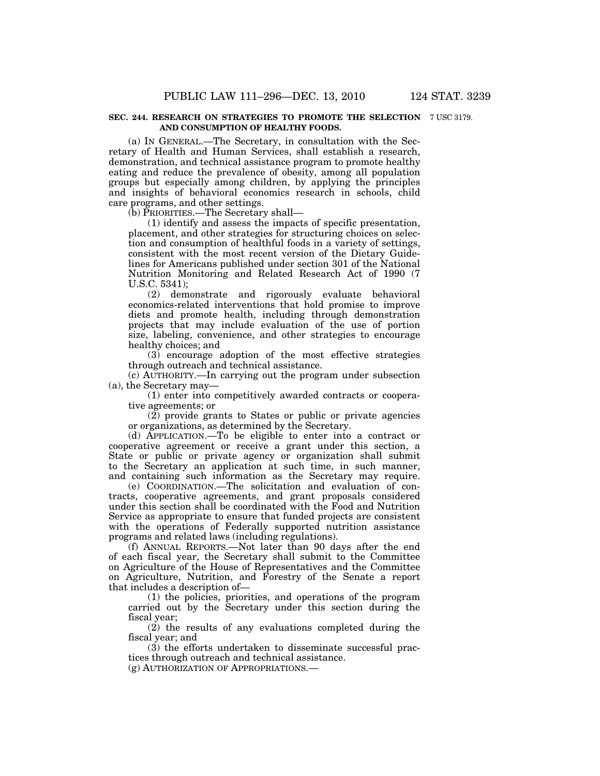#### **SEC. 244. RESEARCH ON STRATEGIES TO PROMOTE THE SELECTION**  7 USC 3179. **AND CONSUMPTION OF HEALTHY FOODS.**

(a) IN GENERAL.—The Secretary, in consultation with the Secretary of Health and Human Services, shall establish a research, demonstration, and technical assistance program to promote healthy eating and reduce the prevalence of obesity, among all population groups but especially among children, by applying the principles and insights of behavioral economics research in schools, child care programs, and other settings.

(b) PRIORITIES.—The Secretary shall—

(1) identify and assess the impacts of specific presentation, placement, and other strategies for structuring choices on selection and consumption of healthful foods in a variety of settings, consistent with the most recent version of the Dietary Guidelines for Americans published under section 301 of the National Nutrition Monitoring and Related Research Act of 1990 (7 U.S.C. 5341);

(2) demonstrate and rigorously evaluate behavioral economics-related interventions that hold promise to improve diets and promote health, including through demonstration projects that may include evaluation of the use of portion size, labeling, convenience, and other strategies to encourage healthy choices; and

(3) encourage adoption of the most effective strategies through outreach and technical assistance.

(c) AUTHORITY.—In carrying out the program under subsection (a), the Secretary may—

(1) enter into competitively awarded contracts or cooperative agreements; or

(2) provide grants to States or public or private agencies or organizations, as determined by the Secretary.

(d) APPLICATION.—To be eligible to enter into a contract or cooperative agreement or receive a grant under this section, a State or public or private agency or organization shall submit to the Secretary an application at such time, in such manner, and containing such information as the Secretary may require.

(e) COORDINATION.—The solicitation and evaluation of contracts, cooperative agreements, and grant proposals considered under this section shall be coordinated with the Food and Nutrition Service as appropriate to ensure that funded projects are consistent with the operations of Federally supported nutrition assistance programs and related laws (including regulations).

(f) ANNUAL REPORTS.—Not later than 90 days after the end of each fiscal year, the Secretary shall submit to the Committee on Agriculture of the House of Representatives and the Committee on Agriculture, Nutrition, and Forestry of the Senate a report that includes a description of—

(1) the policies, priorities, and operations of the program carried out by the Secretary under this section during the fiscal year;

(2) the results of any evaluations completed during the fiscal year; and

(3) the efforts undertaken to disseminate successful practices through outreach and technical assistance.

(g) AUTHORIZATION OF APPROPRIATIONS.—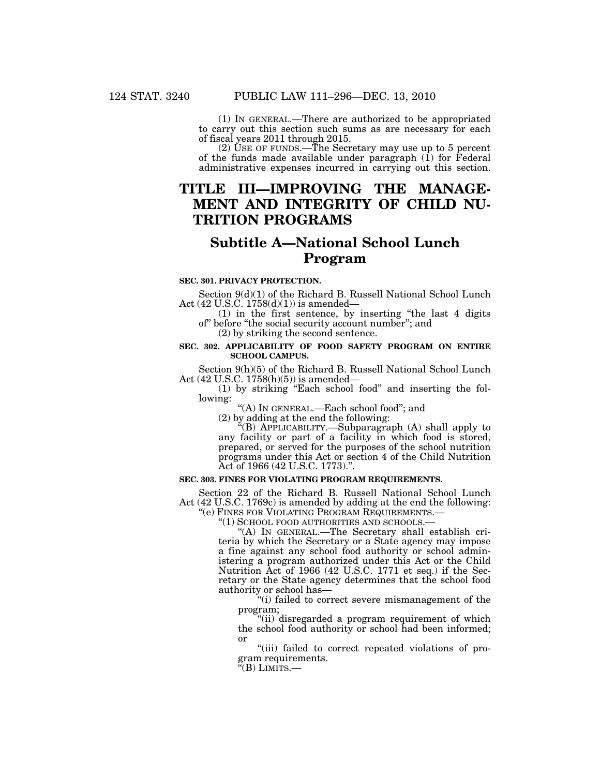(1) IN GENERAL.—There are authorized to be appropriated to carry out this section such sums as are necessary for each of fiscal years 2011 through 2015.

(2) USE OF FUNDS.—The Secretary may use up to 5 percent of the funds made available under paragraph  $(i)$  for Federal administrative expenses incurred in carrying out this section.

# **TITLE III—IMPROVING THE MANAGE-MENT AND INTEGRITY OF CHILD NU-TRITION PROGRAMS**

# **Subtitle A—National School Lunch Program**

### **SEC. 301. PRIVACY PROTECTION.**

Section  $9(d)(1)$  of the Richard B. Russell National School Lunch Act (42 U.S.C. 1758(d)(1)) is amended—

(1) in the first sentence, by inserting ''the last 4 digits of'' before ''the social security account number''; and

(2) by striking the second sentence.

# **SEC. 302. APPLICABILITY OF FOOD SAFETY PROGRAM ON ENTIRE SCHOOL CAMPUS.**

Section 9(h)(5) of the Richard B. Russell National School Lunch Act (42 U.S.C. 1758(h)(5)) is amended—

(1) by striking ''Each school food'' and inserting the following:

''(A) IN GENERAL.—Each school food''; and

(2) by adding at the end the following:

''(B) APPLICABILITY.—Subparagraph (A) shall apply to any facility or part of a facility in which food is stored, prepared, or served for the purposes of the school nutrition programs under this Act or section 4 of the Child Nutrition Act of 1966 (42 U.S.C. 1773).''.

# **SEC. 303. FINES FOR VIOLATING PROGRAM REQUIREMENTS.**

Section 22 of the Richard B. Russell National School Lunch Act (42 U.S.C. 1769c) is amended by adding at the end the following:<br>"(e) FINES FOR VIOLATING PROGRAM REQUIREMENTS.—

"(1) SCHOOL FOOD AUTHORITIES AND SCHOOLS.—<br>"(A) IN GENERAL.—The Secretary shall establish criteria by which the Secretary or a State agency may impose a fine against any school food authority or school administering a program authorized under this Act or the Child Nutrition Act of 1966 (42 U.S.C. 1771 et seq.) if the Secretary or the State agency determines that the school food authority or school has—

"(i) failed to correct severe mismanagement of the program;

''(ii) disregarded a program requirement of which the school food authority or school had been informed; or

''(iii) failed to correct repeated violations of program requirements.

 $\rm ^{a}(B)$  Limits.—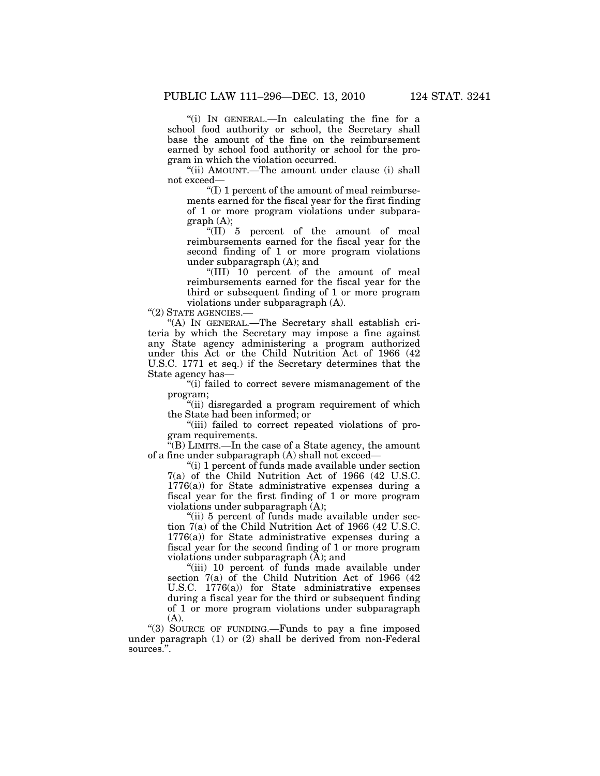''(i) IN GENERAL.—In calculating the fine for a school food authority or school, the Secretary shall base the amount of the fine on the reimbursement earned by school food authority or school for the program in which the violation occurred.

''(ii) AMOUNT.—The amount under clause (i) shall not exceed—

 $f(I)$  1 percent of the amount of meal reimbursements earned for the fiscal year for the first finding of 1 or more program violations under subparagraph (A);

"(II) 5 percent of the amount of meal reimbursements earned for the fiscal year for the second finding of 1 or more program violations under subparagraph (A); and

''(III) 10 percent of the amount of meal reimbursements earned for the fiscal year for the third or subsequent finding of 1 or more program violations under subparagraph (A).

''(2) STATE AGENCIES.—

''(A) IN GENERAL.—The Secretary shall establish criteria by which the Secretary may impose a fine against any State agency administering a program authorized under this Act or the Child Nutrition Act of 1966 (42 U.S.C. 1771 et seq.) if the Secretary determines that the State agency has—

''(i) failed to correct severe mismanagement of the program;

"(ii) disregarded a program requirement of which the State had been informed; or

"(iii) failed to correct repeated violations of program requirements.

 $\tilde{f}(B)$  LIMITS.—In the case of a State agency, the amount of a fine under subparagraph (A) shall not exceed—

''(i) 1 percent of funds made available under section 7(a) of the Child Nutrition Act of 1966 (42 U.S.C. 1776(a)) for State administrative expenses during a fiscal year for the first finding of 1 or more program violations under subparagraph (A);

"(ii) 5 percent of funds made available under section 7(a) of the Child Nutrition Act of 1966 (42 U.S.C. 1776(a)) for State administrative expenses during a fiscal year for the second finding of 1 or more program violations under subparagraph (A); and

"(iii) 10 percent of funds made available under section 7(a) of the Child Nutrition Act of 1966 (42 U.S.C. 1776(a)) for State administrative expenses during a fiscal year for the third or subsequent finding of 1 or more program violations under subparagraph  $(A)$ .

''(3) SOURCE OF FUNDING.—Funds to pay a fine imposed under paragraph (1) or (2) shall be derived from non-Federal sources.''.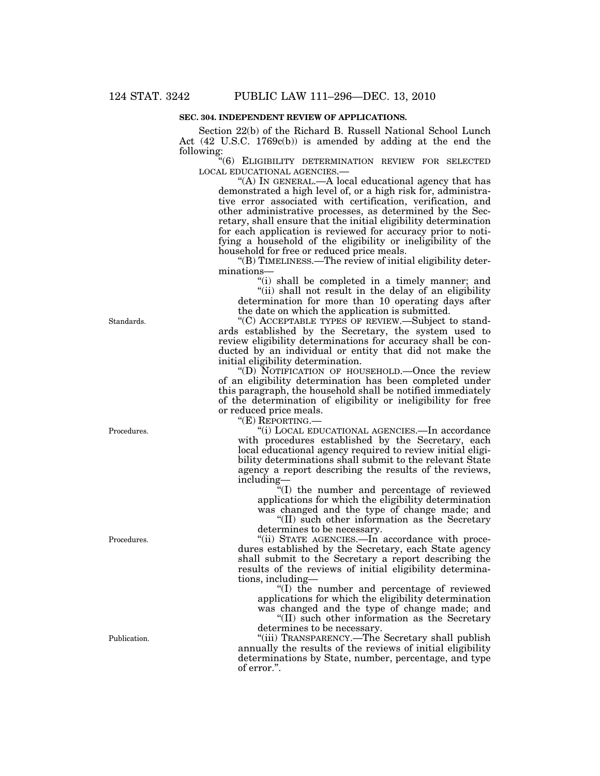# **SEC. 304. INDEPENDENT REVIEW OF APPLICATIONS.**

Section 22(b) of the Richard B. Russell National School Lunch Act (42 U.S.C. 1769c(b)) is amended by adding at the end the following:

''(6) ELIGIBILITY DETERMINATION REVIEW FOR SELECTED LOCAL EDUCATIONAL AGENCIES.—

"(A) IN GENERAL.—A local educational agency that has demonstrated a high level of, or a high risk for, administrative error associated with certification, verification, and other administrative processes, as determined by the Secretary, shall ensure that the initial eligibility determination for each application is reviewed for accuracy prior to notifying a household of the eligibility or ineligibility of the household for free or reduced price meals.

''(B) TIMELINESS.—The review of initial eligibility determinations—

"(i) shall be completed in a timely manner; and "(ii) shall not result in the delay of an eligibility determination for more than 10 operating days after

the date on which the application is submitted. ''(C) ACCEPTABLE TYPES OF REVIEW.—Subject to standards established by the Secretary, the system used to review eligibility determinations for accuracy shall be conducted by an individual or entity that did not make the initial eligibility determination.

''(D) NOTIFICATION OF HOUSEHOLD.—Once the review of an eligibility determination has been completed under this paragraph, the household shall be notified immediately of the determination of eligibility or ineligibility for free or reduced price meals.

''(E) REPORTING.—

''(i) LOCAL EDUCATIONAL AGENCIES.—In accordance with procedures established by the Secretary, each local educational agency required to review initial eligibility determinations shall submit to the relevant State agency a report describing the results of the reviews, including—

 $\tilde{H}(I)$  the number and percentage of reviewed applications for which the eligibility determination was changed and the type of change made; and ''(II) such other information as the Secretary

determines to be necessary.

"(ii) STATE AGENCIES.—In accordance with procedures established by the Secretary, each State agency shall submit to the Secretary a report describing the results of the reviews of initial eligibility determinations, including—

''(I) the number and percentage of reviewed applications for which the eligibility determination was changed and the type of change made; and

''(II) such other information as the Secretary determines to be necessary.

''(iii) TRANSPARENCY.—The Secretary shall publish annually the results of the reviews of initial eligibility determinations by State, number, percentage, and type of error.''.

Standards.

Procedures.

Procedures.

Publication.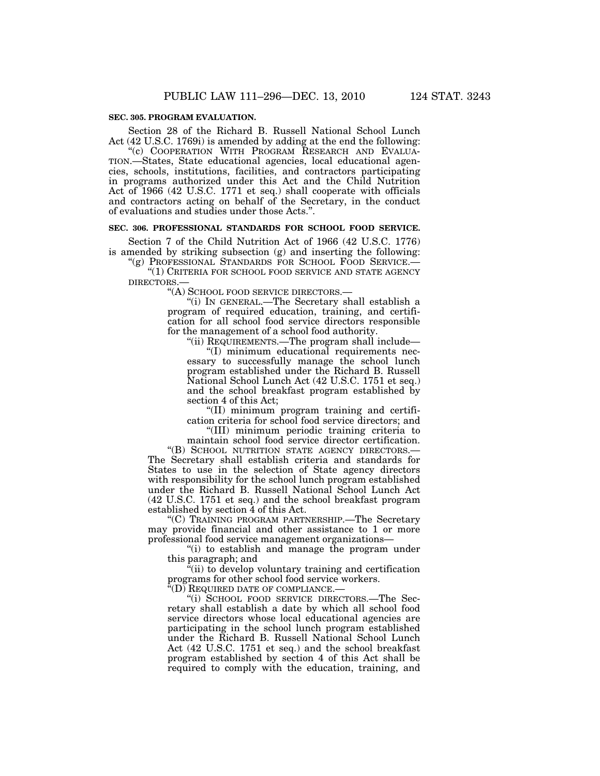### **SEC. 305. PROGRAM EVALUATION.**

Section 28 of the Richard B. Russell National School Lunch Act (42 U.S.C. 1769i) is amended by adding at the end the following:

''(c) COOPERATION WITH PROGRAM RESEARCH AND EVALUA-TION.—States, State educational agencies, local educational agencies, schools, institutions, facilities, and contractors participating in programs authorized under this Act and the Child Nutrition Act of 1966 (42 U.S.C. 1771 et seq.) shall cooperate with officials and contractors acting on behalf of the Secretary, in the conduct of evaluations and studies under those Acts.''.

#### **SEC. 306. PROFESSIONAL STANDARDS FOR SCHOOL FOOD SERVICE.**

Section 7 of the Child Nutrition Act of 1966 (42 U.S.C. 1776) is amended by striking subsection (g) and inserting the following:

"(g) PROFESSIONAL STANDARDS FOR SCHOOL FOOD SERVICE.-''(1) CRITERIA FOR SCHOOL FOOD SERVICE AND STATE AGENCY DIRECTORS.—

''(A) SCHOOL FOOD SERVICE DIRECTORS.—

''(i) IN GENERAL.—The Secretary shall establish a program of required education, training, and certification for all school food service directors responsible for the management of a school food authority.

''(ii) REQUIREMENTS.—The program shall include—

''(I) minimum educational requirements necessary to successfully manage the school lunch program established under the Richard B. Russell National School Lunch Act (42 U.S.C. 1751 et seq.) and the school breakfast program established by section 4 of this Act;

''(II) minimum program training and certification criteria for school food service directors; and

''(III) minimum periodic training criteria to

maintain school food service director certification. ''(B) SCHOOL NUTRITION STATE AGENCY DIRECTORS.— The Secretary shall establish criteria and standards for States to use in the selection of State agency directors with responsibility for the school lunch program established under the Richard B. Russell National School Lunch Act (42 U.S.C. 1751 et seq.) and the school breakfast program established by section 4 of this Act.

''(C) TRAINING PROGRAM PARTNERSHIP.—The Secretary may provide financial and other assistance to 1 or more professional food service management organizations—

''(i) to establish and manage the program under this paragraph; and

"(ii) to develop voluntary training and certification programs for other school food service workers.

 $\sqrt[\text{L}{2}]{\text{R}}$ EQUIRED DATE OF COMPLIANCE.–

''(i) SCHOOL FOOD SERVICE DIRECTORS.—The Secretary shall establish a date by which all school food service directors whose local educational agencies are participating in the school lunch program established under the Richard B. Russell National School Lunch Act (42 U.S.C. 1751 et seq.) and the school breakfast program established by section 4 of this Act shall be required to comply with the education, training, and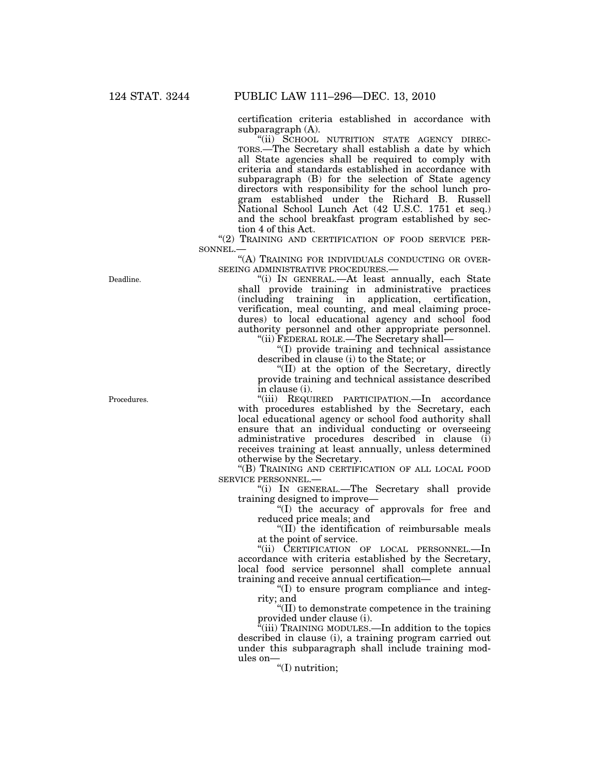certification criteria established in accordance with subparagraph (A).

"(ii) SCHOOL NUTRITION STATE AGENCY DIREC-TORS.—The Secretary shall establish a date by which all State agencies shall be required to comply with criteria and standards established in accordance with subparagraph (B) for the selection of State agency directors with responsibility for the school lunch program established under the Richard B. Russell National School Lunch Act (42 U.S.C. 1751 et seq.) and the school breakfast program established by section 4 of this Act.

"(2) TRAINING AND CERTIFICATION OF FOOD SERVICE PER-SONNEL.

"(A) TRAINING FOR INDIVIDUALS CONDUCTING OR OVER-SEEING ADMINISTRATIVE PROCEDURES.—

''(i) IN GENERAL.—At least annually, each State shall provide training in administrative practices (including training in application, certification, verification, meal counting, and meal claiming procedures) to local educational agency and school food authority personnel and other appropriate personnel. ''(ii) FEDERAL ROLE.—The Secretary shall—

''(I) provide training and technical assistance described in clause (i) to the State; or

''(II) at the option of the Secretary, directly provide training and technical assistance described in clause (i).

''(iii) REQUIRED PARTICIPATION.—In accordance with procedures established by the Secretary, each local educational agency or school food authority shall ensure that an individual conducting or overseeing administrative procedures described in clause (i) receives training at least annually, unless determined otherwise by the Secretary.

''(B) TRAINING AND CERTIFICATION OF ALL LOCAL FOOD SERVICE PERSONNEL.—

''(i) IN GENERAL.—The Secretary shall provide training designed to improve—

''(I) the accuracy of approvals for free and reduced price meals; and

''(II) the identification of reimbursable meals at the point of service.

''(ii) CERTIFICATION OF LOCAL PERSONNEL.—In accordance with criteria established by the Secretary, local food service personnel shall complete annual training and receive annual certification—

''(I) to ensure program compliance and integrity; and

''(II) to demonstrate competence in the training provided under clause (i).

"(iii) TRAINING MODULES.—In addition to the topics described in clause (i), a training program carried out under this subparagraph shall include training modules on—

''(I) nutrition;

Deadline.

Procedures.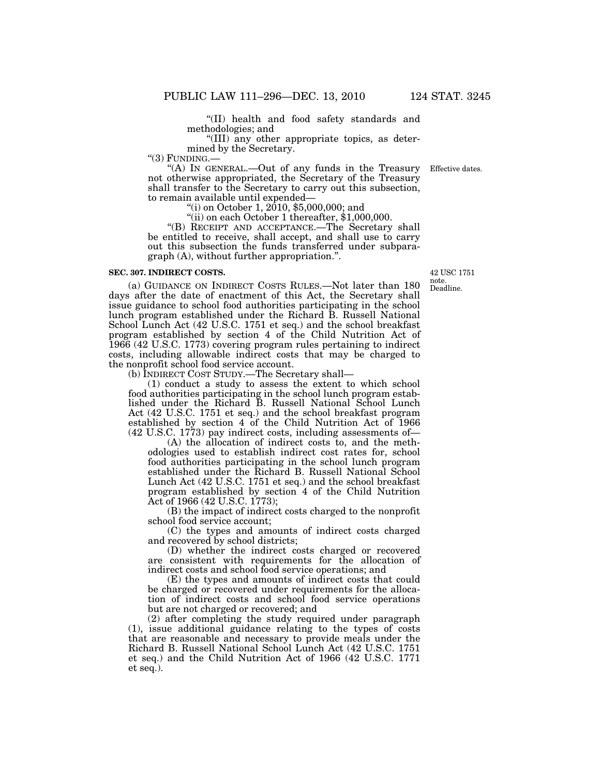''(II) health and food safety standards and methodologies; and

''(III) any other appropriate topics, as determined by the Secretary.<br>"(3) FUNDING.—

"(A) IN GENERAL.—Out of any funds in the Treasury not otherwise appropriated, the Secretary of the Treasury shall transfer to the Secretary to carry out this subsection,

to remain available until expended—<br>"(i) on October 1, 2010, \$5,000,000; and

"(ii) on each October 1 thereafter, \$1,000,000.

"(B) RECEIPT AND ACCEPTANCE.—The Secretary shall be entitled to receive, shall accept, and shall use to carry out this subsection the funds transferred under subparagraph (A), without further appropriation.''.

#### **SEC. 307. INDIRECT COSTS.**

(a) GUIDANCE ON INDIRECT COSTS RULES.—Not later than 180 days after the date of enactment of this Act, the Secretary shall issue guidance to school food authorities participating in the school lunch program established under the Richard B. Russell National School Lunch Act (42 U.S.C. 1751 et seq.) and the school breakfast program established by section 4 of the Child Nutrition Act of 1966 (42 U.S.C. 1773) covering program rules pertaining to indirect costs, including allowable indirect costs that may be charged to the nonprofit school food service account.

(b) INDIRECT COST STUDY.—The Secretary shall—

(1) conduct a study to assess the extent to which school food authorities participating in the school lunch program established under the Richard B. Russell National School Lunch Act (42 U.S.C. 1751 et seq.) and the school breakfast program established by section 4 of the Child Nutrition Act of 1966 (42 U.S.C. 1773) pay indirect costs, including assessments of—

(A) the allocation of indirect costs to, and the methodologies used to establish indirect cost rates for, school food authorities participating in the school lunch program established under the Richard B. Russell National School Lunch Act (42 U.S.C. 1751 et seq.) and the school breakfast program established by section 4 of the Child Nutrition Act of 1966 (42 U.S.C. 1773);

(B) the impact of indirect costs charged to the nonprofit school food service account;

(C) the types and amounts of indirect costs charged and recovered by school districts;

(D) whether the indirect costs charged or recovered are consistent with requirements for the allocation of indirect costs and school food service operations; and

(E) the types and amounts of indirect costs that could be charged or recovered under requirements for the allocation of indirect costs and school food service operations but are not charged or recovered; and

(2) after completing the study required under paragraph (1), issue additional guidance relating to the types of costs that are reasonable and necessary to provide meals under the Richard B. Russell National School Lunch Act (42 U.S.C. 1751 et seq.) and the Child Nutrition Act of 1966 (42 U.S.C. 1771 et seq.).

Deadline. 42 USC 1751 note.

Effective dates.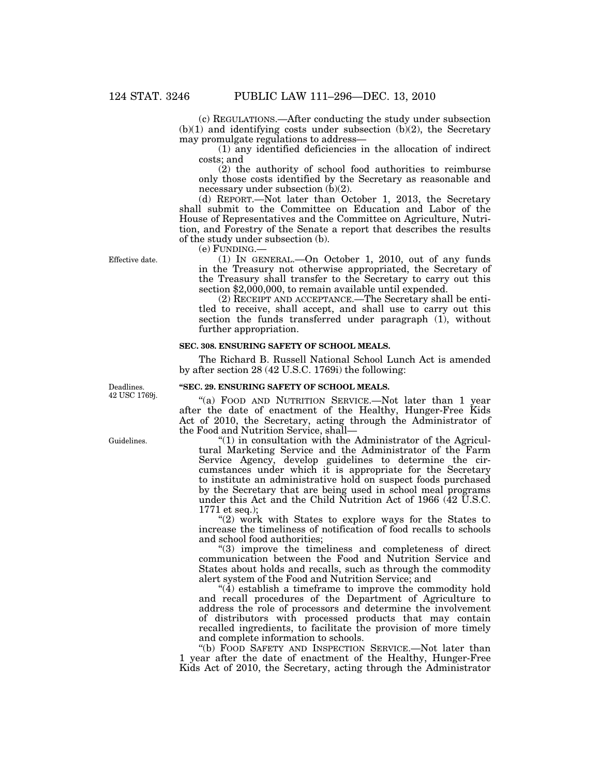(c) REGULATIONS.—After conducting the study under subsection  $(b)(1)$  and identifying costs under subsection  $(b)(2)$ , the Secretary may promulgate regulations to address—

(1) any identified deficiencies in the allocation of indirect costs; and

(2) the authority of school food authorities to reimburse only those costs identified by the Secretary as reasonable and necessary under subsection (b)(2).

(d) REPORT.—Not later than October 1, 2013, the Secretary shall submit to the Committee on Education and Labor of the House of Representatives and the Committee on Agriculture, Nutrition, and Forestry of the Senate a report that describes the results of the study under subsection (b).

(e) FUNDING.—

(1) IN GENERAL.—On October 1, 2010, out of any funds in the Treasury not otherwise appropriated, the Secretary of the Treasury shall transfer to the Secretary to carry out this section \$2,000,000, to remain available until expended.

(2) RECEIPT AND ACCEPTANCE.—The Secretary shall be entitled to receive, shall accept, and shall use to carry out this section the funds transferred under paragraph (1), without further appropriation.

## **SEC. 308. ENSURING SAFETY OF SCHOOL MEALS.**

The Richard B. Russell National School Lunch Act is amended by after section 28 (42 U.S.C. 1769i) the following:

#### **''SEC. 29. ENSURING SAFETY OF SCHOOL MEALS.**

"(a) FOOD AND NUTRITION SERVICE.—Not later than 1 year after the date of enactment of the Healthy, Hunger-Free Kids Act of 2010, the Secretary, acting through the Administrator of the Food and Nutrition Service, shall—

 $''(1)$  in consultation with the Administrator of the Agricultural Marketing Service and the Administrator of the Farm Service Agency, develop guidelines to determine the circumstances under which it is appropriate for the Secretary to institute an administrative hold on suspect foods purchased by the Secretary that are being used in school meal programs under this Act and the Child Nutrition Act of 1966 (42 U.S.C. 1771 et seq.);

"(2) work with States to explore ways for the States to increase the timeliness of notification of food recalls to schools and school food authorities;

"(3) improve the timeliness and completeness of direct communication between the Food and Nutrition Service and States about holds and recalls, such as through the commodity alert system of the Food and Nutrition Service; and

 $\mathcal{A}(4)$  establish a timeframe to improve the commodity hold and recall procedures of the Department of Agriculture to address the role of processors and determine the involvement of distributors with processed products that may contain recalled ingredients, to facilitate the provision of more timely and complete information to schools.

''(b) FOOD SAFETY AND INSPECTION SERVICE.—Not later than 1 year after the date of enactment of the Healthy, Hunger-Free Kids Act of 2010, the Secretary, acting through the Administrator

Effective date.

Guidelines.

Deadlines. 42 USC 1769j.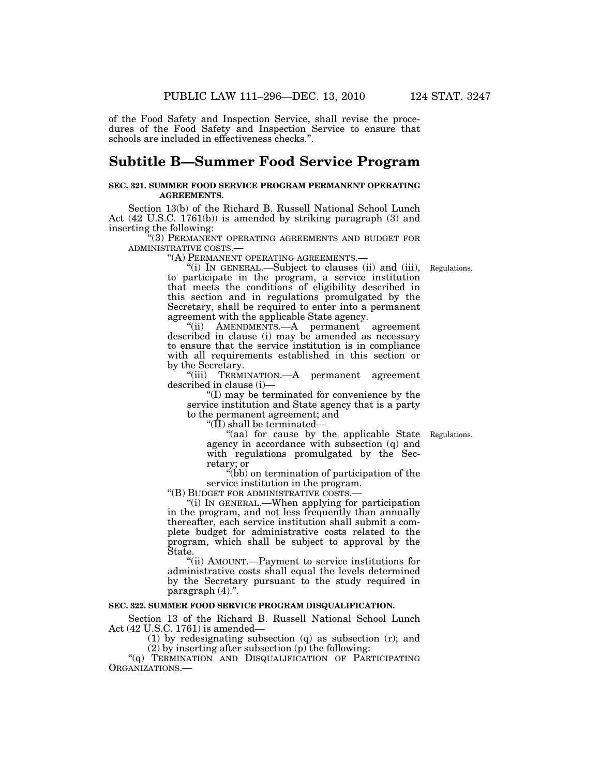of the Food Safety and Inspection Service, shall revise the procedures of the Food Safety and Inspection Service to ensure that schools are included in effectiveness checks.''.

# **Subtitle B—Summer Food Service Program**

#### **SEC. 321. SUMMER FOOD SERVICE PROGRAM PERMANENT OPERATING AGREEMENTS.**

Section 13(b) of the Richard B. Russell National School Lunch Act (42 U.S.C. 1761(b)) is amended by striking paragraph (3) and inserting the following:

''(3) PERMANENT OPERATING AGREEMENTS AND BUDGET FOR ADMINISTRATIVE COSTS.—

''(A) PERMANENT OPERATING AGREEMENTS.—

''(i) IN GENERAL.—Subject to clauses (ii) and (iii), to participate in the program, a service institution that meets the conditions of eligibility described in this section and in regulations promulgated by the Secretary, shall be required to enter into a permanent agreement with the applicable State agency.

''(ii) AMENDMENTS.—A permanent agreement described in clause (i) may be amended as necessary to ensure that the service institution is in compliance with all requirements established in this section or by the Secretary.

''(iii) TERMINATION.—A permanent agreement described in clause (i)—

''(I) may be terminated for convenience by the service institution and State agency that is a party to the permanent agreement; and

''(II) shall be terminated—

''(aa) for cause by the applicable State agency in accordance with subsection (q) and with regulations promulgated by the Secretary; or

''(bb) on termination of participation of the service institution in the program.<br>"(B) BUDGET FOR ADMINISTRATIVE COSTS.—

"(i) IN GENERAL.—When applying for participation in the program, and not less frequently than annually thereafter, each service institution shall submit a complete budget for administrative costs related to the program, which shall be subject to approval by the State.

''(ii) AMOUNT.—Payment to service institutions for administrative costs shall equal the levels determined by the Secretary pursuant to the study required in paragraph (4).''.

## **SEC. 322. SUMMER FOOD SERVICE PROGRAM DISQUALIFICATION.**

Section 13 of the Richard B. Russell National School Lunch Act (42 U.S.C. 1761) is amended—

(1) by redesignating subsection (q) as subsection (r); and  $(2)$  by inserting after subsection  $(p)$  the following:

"(q) TERMINATION AND DISQUALIFICATION OF PARTICIPATING ORGANIZATIONS.—

Regulations.

Regulations.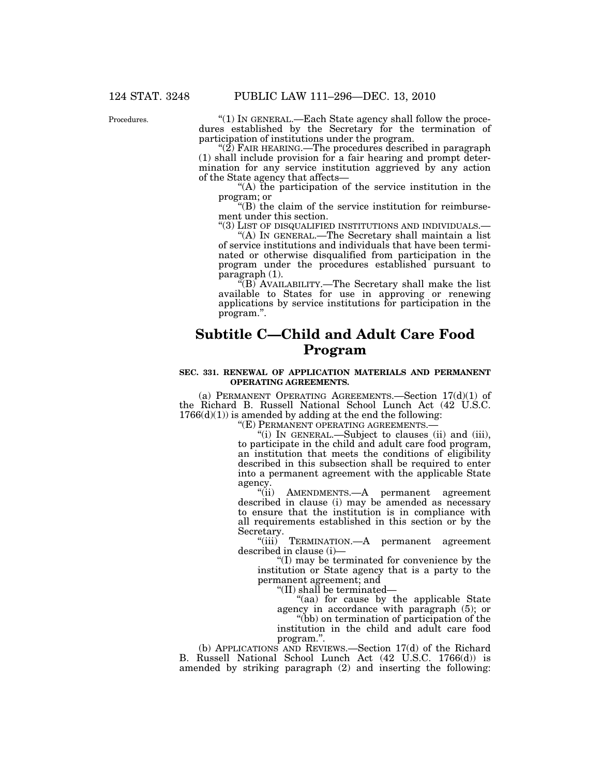Procedures.

''(1) IN GENERAL.—Each State agency shall follow the procedures established by the Secretary for the termination of participation of institutions under the program.

" $(2)$  FAIR HEARING.—The procedures described in paragraph (1) shall include provision for a fair hearing and prompt determination for any service institution aggrieved by any action of the State agency that affects—

''(A) the participation of the service institution in the program; or

''(B) the claim of the service institution for reimbursement under this section.

''(3) LIST OF DISQUALIFIED INSTITUTIONS AND INDIVIDUALS.— ''(A) IN GENERAL.—The Secretary shall maintain a list of service institutions and individuals that have been terminated or otherwise disqualified from participation in the program under the procedures established pursuant to paragraph (1).

''(B) AVAILABILITY.—The Secretary shall make the list available to States for use in approving or renewing applications by service institutions for participation in the program.''.

# **Subtitle C—Child and Adult Care Food Program**

#### **SEC. 331. RENEWAL OF APPLICATION MATERIALS AND PERMANENT OPERATING AGREEMENTS.**

(a) PERMANENT OPERATING AGREEMENTS.—Section  $17(d)(1)$  of the Richard B. Russell National School Lunch Act (42 U.S.C.  $1766(d)(1)$ ) is amended by adding at the end the following:<br>"(E) PERMANENT OPERATING AGREEMENTS.—

"(i) IN GENERAL.—Subject to clauses (ii) and (iii), to participate in the child and adult care food program, an institution that meets the conditions of eligibility described in this subsection shall be required to enter into a permanent agreement with the applicable State agency.<br>"(ii)

AMENDMENTS.—A permanent agreement described in clause (i) may be amended as necessary to ensure that the institution is in compliance with all requirements established in this section or by the Secretary.

"(iii) TERMINATION.—A permanent agreement described in clause (i)—

''(I) may be terminated for convenience by the institution or State agency that is a party to the permanent agreement; and

''(II) shall be terminated—

''(aa) for cause by the applicable State agency in accordance with paragraph (5); or

''(bb) on termination of participation of the institution in the child and adult care food program.''.

(b) APPLICATIONS AND REVIEWS.—Section 17(d) of the Richard B. Russell National School Lunch Act (42 U.S.C. 1766(d)) is amended by striking paragraph (2) and inserting the following: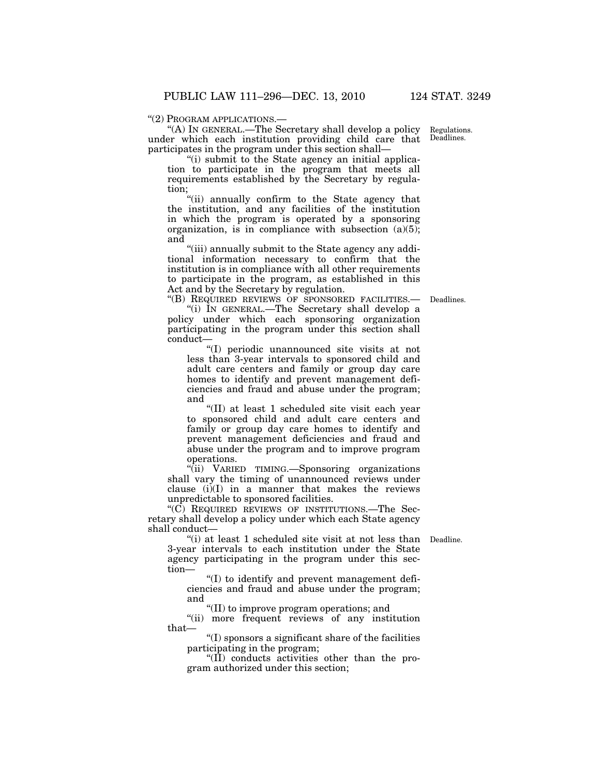Regulations. Deadlines.

#### ''(2) PROGRAM APPLICATIONS.—

''(A) IN GENERAL.—The Secretary shall develop a policy under which each institution providing child care that participates in the program under this section shall—

"(i) submit to the State agency an initial application to participate in the program that meets all requirements established by the Secretary by regulation;

''(ii) annually confirm to the State agency that the institution, and any facilities of the institution in which the program is operated by a sponsoring organization, is in compliance with subsection  $(a)(5)$ ; and

"(iii) annually submit to the State agency any additional information necessary to confirm that the institution is in compliance with all other requirements to participate in the program, as established in this Act and by the Secretary by regulation.

Deadlines.

''(B) REQUIRED REVIEWS OF SPONSORED FACILITIES.— ''(i) IN GENERAL.—The Secretary shall develop a policy under which each sponsoring organization participating in the program under this section shall conduct—

''(I) periodic unannounced site visits at not less than 3-year intervals to sponsored child and adult care centers and family or group day care homes to identify and prevent management deficiencies and fraud and abuse under the program; and

''(II) at least 1 scheduled site visit each year to sponsored child and adult care centers and family or group day care homes to identify and prevent management deficiencies and fraud and abuse under the program and to improve program operations.

''(ii) VARIED TIMING.—Sponsoring organizations shall vary the timing of unannounced reviews under clause  $(i)(I)$  in a manner that makes the reviews unpredictable to sponsored facilities.

" $(C)$  REQUIRED REVIEWS OF INSTITUTIONS.—The Secretary shall develop a policy under which each State agency shall conduct—

"(i) at least 1 scheduled site visit at not less than Deadline. 3-year intervals to each institution under the State agency participating in the program under this section—

''(I) to identify and prevent management deficiencies and fraud and abuse under the program; and

''(II) to improve program operations; and

"(ii) more frequent reviews of any institution that—

''(I) sponsors a significant share of the facilities participating in the program;

 $\langle f(\mathbf{I})\rangle$  conducts activities other than the program authorized under this section;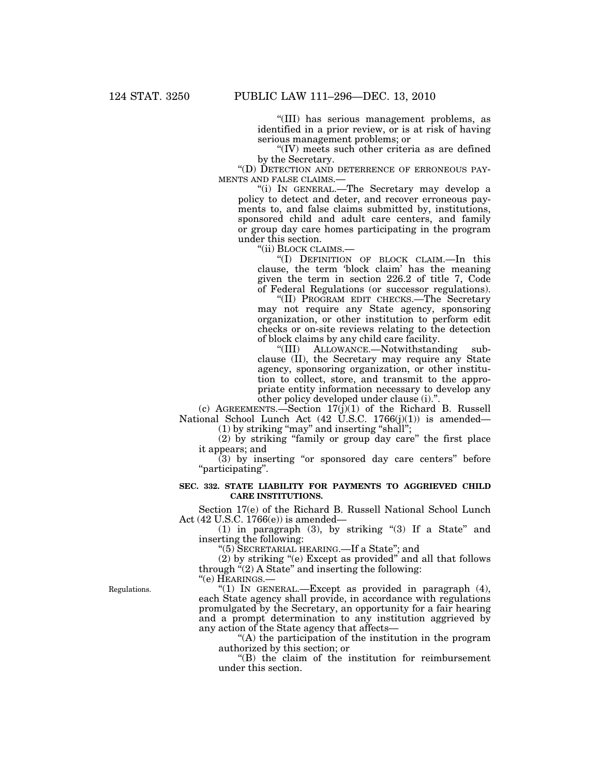''(III) has serious management problems, as identified in a prior review, or is at risk of having serious management problems; or

''(IV) meets such other criteria as are defined by the Secretary.

''(D) DETECTION AND DETERRENCE OF ERRONEOUS PAY-MENTS AND FALSE CLAIMS.—

''(i) IN GENERAL.—The Secretary may develop a policy to detect and deter, and recover erroneous payments to, and false claims submitted by, institutions, sponsored child and adult care centers, and family or group day care homes participating in the program under this section.

''(ii) BLOCK CLAIMS.—

''(I) DEFINITION OF BLOCK CLAIM.—In this clause, the term 'block claim' has the meaning given the term in section 226.2 of title 7, Code of Federal Regulations (or successor regulations).

''(II) PROGRAM EDIT CHECKS.—The Secretary may not require any State agency, sponsoring organization, or other institution to perform edit checks or on-site reviews relating to the detection of block claims by any child care facility.

ALLOWANCE.—Notwithstanding subclause (II), the Secretary may require any State agency, sponsoring organization, or other institution to collect, store, and transmit to the appropriate entity information necessary to develop any other policy developed under clause (i).''.

(c) AGREEMENTS.—Section  $17(j)(1)$  of the Richard B. Russell National School Lunch Act (42 U.S.C. 1766(j)(1)) is amended— (1) by striking ''may'' and inserting ''shall'';

(2) by striking ''family or group day care'' the first place it appears; and

(3) by inserting ''or sponsored day care centers'' before ''participating''.

### **SEC. 332. STATE LIABILITY FOR PAYMENTS TO AGGRIEVED CHILD CARE INSTITUTIONS.**

Section 17(e) of the Richard B. Russell National School Lunch Act (42 U.S.C. 1766(e)) is amended—

(1) in paragraph (3), by striking "(3) If a State" and inserting the following:

''(5) SECRETARIAL HEARING.—If a State''; and

(2) by striking ''(e) Except as provided'' and all that follows through  $(2)$  A State" and inserting the following:

''(e) HEARINGS.—

''(1) IN GENERAL.—Except as provided in paragraph (4), each State agency shall provide, in accordance with regulations promulgated by the Secretary, an opportunity for a fair hearing and a prompt determination to any institution aggrieved by any action of the State agency that affects—

''(A) the participation of the institution in the program authorized by this section; or

''(B) the claim of the institution for reimbursement under this section.

Regulations.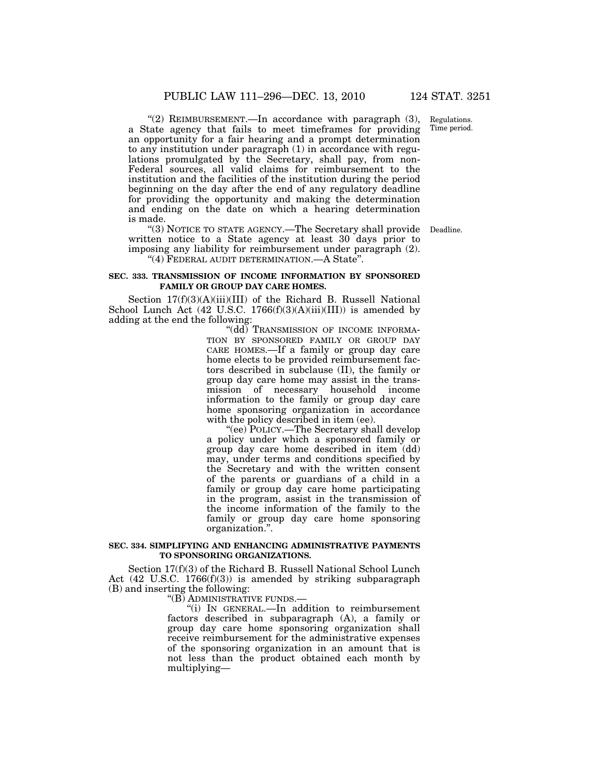Regulations. Time period.

"(2) REIMBURSEMENT.—In accordance with paragraph (3), a State agency that fails to meet timeframes for providing an opportunity for a fair hearing and a prompt determination to any institution under paragraph (1) in accordance with regulations promulgated by the Secretary, shall pay, from non-Federal sources, all valid claims for reimbursement to the institution and the facilities of the institution during the period beginning on the day after the end of any regulatory deadline for providing the opportunity and making the determination and ending on the date on which a hearing determination is made.

"(3) NOTICE TO STATE AGENCY.—The Secretary shall provide Deadline. written notice to a State agency at least 30 days prior to imposing any liability for reimbursement under paragraph (2).

''(4) FEDERAL AUDIT DETERMINATION.—A State''.

#### **SEC. 333. TRANSMISSION OF INCOME INFORMATION BY SPONSORED FAMILY OR GROUP DAY CARE HOMES.**

Section 17(f)(3)(A)(iii)(III) of the Richard B. Russell National School Lunch Act  $(42 \text{ U.S.C. } 1766(f)(3)(A)(iii)(III))$  is amended by adding at the end the following:

"(dd) Transmission of Income Informa-TION BY SPONSORED FAMILY OR GROUP DAY CARE HOMES.—If a family or group day care home elects to be provided reimbursement factors described in subclause (II), the family or group day care home may assist in the transmission of necessary household income information to the family or group day care home sponsoring organization in accordance with the policy described in item (ee).

''(ee) POLICY.—The Secretary shall develop a policy under which a sponsored family or group day care home described in item (dd) may, under terms and conditions specified by the Secretary and with the written consent of the parents or guardians of a child in a family or group day care home participating in the program, assist in the transmission of the income information of the family to the family or group day care home sponsoring organization.''.

#### **SEC. 334. SIMPLIFYING AND ENHANCING ADMINISTRATIVE PAYMENTS TO SPONSORING ORGANIZATIONS.**

Section 17(f)(3) of the Richard B. Russell National School Lunch Act (42 U.S.C. 1766(f)(3)) is amended by striking subparagraph (B) and inserting the following:

''(B) ADMINISTRATIVE FUNDS.—

''(i) IN GENERAL.—In addition to reimbursement factors described in subparagraph (A), a family or group day care home sponsoring organization shall receive reimbursement for the administrative expenses of the sponsoring organization in an amount that is not less than the product obtained each month by multiplying—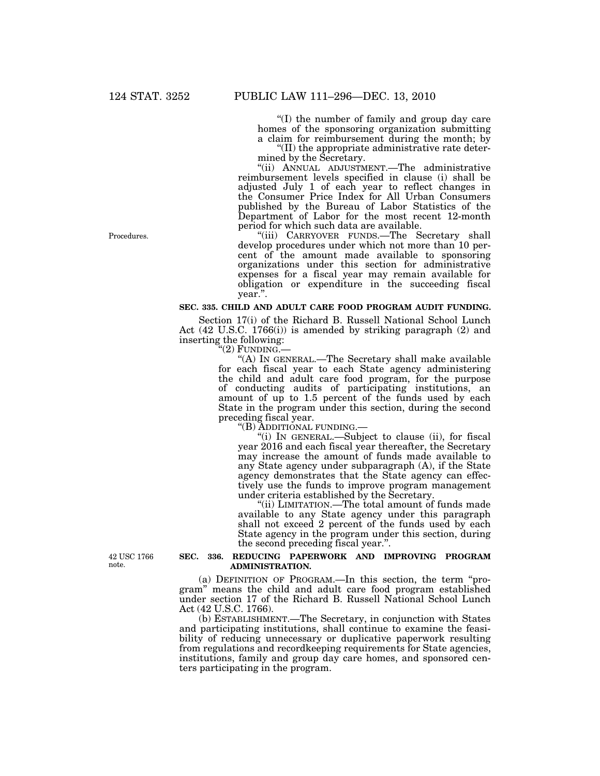''(I) the number of family and group day care homes of the sponsoring organization submitting a claim for reimbursement during the month; by ''(II) the appropriate administrative rate deter-

mined by the Secretary.

''(ii) ANNUAL ADJUSTMENT.—The administrative reimbursement levels specified in clause (i) shall be adjusted July 1 of each year to reflect changes in the Consumer Price Index for All Urban Consumers published by the Bureau of Labor Statistics of the Department of Labor for the most recent 12-month period for which such data are available.

''(iii) CARRYOVER FUNDS.—The Secretary shall develop procedures under which not more than 10 percent of the amount made available to sponsoring organizations under this section for administrative expenses for a fiscal year may remain available for obligation or expenditure in the succeeding fiscal year.''.

# **SEC. 335. CHILD AND ADULT CARE FOOD PROGRAM AUDIT FUNDING.**

Section 17(i) of the Richard B. Russell National School Lunch Act (42 U.S.C. 1766(i)) is amended by striking paragraph (2) and inserting the following:<br>"(2) FUNDING.

"(A) IN GENERAL.—The Secretary shall make available for each fiscal year to each State agency administering the child and adult care food program, for the purpose of conducting audits of participating institutions, an amount of up to 1.5 percent of the funds used by each State in the program under this section, during the second preceding fiscal year.<br>"(B) ADDITIONAL FUNDING.-

"(i) IN GENERAL.—Subject to clause (ii), for fiscal year 2016 and each fiscal year thereafter, the Secretary may increase the amount of funds made available to any State agency under subparagraph (A), if the State agency demonstrates that the State agency can effectively use the funds to improve program management under criteria established by the Secretary.

''(ii) LIMITATION.—The total amount of funds made available to any State agency under this paragraph shall not exceed 2 percent of the funds used by each State agency in the program under this section, during the second preceding fiscal year.''.

42 USC 1766 note.

#### **SEC. 336. REDUCING PAPERWORK AND IMPROVING PROGRAM ADMINISTRATION.**

(a) DEFINITION OF PROGRAM.—In this section, the term ''program'' means the child and adult care food program established under section 17 of the Richard B. Russell National School Lunch Act (42 U.S.C. 1766).

(b) ESTABLISHMENT.—The Secretary, in conjunction with States and participating institutions, shall continue to examine the feasibility of reducing unnecessary or duplicative paperwork resulting from regulations and recordkeeping requirements for State agencies, institutions, family and group day care homes, and sponsored centers participating in the program.

Procedures.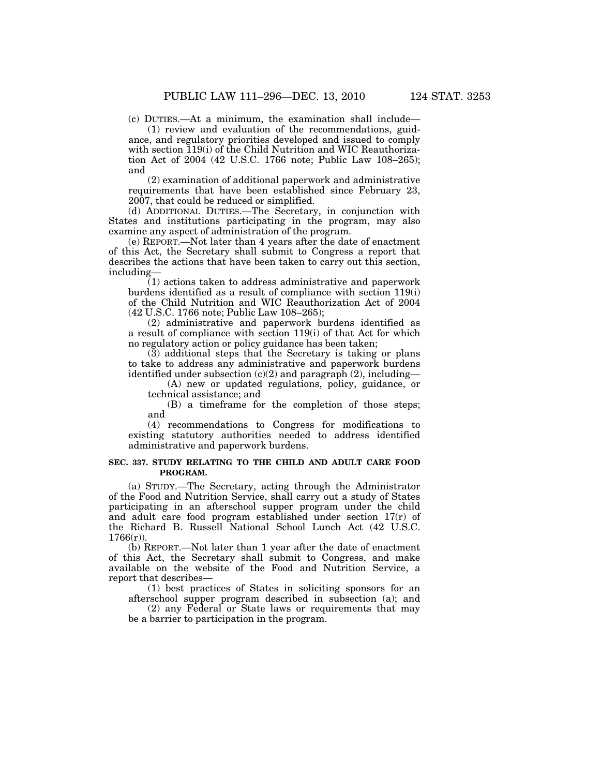(c) DUTIES.—At a minimum, the examination shall include—

(1) review and evaluation of the recommendations, guidance, and regulatory priorities developed and issued to comply with section 119(i) of the Child Nutrition and WIC Reauthorization Act of 2004 (42 U.S.C. 1766 note; Public Law 108–265); and

(2) examination of additional paperwork and administrative requirements that have been established since February 23, 2007, that could be reduced or simplified.

(d) ADDITIONAL DUTIES.—The Secretary, in conjunction with States and institutions participating in the program, may also examine any aspect of administration of the program.

(e) REPORT.—Not later than 4 years after the date of enactment of this Act, the Secretary shall submit to Congress a report that describes the actions that have been taken to carry out this section, including—

(1) actions taken to address administrative and paperwork burdens identified as a result of compliance with section 119(i) of the Child Nutrition and WIC Reauthorization Act of 2004 (42 U.S.C. 1766 note; Public Law 108–265);

(2) administrative and paperwork burdens identified as a result of compliance with section 119(i) of that Act for which no regulatory action or policy guidance has been taken;

(3) additional steps that the Secretary is taking or plans to take to address any administrative and paperwork burdens identified under subsection  $(c)(2)$  and paragraph  $(2)$ , including—

(A) new or updated regulations, policy, guidance, or technical assistance; and

(B) a timeframe for the completion of those steps; and

(4) recommendations to Congress for modifications to existing statutory authorities needed to address identified administrative and paperwork burdens.

### **SEC. 337. STUDY RELATING TO THE CHILD AND ADULT CARE FOOD PROGRAM.**

(a) STUDY.—The Secretary, acting through the Administrator of the Food and Nutrition Service, shall carry out a study of States participating in an afterschool supper program under the child and adult care food program established under section 17(r) of the Richard B. Russell National School Lunch Act (42 U.S.C.  $1766(r)$ ).

(b) REPORT.—Not later than 1 year after the date of enactment of this Act, the Secretary shall submit to Congress, and make available on the website of the Food and Nutrition Service, a report that describes—

(1) best practices of States in soliciting sponsors for an afterschool supper program described in subsection (a); and

(2) any Federal or State laws or requirements that may be a barrier to participation in the program.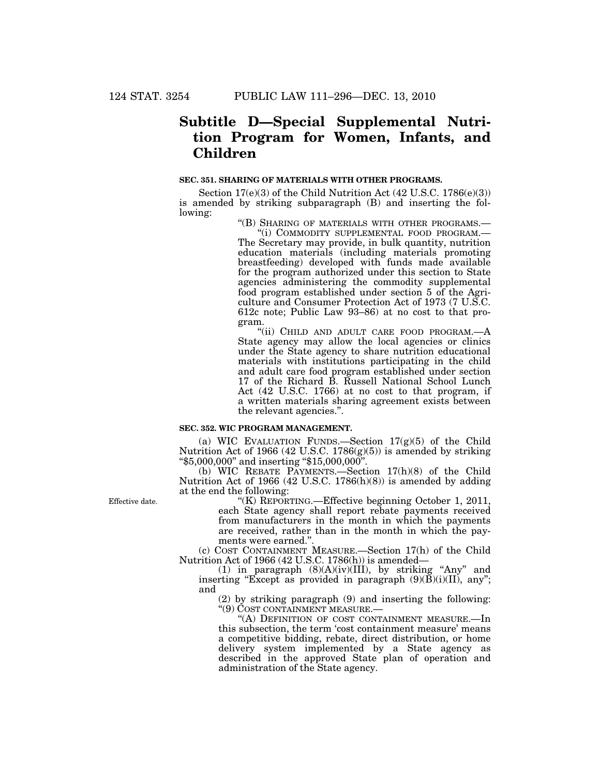# **Subtitle D—Special Supplemental Nutrition Program for Women, Infants, and Children**

# **SEC. 351. SHARING OF MATERIALS WITH OTHER PROGRAMS.**

Section 17(e)(3) of the Child Nutrition Act (42 U.S.C. 1786(e)(3)) is amended by striking subparagraph (B) and inserting the following:

''(B) SHARING OF MATERIALS WITH OTHER PROGRAMS.—

''(i) COMMODITY SUPPLEMENTAL FOOD PROGRAM.— The Secretary may provide, in bulk quantity, nutrition education materials (including materials promoting breastfeeding) developed with funds made available for the program authorized under this section to State agencies administering the commodity supplemental food program established under section 5 of the Agriculture and Consumer Protection Act of 1973 (7 U.S.C. 612c note; Public Law 93–86) at no cost to that program.

"(ii) CHILD AND ADULT CARE FOOD PROGRAM.-State agency may allow the local agencies or clinics under the State agency to share nutrition educational materials with institutions participating in the child and adult care food program established under section 17 of the Richard B. Russell National School Lunch Act (42 U.S.C. 1766) at no cost to that program, if a written materials sharing agreement exists between the relevant agencies.''.

#### **SEC. 352. WIC PROGRAM MANAGEMENT.**

(a) WIC EVALUATION FUNDS.—Section  $17(g)(5)$  of the Child Nutrition Act of 1966 (42 U.S.C. 1786(g)(5)) is amended by striking ''\$5,000,000'' and inserting ''\$15,000,000''.

(b) WIC REBATE PAYMENTS.—Section 17(h)(8) of the Child Nutrition Act of 1966 (42 U.S.C. 1786(h)(8)) is amended by adding at the end the following:

Effective date.

''(K) REPORTING.—Effective beginning October 1, 2011, each State agency shall report rebate payments received from manufacturers in the month in which the payments are received, rather than in the month in which the payments were earned."

(c) COST CONTAINMENT MEASURE.—Section 17(h) of the Child Nutrition Act of 1966 (42 U.S.C. 1786(h)) is amended—

(1) in paragraph  $(8)(A)(iv)(III)$ , by striking "Any" and inserting "Except as provided in paragraph  $(9)(\overline{B})(i)(II)$ , any"; and

(2) by striking paragraph (9) and inserting the following:

"(A) DEFINITION OF COST CONTAINMENT MEASURE.—In this subsection, the term 'cost containment measure' means a competitive bidding, rebate, direct distribution, or home delivery system implemented by a State agency as described in the approved State plan of operation and administration of the State agency.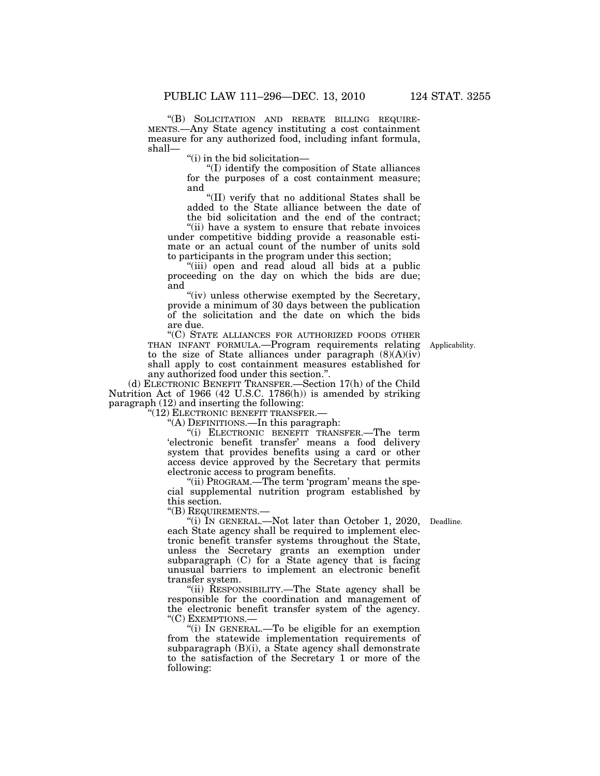''(B) SOLICITATION AND REBATE BILLING REQUIRE- MENTS.—Any State agency instituting a cost containment measure for any authorized food, including infant formula, shall—

''(i) in the bid solicitation—

''(I) identify the composition of State alliances for the purposes of a cost containment measure; and

''(II) verify that no additional States shall be added to the State alliance between the date of the bid solicitation and the end of the contract;

''(ii) have a system to ensure that rebate invoices under competitive bidding provide a reasonable estimate or an actual count of the number of units sold to participants in the program under this section;

''(iii) open and read aloud all bids at a public proceeding on the day on which the bids are due; and

"(iv) unless otherwise exempted by the Secretary, provide a minimum of 30 days between the publication of the solicitation and the date on which the bids are due.

''(C) STATE ALLIANCES FOR AUTHORIZED FOODS OTHER THAN INFANT FORMULA.—Program requirements relating to the size of State alliances under paragraph  $(8)(A)(iv)$ shall apply to cost containment measures established for any authorized food under this section.''.

(d) ELECTRONIC BENEFIT TRANSFER.—Section 17(h) of the Child Nutrition Act of 1966 (42 U.S.C. 1786(h)) is amended by striking paragraph (12) and inserting the following:

''(12) ELECTRONIC BENEFIT TRANSFER.—

''(A) DEFINITIONS.—In this paragraph:

''(i) ELECTRONIC BENEFIT TRANSFER.—The term 'electronic benefit transfer' means a food delivery system that provides benefits using a card or other access device approved by the Secretary that permits electronic access to program benefits.

''(ii) PROGRAM.—The term 'program' means the special supplemental nutrition program established by this section.

''(B) REQUIREMENTS.—

Applicability.

"(i) IN GENERAL.—Not later than October 1, 2020, Deadline. each State agency shall be required to implement electronic benefit transfer systems throughout the State, unless the Secretary grants an exemption under subparagraph  $(C)$  for a State agency that is facing unusual barriers to implement an electronic benefit transfer system.

''(ii) RESPONSIBILITY.—The State agency shall be responsible for the coordination and management of the electronic benefit transfer system of the agency. "(C) EXEMPTIONS.-

''(i) IN GENERAL.—To be eligible for an exemption from the statewide implementation requirements of subparagraph (B)(i), a State agency shall demonstrate to the satisfaction of the Secretary 1 or more of the following: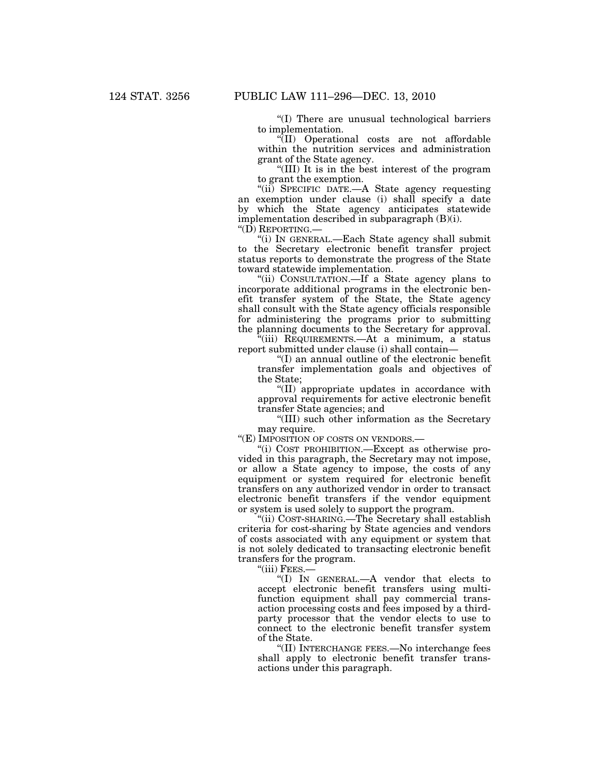''(I) There are unusual technological barriers to implementation.

''(II) Operational costs are not affordable within the nutrition services and administration grant of the State agency.

''(III) It is in the best interest of the program to grant the exemption.

"(ii) SPECIFIC DATE.-A State agency requesting an exemption under clause (i) shall specify a date by which the State agency anticipates statewide implementation described in subparagraph (B)(i).

''(D) REPORTING.—

''(i) IN GENERAL.—Each State agency shall submit to the Secretary electronic benefit transfer project status reports to demonstrate the progress of the State toward statewide implementation.

''(ii) CONSULTATION.—If a State agency plans to incorporate additional programs in the electronic benefit transfer system of the State, the State agency shall consult with the State agency officials responsible for administering the programs prior to submitting the planning documents to the Secretary for approval.

 $\tilde{f}$ (iii) REQUIREMENTS.—At a minimum, a status report submitted under clause (i) shall contain—

''(I) an annual outline of the electronic benefit transfer implementation goals and objectives of the State;

''(II) appropriate updates in accordance with approval requirements for active electronic benefit transfer State agencies; and

''(III) such other information as the Secretary may require.

"(E) IMPOSITION OF COSTS ON VENDORS.-

''(i) COST PROHIBITION.—Except as otherwise provided in this paragraph, the Secretary may not impose, or allow a State agency to impose, the costs of any equipment or system required for electronic benefit transfers on any authorized vendor in order to transact electronic benefit transfers if the vendor equipment or system is used solely to support the program.

''(ii) COST-SHARING.—The Secretary shall establish criteria for cost-sharing by State agencies and vendors of costs associated with any equipment or system that is not solely dedicated to transacting electronic benefit transfers for the program.

"(iii) Fees.-

''(I) IN GENERAL.—A vendor that elects to accept electronic benefit transfers using multifunction equipment shall pay commercial transaction processing costs and fees imposed by a thirdparty processor that the vendor elects to use to connect to the electronic benefit transfer system of the State.

(II) INTERCHANGE FEES.—No interchange fees shall apply to electronic benefit transfer transactions under this paragraph.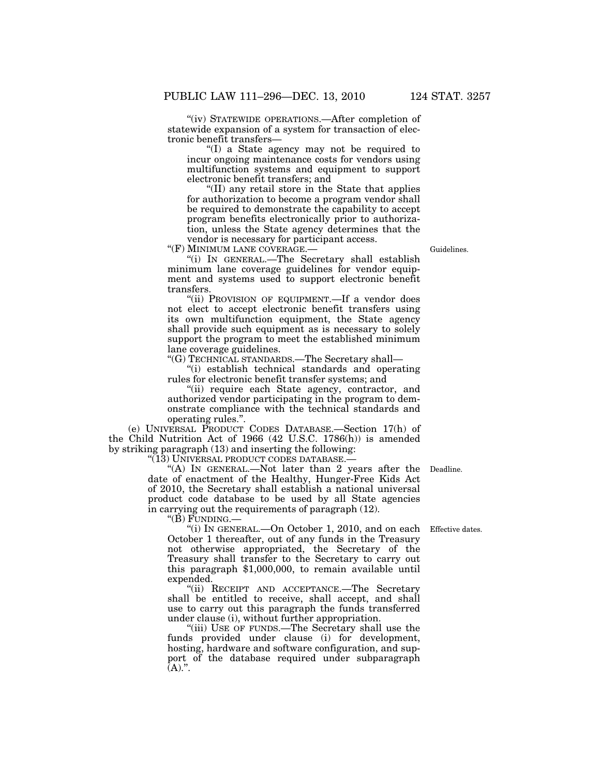''(iv) STATEWIDE OPERATIONS.—After completion of statewide expansion of a system for transaction of electronic benefit transfers—

''(I) a State agency may not be required to incur ongoing maintenance costs for vendors using multifunction systems and equipment to support electronic benefit transfers; and

''(II) any retail store in the State that applies for authorization to become a program vendor shall be required to demonstrate the capability to accept program benefits electronically prior to authorization, unless the State agency determines that the vendor is necessary for participant access.

''(F) MINIMUM LANE COVERAGE.—

''(i) IN GENERAL.—The Secretary shall establish minimum lane coverage guidelines for vendor equipment and systems used to support electronic benefit

transfers. "(ii) PROVISION OF EQUIPMENT.—If a vendor does not elect to accept electronic benefit transfers using its own multifunction equipment, the State agency shall provide such equipment as is necessary to solely support the program to meet the established minimum lane coverage guidelines.

''(G) TECHNICAL STANDARDS.—The Secretary shall—

''(i) establish technical standards and operating rules for electronic benefit transfer systems; and

"(ii) require each State agency, contractor, and authorized vendor participating in the program to demonstrate compliance with the technical standards and operating rules.''.

(e) UNIVERSAL PRODUCT CODES DATABASE.—Section 17(h) of the Child Nutrition Act of 1966 (42 U.S.C. 1786(h)) is amended by striking paragraph (13) and inserting the following:

"(13) UNIVERSAL PRODUCT CODES DATABASE.-

"(A) In GENERAL.—Not later than 2 years after the Deadline. date of enactment of the Healthy, Hunger-Free Kids Act of 2010, the Secretary shall establish a national universal product code database to be used by all State agencies in carrying out the requirements of paragraph (12).

''(B) FUNDING.—

"(i) IN GENERAL.—On October 1, 2010, and on each Effective dates. October 1 thereafter, out of any funds in the Treasury not otherwise appropriated, the Secretary of the Treasury shall transfer to the Secretary to carry out this paragraph \$1,000,000, to remain available until expended.

''(ii) RECEIPT AND ACCEPTANCE.—The Secretary shall be entitled to receive, shall accept, and shall use to carry out this paragraph the funds transferred under clause (i), without further appropriation.

''(iii) USE OF FUNDS.—The Secretary shall use the funds provided under clause (i) for development, hosting, hardware and software configuration, and support of the database required under subparagraph  $(A)$ .".

Guidelines.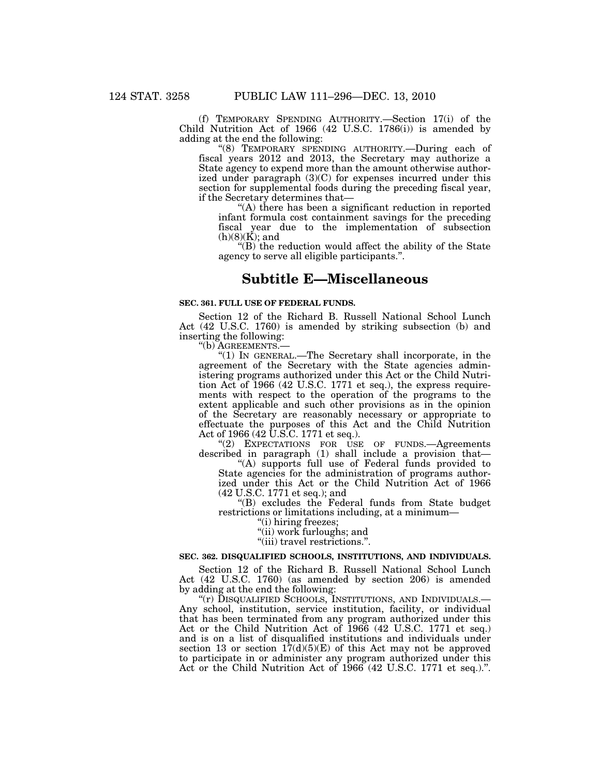(f) TEMPORARY SPENDING AUTHORITY.—Section 17(i) of the Child Nutrition Act of 1966 (42 U.S.C. 1786(i)) is amended by adding at the end the following:

''(8) TEMPORARY SPENDING AUTHORITY.—During each of fiscal years 2012 and 2013, the Secretary may authorize a State agency to expend more than the amount otherwise authorized under paragraph  $(3)(C)$  for expenses incurred under this section for supplemental foods during the preceding fiscal year, if the Secretary determines that—

''(A) there has been a significant reduction in reported infant formula cost containment savings for the preceding fiscal year due to the implementation of subsection (h)(8)(K); and

''(B) the reduction would affect the ability of the State agency to serve all eligible participants.''.

# **Subtitle E—Miscellaneous**

## **SEC. 361. FULL USE OF FEDERAL FUNDS.**

Section 12 of the Richard B. Russell National School Lunch Act (42 U.S.C. 1760) is amended by striking subsection (b) and inserting the following:

''(b) AGREEMENTS.—

''(1) IN GENERAL.—The Secretary shall incorporate, in the agreement of the Secretary with the State agencies administering programs authorized under this Act or the Child Nutrition Act of 1966 (42 U.S.C. 1771 et seq.), the express requirements with respect to the operation of the programs to the extent applicable and such other provisions as in the opinion of the Secretary are reasonably necessary or appropriate to effectuate the purposes of this Act and the Child Nutrition Act of 1966 (42 U.S.C. 1771 et seq.).

''(2) EXPECTATIONS FOR USE OF FUNDS.—Agreements described in paragraph (1) shall include a provision that—

''(A) supports full use of Federal funds provided to State agencies for the administration of programs authorized under this Act or the Child Nutrition Act of 1966 (42 U.S.C. 1771 et seq.); and

''(B) excludes the Federal funds from State budget restrictions or limitations including, at a minimum—

''(i) hiring freezes;

''(ii) work furloughs; and

''(iii) travel restrictions.''.

## **SEC. 362. DISQUALIFIED SCHOOLS, INSTITUTIONS, AND INDIVIDUALS.**

Section 12 of the Richard B. Russell National School Lunch Act (42 U.S.C. 1760) (as amended by section 206) is amended by adding at the end the following:

''(r) DISQUALIFIED SCHOOLS, INSTITUTIONS, AND INDIVIDUALS.— Any school, institution, service institution, facility, or individual that has been terminated from any program authorized under this Act or the Child Nutrition Act of 1966 (42 U.S.C. 1771 et seq.) and is on a list of disqualified institutions and individuals under section 13 or section  $17(d)(5)(E)$  of this Act may not be approved to participate in or administer any program authorized under this Act or the Child Nutrition Act of 1966 (42 U.S.C. 1771 et seq.).''.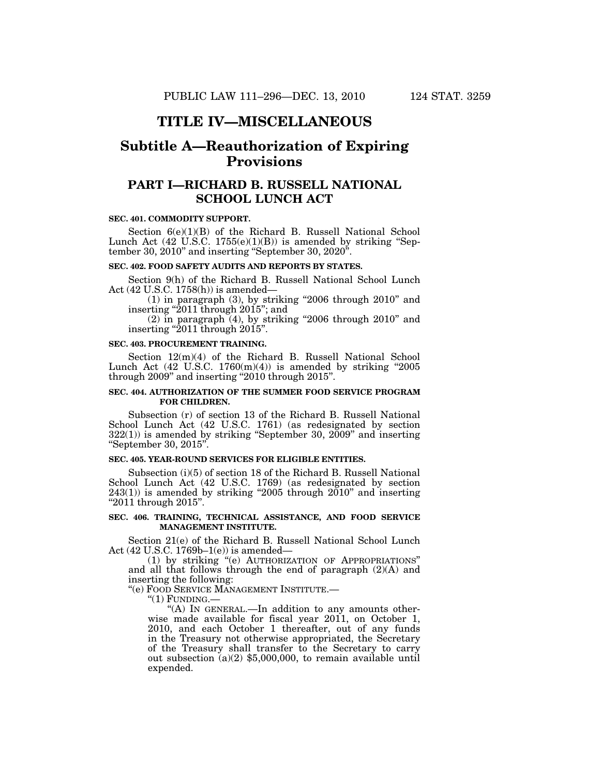## **TITLE IV—MISCELLANEOUS**

# **Subtitle A—Reauthorization of Expiring Provisions**

## **PART I—RICHARD B. RUSSELL NATIONAL SCHOOL LUNCH ACT**

### **SEC. 401. COMMODITY SUPPORT.**

Section 6(e)(1)(B) of the Richard B. Russell National School Lunch Act  $(42 \text{ }\tilde{U}.\tilde{S}.\tilde{C}.\ 1755(e)(1)(B))$  is amended by striking "September 30, 2010'' and inserting ''September 30, 2020''.

## **SEC. 402. FOOD SAFETY AUDITS AND REPORTS BY STATES.**

Section 9(h) of the Richard B. Russell National School Lunch Act (42 U.S.C. 1758(h)) is amended—

 $(1)$  in paragraph  $(3)$ , by striking "2006 through 2010" and inserting ''2011 through 2015''; and

 $(2)$  in paragraph  $(4)$ , by striking "2006 through 2010" and inserting ''2011 through 2015''.

#### **SEC. 403. PROCUREMENT TRAINING.**

Section 12(m)(4) of the Richard B. Russell National School Lunch Act  $(42 \text{ U.S.C. } 1760 \text{ (m)}(4))$  is amended by striking "2005 through 2009'' and inserting ''2010 through 2015''.

## **SEC. 404. AUTHORIZATION OF THE SUMMER FOOD SERVICE PROGRAM FOR CHILDREN.**

Subsection (r) of section 13 of the Richard B. Russell National School Lunch Act (42 U.S.C. 1761) (as redesignated by section 322(1)) is amended by striking ''September 30, 2009'' and inserting ''September 30, 2015''.

## **SEC. 405. YEAR-ROUND SERVICES FOR ELIGIBLE ENTITIES.**

Subsection (i)(5) of section 18 of the Richard B. Russell National School Lunch Act (42 U.S.C. 1769) (as redesignated by section  $243(1)$ ) is amended by striking "2005 through  $2010$ " and inserting ''2011 through 2015''.

## **SEC. 406. TRAINING, TECHNICAL ASSISTANCE, AND FOOD SERVICE MANAGEMENT INSTITUTE.**

Section 21(e) of the Richard B. Russell National School Lunch Act (42 U.S.C. 1769b–1(e)) is amended—

(1) by striking ''(e) AUTHORIZATION OF APPROPRIATIONS'' and all that follows through the end of paragraph (2)(A) and inserting the following:

''(e) FOOD SERVICE MANAGEMENT INSTITUTE.—

 $"(1)$  FUNDING.

"(A) IN GENERAL.-In addition to any amounts otherwise made available for fiscal year 2011, on October 1, 2010, and each October 1 thereafter, out of any funds in the Treasury not otherwise appropriated, the Secretary of the Treasury shall transfer to the Secretary to carry out subsection (a)(2) \$5,000,000, to remain available until expended.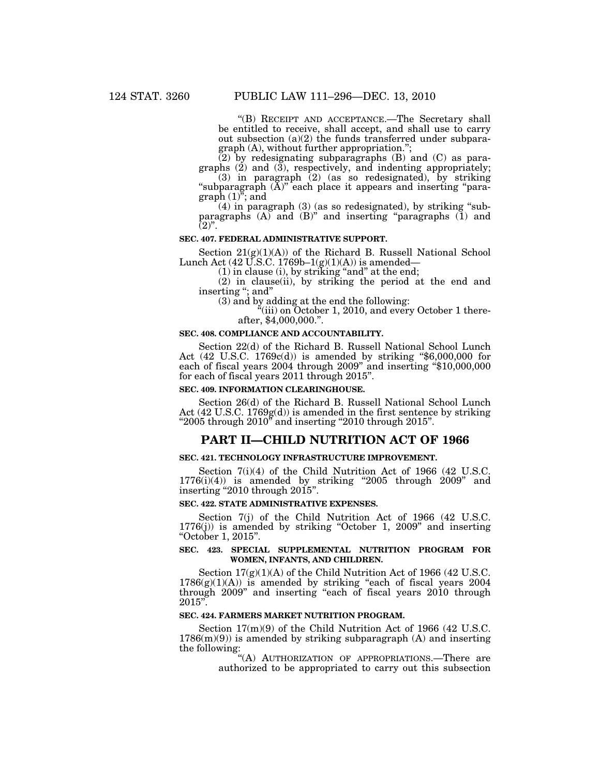''(B) RECEIPT AND ACCEPTANCE.—The Secretary shall be entitled to receive, shall accept, and shall use to carry out subsection (a)(2) the funds transferred under subparagraph (A), without further appropriation.'';

(2) by redesignating subparagraphs (B) and (C) as paragraphs  $(2)$  and  $(3)$ , respectively, and indenting appropriately;

(3) in paragraph (2) (as so redesignated), by striking "subparagraph  $(\overline{A})$ " each place it appears and inserting "para $graph (1)<sup>7</sup>$ ; and

 $(4)$  in paragraph  $(3)$  (as so redesignated), by striking "subparagraphs  $(A)$  and  $(B)$ <sup>"</sup> and inserting "paragraphs  $(1)$  and  $(2)$ ".

## **SEC. 407. FEDERAL ADMINISTRATIVE SUPPORT.**

Section 21(g)(1)(A)) of the Richard B. Russell National School Lunch Act (42 U.S.C. 1769b–1(g)(1)(A)) is amended—

 $(1)$  in clause  $(i)$ , by striking "and" at the end;

(2) in clause(ii), by striking the period at the end and inserting "; and"

(3) and by adding at the end the following:

 $``$ (iii) on October 1, 2010, and every October 1 thereafter, \$4,000,000.".

### **SEC. 408. COMPLIANCE AND ACCOUNTABILITY.**

Section 22(d) of the Richard B. Russell National School Lunch Act (42 U.S.C. 1769c(d)) is amended by striking ''\$6,000,000 for each of fiscal years 2004 through 2009" and inserting "\$10,000,000 for each of fiscal years 2011 through 2015''.

#### **SEC. 409. INFORMATION CLEARINGHOUSE.**

Section 26(d) of the Richard B. Russell National School Lunch Act  $(42 \text{ U.S.C. } 1769g(d))$  is amended in the first sentence by striking " $2005$  through  $2010$ " and inserting " $2010$  through  $2015$ ".

## **PART II—CHILD NUTRITION ACT OF 1966**

## **SEC. 421. TECHNOLOGY INFRASTRUCTURE IMPROVEMENT.**

Section 7(i)(4) of the Child Nutrition Act of 1966 (42 U.S.C.  $1776(i)(4)$ ) is amended by striking "2005 through 2009" and inserting ''2010 through 2015''.

#### **SEC. 422. STATE ADMINISTRATIVE EXPENSES.**

Section 7(j) of the Child Nutrition Act of 1966 (42 U.S.C. 1776(j)) is amended by striking ''October 1, 2009'' and inserting ''October 1, 2015''.

## **SEC. 423. SPECIAL SUPPLEMENTAL NUTRITION PROGRAM FOR WOMEN, INFANTS, AND CHILDREN.**

Section 17(g)(1)(A) of the Child Nutrition Act of 1966 (42 U.S.C.  $1786(g)(1)(A)$  is amended by striking "each of fiscal years 2004 through 2009'' and inserting ''each of fiscal years 2010 through  $2015"$ .

#### **SEC. 424. FARMERS MARKET NUTRITION PROGRAM.**

Section 17(m)(9) of the Child Nutrition Act of 1966 (42 U.S.C.  $1786(m)(9)$  is amended by striking subparagraph (A) and inserting the following:

''(A) AUTHORIZATION OF APPROPRIATIONS.—There are authorized to be appropriated to carry out this subsection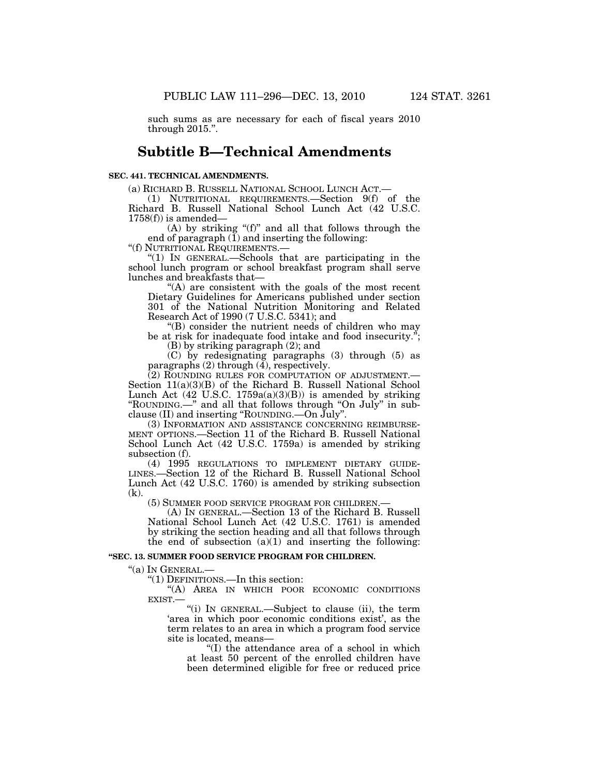such sums as are necessary for each of fiscal years 2010 through 2015.''.

## **Subtitle B—Technical Amendments**

## **SEC. 441. TECHNICAL AMENDMENTS.**

(a) RICHARD B. RUSSELL NATIONAL SCHOOL LUNCH ACT.—

(1) NUTRITIONAL REQUIREMENTS.—Section 9(f) of the Richard B. Russell National School Lunch Act (42 U.S.C.  $1758(f)$  is amended–

(A) by striking "(f)" and all that follows through the end of paragraph  $(\overline{1})$  and inserting the following:

''(f) NUTRITIONAL REQUIREMENTS.—

''(1) IN GENERAL.—Schools that are participating in the school lunch program or school breakfast program shall serve lunches and breakfasts that—

''(A) are consistent with the goals of the most recent Dietary Guidelines for Americans published under section 301 of the National Nutrition Monitoring and Related Research Act of 1990 (7 U.S.C. 5341); and

''(B) consider the nutrient needs of children who may be at risk for inadequate food intake and food insecurity.'';

(B) by striking paragraph (2); and

(C) by redesignating paragraphs (3) through (5) as paragraphs (2) through (4), respectively.

(2) ROUNDING RULES FOR COMPUTATION OF ADJUSTMENT.— Section 11(a)(3)(B) of the Richard B. Russell National School Lunch Act  $(42 \text{ U.S.C. } 1759a(a)(3)(B))$  is amended by striking ''ROUNDING.—'' and all that follows through ''On July'' in subclause (II) and inserting ''ROUNDING.—On July''.

(3) INFORMATION AND ASSISTANCE CONCERNING REIMBURSE-MENT OPTIONS.—Section 11 of the Richard B. Russell National School Lunch Act (42 U.S.C. 1759a) is amended by striking subsection (f).<br>
(4) 1995 REGULATIONS TO IMPLEMENT DIETARY GUIDE-

LINES.—Section 12 of the Richard B. Russell National School Lunch Act (42 U.S.C. 1760) is amended by striking subsection (k).

(5) SUMMER FOOD SERVICE PROGRAM FOR CHILDREN.— (A) IN GENERAL.—Section 13 of the Richard B. Russell National School Lunch Act (42 U.S.C. 1761) is amended by striking the section heading and all that follows through the end of subsection  $(a)(1)$  and inserting the following:

## **''SEC. 13. SUMMER FOOD SERVICE PROGRAM FOR CHILDREN.**

''(a) IN GENERAL.—

''(1) DEFINITIONS.—In this section:

''(A) AREA IN WHICH POOR ECONOMIC CONDITIONS EXIST.—

''(i) IN GENERAL.—Subject to clause (ii), the term 'area in which poor economic conditions exist', as the term relates to an area in which a program food service site is located, means—

''(I) the attendance area of a school in which at least 50 percent of the enrolled children have been determined eligible for free or reduced price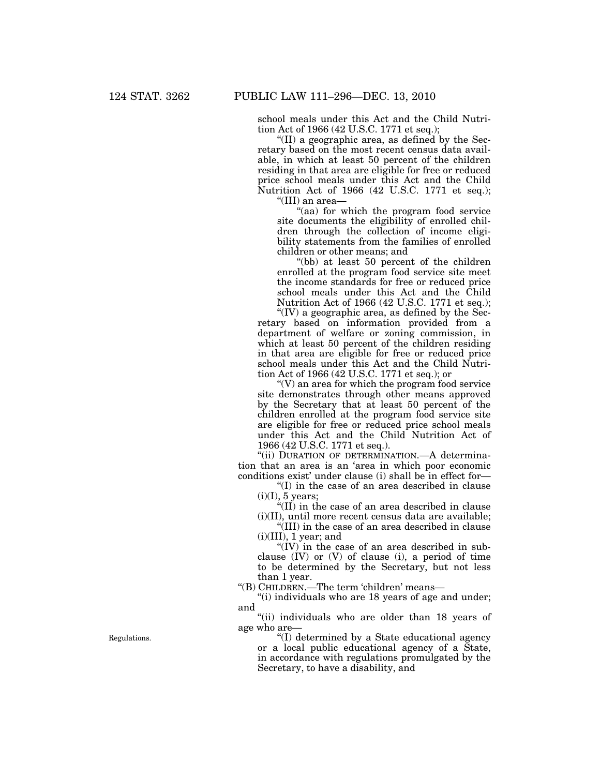school meals under this Act and the Child Nutrition Act of 1966 (42 U.S.C. 1771 et seq.);

"(II) a geographic area, as defined by the Secretary based on the most recent census data available, in which at least 50 percent of the children residing in that area are eligible for free or reduced price school meals under this Act and the Child Nutrition Act of 1966 (42 U.S.C. 1771 et seq.);

''(III) an area—

''(aa) for which the program food service site documents the eligibility of enrolled children through the collection of income eligibility statements from the families of enrolled children or other means; and

''(bb) at least 50 percent of the children enrolled at the program food service site meet the income standards for free or reduced price school meals under this Act and the Child Nutrition Act of 1966 (42 U.S.C. 1771 et seq.);

" $(IV)$  a geographic area, as defined by the Secretary based on information provided from a department of welfare or zoning commission, in which at least 50 percent of the children residing in that area are eligible for free or reduced price school meals under this Act and the Child Nutrition Act of 1966 (42 U.S.C. 1771 et seq.); or

''(V) an area for which the program food service site demonstrates through other means approved by the Secretary that at least 50 percent of the children enrolled at the program food service site are eligible for free or reduced price school meals under this Act and the Child Nutrition Act of 1966 (42 U.S.C. 1771 et seq.).

"(ii) DURATION OF DETERMINATION. A determination that an area is an 'area in which poor economic conditions exist' under clause (i) shall be in effect for—

''(I) in the case of an area described in clause  $(i)(I)$ , 5 years;

''(II) in the case of an area described in clause (i)(II), until more recent census data are available;

''(III) in the case of an area described in clause  $(i)(III)$ , 1 year; and

" $(IV)$  in the case of an area described in subclause (IV) or (V) of clause (i), a period of time to be determined by the Secretary, but not less than 1 year.

''(B) CHILDREN.—The term 'children' means—

''(i) individuals who are 18 years of age and under; and

''(ii) individuals who are older than 18 years of age who are—

''(I) determined by a State educational agency or a local public educational agency of a State, in accordance with regulations promulgated by the Secretary, to have a disability, and

Regulations.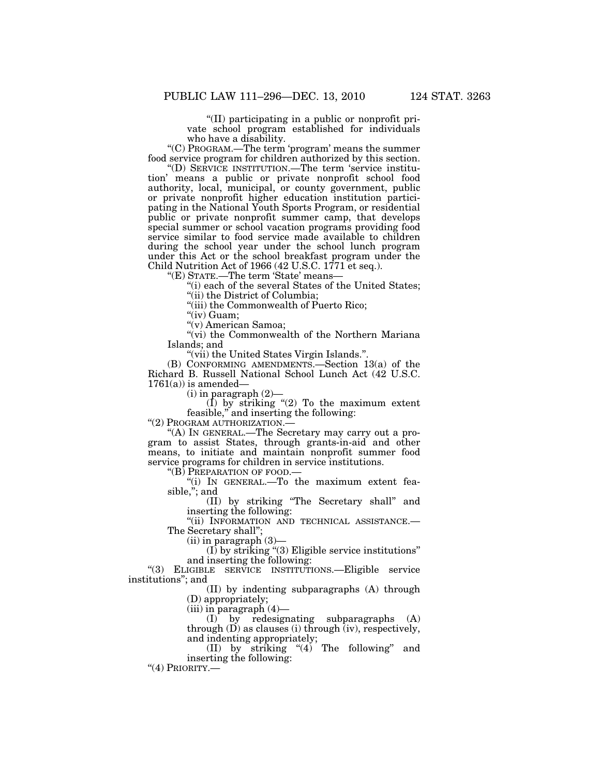''(II) participating in a public or nonprofit private school program established for individuals who have a disability.

''(C) PROGRAM.—The term 'program' means the summer food service program for children authorized by this section.

''(D) SERVICE INSTITUTION.—The term 'service institution' means a public or private nonprofit school food authority, local, municipal, or county government, public or private nonprofit higher education institution participating in the National Youth Sports Program, or residential public or private nonprofit summer camp, that develops special summer or school vacation programs providing food service similar to food service made available to children during the school year under the school lunch program under this Act or the school breakfast program under the Child Nutrition Act of 1966 (42 U.S.C. 1771 et seq.).

''(E) STATE.—The term 'State' means—

''(i) each of the several States of the United States;

''(ii) the District of Columbia;

''(iii) the Commonwealth of Puerto Rico;

"(iv) Guam;

''(v) American Samoa;

"(vi) the Commonwealth of the Northern Mariana Islands; and

''(vii) the United States Virgin Islands.''.

(B) CONFORMING AMENDMENTS.—Section 13(a) of the Richard B. Russell National School Lunch Act (42 U.S.C.  $1761(a)$  is amended—

(i) in paragraph (2)—

 $(I)$  by striking "(2) To the maximum extent feasible,'' and inserting the following:

"(2) PROGRAM AUTHORIZATION.-

''(A) IN GENERAL.—The Secretary may carry out a program to assist States, through grants-in-aid and other means, to initiate and maintain nonprofit summer food service programs for children in service institutions.

''(B) PREPARATION OF FOOD.—

''(i) IN GENERAL.—To the maximum extent feasible,"; and

(II) by striking ''The Secretary shall'' and inserting the following:

"(ii) INFORMATION AND TECHNICAL ASSISTANCE.-The Secretary shall'';

(ii) in paragraph (3)—

 $(I)$  by striking "(3) Eligible service institutions" and inserting the following:

''(3) ELIGIBLE SERVICE INSTITUTIONS.—Eligible service institutions''; and

> (II) by indenting subparagraphs (A) through (D) appropriately;

(iii) in paragraph (4)—

(I) by redesignating subparagraphs (A) through  $(D)$  as clauses (i) through  $(iv)$ , respectively, and indenting appropriately;

(II) by striking  $(4)$  The following" and inserting the following:

"(4) PRIORITY.-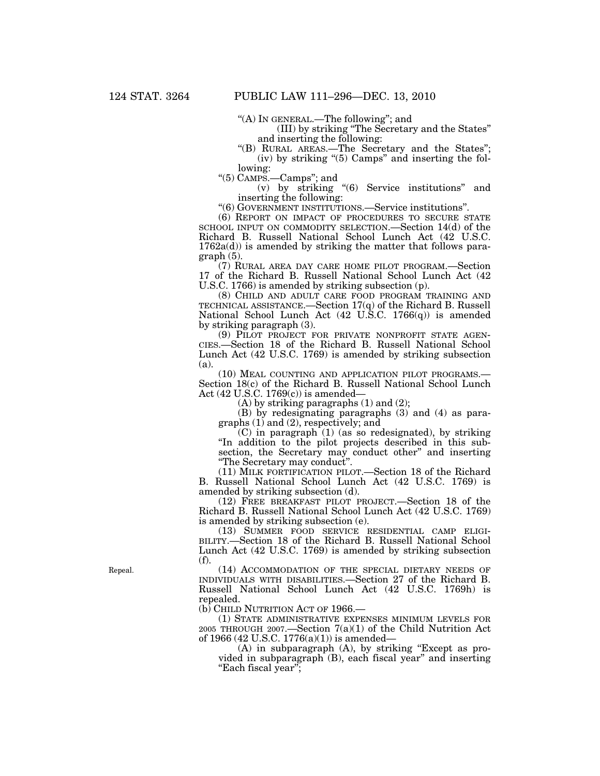''(A) IN GENERAL.—The following''; and

(III) by striking ''The Secretary and the States'' and inserting the following:

''(B) RURAL AREAS.—The Secretary and the States''; (iv) by striking ''(5) Camps'' and inserting the following:

''(5) CAMPS.—Camps''; and

(v) by striking ''(6) Service institutions'' and inserting the following:

''(6) GOVERNMENT INSTITUTIONS.—Service institutions''.

(6) REPORT ON IMPACT OF PROCEDURES TO SECURE STATE SCHOOL INPUT ON COMMODITY SELECTION.—Section 14(d) of the Richard B. Russell National School Lunch Act (42 U.S.C.  $1762a(d)$  is amended by striking the matter that follows paragraph (5).

(7) RURAL AREA DAY CARE HOME PILOT PROGRAM.—Section 17 of the Richard B. Russell National School Lunch Act (42 U.S.C. 1766) is amended by striking subsection (p).

(8) CHILD AND ADULT CARE FOOD PROGRAM TRAINING AND TECHNICAL ASSISTANCE.—Section 17(q) of the Richard B. Russell National School Lunch Act (42 U.S.C. 1766(q)) is amended by striking paragraph (3).

(9) PILOT PROJECT FOR PRIVATE NONPROFIT STATE AGEN-CIES.—Section 18 of the Richard B. Russell National School Lunch Act (42 U.S.C. 1769) is amended by striking subsection (a).

(10) MEAL COUNTING AND APPLICATION PILOT PROGRAMS.— Section 18(c) of the Richard B. Russell National School Lunch Act (42 U.S.C. 1769(c)) is amended—

 $(A)$  by striking paragraphs  $(1)$  and  $(2)$ ;

(B) by redesignating paragraphs (3) and (4) as paragraphs (1) and (2), respectively; and

 $(C)$  in paragraph  $(1)$  (as so redesignated), by striking ''In addition to the pilot projects described in this subsection, the Secretary may conduct other'' and inserting ''The Secretary may conduct''.

(11) MILK FORTIFICATION PILOT.—Section 18 of the Richard B. Russell National School Lunch Act (42 U.S.C. 1769) is amended by striking subsection (d).

(12) FREE BREAKFAST PILOT PROJECT.—Section 18 of the Richard B. Russell National School Lunch Act (42 U.S.C. 1769) is amended by striking subsection (e).

(13) SUMMER FOOD SERVICE RESIDENTIAL CAMP ELIGI-BILITY.—Section 18 of the Richard B. Russell National School Lunch Act (42 U.S.C. 1769) is amended by striking subsection (f).

(14) ACCOMMODATION OF THE SPECIAL DIETARY NEEDS OF INDIVIDUALS WITH DISABILITIES.—Section 27 of the Richard B. Russell National School Lunch Act (42 U.S.C. 1769h) is repealed.

(b) CHILD NUTRITION ACT OF 1966.—

(1) STATE ADMINISTRATIVE EXPENSES MINIMUM LEVELS FOR 2005 THROUGH 2007.—Section 7(a)(1) of the Child Nutrition Act of 1966 (42 U.S.C. 1776(a)(1)) is amended—

 $(A)$  in subparagraph  $(A)$ , by striking "Except as provided in subparagraph (B), each fiscal year'' and inserting ''Each fiscal year'';

Repeal.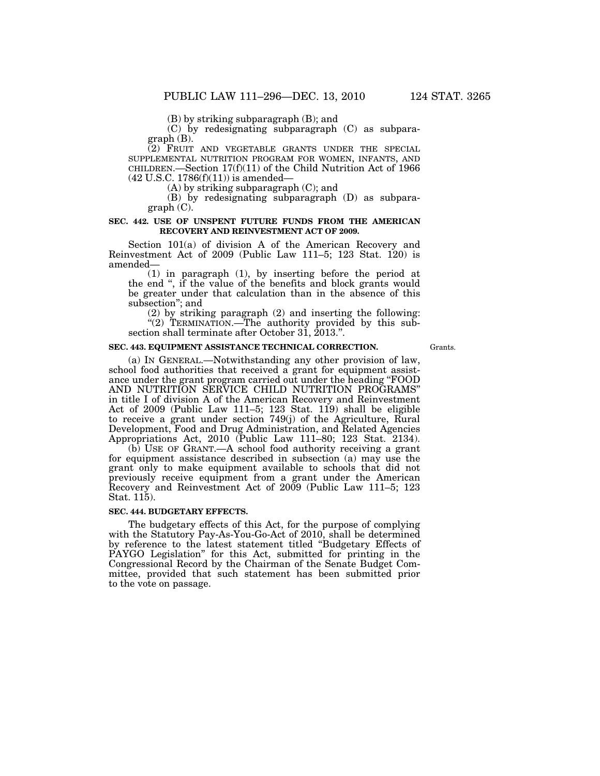(B) by striking subparagraph (B); and

(C) by redesignating subparagraph (C) as subparagraph (B).

(2) FRUIT AND VEGETABLE GRANTS UNDER THE SPECIAL SUPPLEMENTAL NUTRITION PROGRAM FOR WOMEN, INFANTS, AND CHILDREN.—Section 17(f)(11) of the Child Nutrition Act of 1966  $(42 \text{ U.S.C. } 1786(f)(11))$  is amended—

(A) by striking subparagraph (C); and

(B) by redesignating subparagraph (D) as subparagraph (C).

## **SEC. 442. USE OF UNSPENT FUTURE FUNDS FROM THE AMERICAN RECOVERY AND REINVESTMENT ACT OF 2009.**

Section 101(a) of division A of the American Recovery and Reinvestment Act of 2009 (Public Law 111–5; 123 Stat. 120) is amended—

(1) in paragraph (1), by inserting before the period at the end '', if the value of the benefits and block grants would be greater under that calculation than in the absence of this subsection''; and

(2) by striking paragraph (2) and inserting the following: "(2) TERMINATION.—The authority provided by this subsection shall terminate after October 31, 2013.''.

#### **SEC. 443. EQUIPMENT ASSISTANCE TECHNICAL CORRECTION.**

Grants.

(a) IN GENERAL.—Notwithstanding any other provision of law, school food authorities that received a grant for equipment assistance under the grant program carried out under the heading ''FOOD AND NUTRITION SERVICE CHILD NUTRITION PROGRAMS'' in title I of division A of the American Recovery and Reinvestment Act of 2009 (Public Law 111–5; 123 Stat. 119) shall be eligible to receive a grant under section 749(j) of the Agriculture, Rural Development, Food and Drug Administration, and Related Agencies Appropriations Act, 2010 (Public Law 111–80; 123 Stat. 2134).

(b) USE OF GRANT.—A school food authority receiving a grant for equipment assistance described in subsection (a) may use the grant only to make equipment available to schools that did not previously receive equipment from a grant under the American Recovery and Reinvestment Act of 2009 (Public Law 111–5; 123 Stat. 115).

## **SEC. 444. BUDGETARY EFFECTS.**

The budgetary effects of this Act, for the purpose of complying with the Statutory Pay-As-You-Go-Act of 2010, shall be determined by reference to the latest statement titled ''Budgetary Effects of PAYGO Legislation'' for this Act, submitted for printing in the Congressional Record by the Chairman of the Senate Budget Committee, provided that such statement has been submitted prior to the vote on passage.